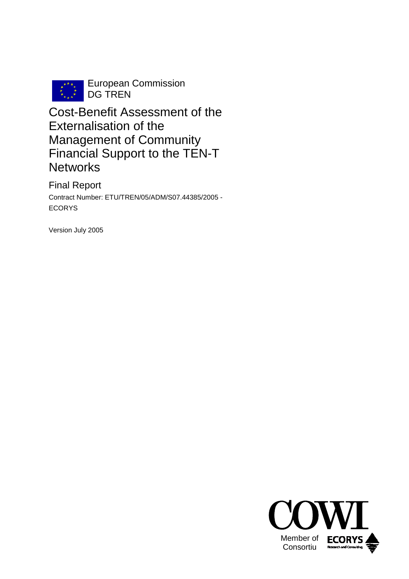

**European Commission**<br>**Eased** DG TREN DG TREN

Cost-Benefit Assessment of the Externalisation of the Management of Community Financial Support to the TEN-T **Networks** 

Final Report Contract Number: ETU/TREN/05/ADM/S07.44385/2005 - ECORYS

Version July 2005

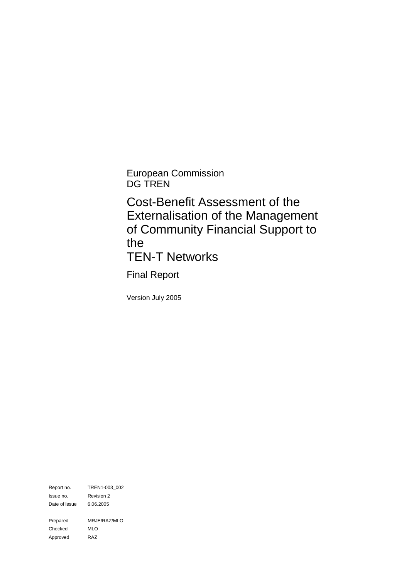European Commission DG TREN

Cost-Benefit Assessment of the Externalisation of the Management of Community Financial Support to the

TEN-T Networks

Final Report

Version July 2005

Report no. TREN1-003\_002 Issue no. Revision 2 Date of issue 6.06.2005 Prepared MRJE/RAZ/MLO Checked MLO Approved RAZ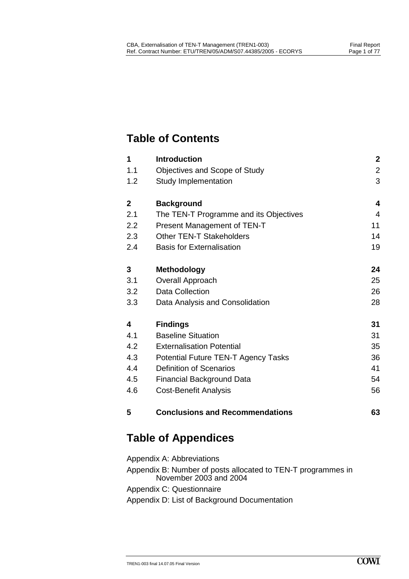# **Table of Contents**

| 1            | <b>Introduction</b>                        | $\boldsymbol{2}$ |
|--------------|--------------------------------------------|------------------|
| 1.1          | Objectives and Scope of Study              | $\overline{2}$   |
| 1.2          | Study Implementation                       | 3                |
| $\mathbf{2}$ | <b>Background</b>                          | 4                |
| 2.1          | The TEN-T Programme and its Objectives     | 4                |
| 2.2          | Present Management of TEN-T                | 11               |
| 2.3          | <b>Other TEN-T Stakeholders</b>            | 14               |
| 2.4          | <b>Basis for Externalisation</b>           | 19               |
| 3            | <b>Methodology</b>                         | 24               |
| 3.1          | Overall Approach                           | 25               |
| 3.2          | <b>Data Collection</b>                     | 26               |
| 3.3          | Data Analysis and Consolidation            | 28               |
| 4            | <b>Findings</b>                            | 31               |
| 4.1          | <b>Baseline Situation</b>                  | 31               |
| 4.2          | <b>Externalisation Potential</b>           | 35               |
| 4.3          | <b>Potential Future TEN-T Agency Tasks</b> | 36               |
| 4.4          | <b>Definition of Scenarios</b>             | 41               |
| 4.5          | Financial Background Data                  | 54               |
| 4.6          | <b>Cost-Benefit Analysis</b>               | 56               |
| 5            | <b>Conclusions and Recommendations</b>     | 63               |

# **Table of Appendices**

Appendix A: Abbreviations

Appendix B: Number of posts allocated to TEN-T programmes in November 2003 and 2004

Appendix C: Questionnaire

Appendix D: List of Background Documentation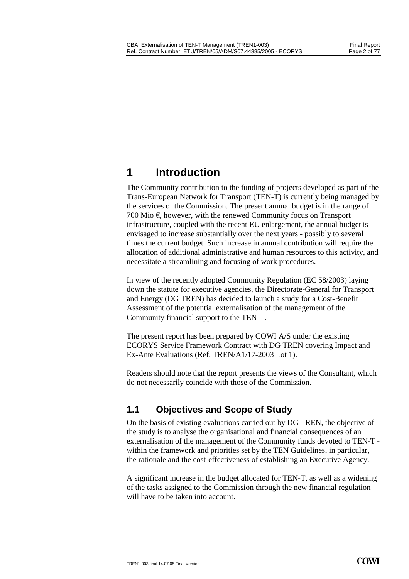# <span id="page-3-0"></span>**1 Introduction**

The Community contribution to the funding of projects developed as part of the Trans-European Network for Transport (TEN-T) is currently being managed by the services of the Commission. The present annual budget is in the range of 700 Mio €, however, with the renewed Community focus on Transport infrastructure, coupled with the recent EU enlargement, the annual budget is envisaged to increase substantially over the next years - possibly to several times the current budget. Such increase in annual contribution will require the allocation of additional administrative and human resources to this activity, and necessitate a streamlining and focusing of work procedures.

In view of the recently adopted Community Regulation (EC 58/2003) laying down the statute for executive agencies, the Directorate-General for Transport and Energy (DG TREN) has decided to launch a study for a Cost-Benefit Assessment of the potential externalisation of the management of the Community financial support to the TEN-T.

The present report has been prepared by COWI A/S under the existing ECORYS Service Framework Contract with DG TREN covering Impact and Ex-Ante Evaluations (Ref. TREN/A1/17-2003 Lot 1).

Readers should note that the report presents the views of the Consultant, which do not necessarily coincide with those of the Commission.

# **1.1 Objectives and Scope of Study**

On the basis of existing evaluations carried out by DG TREN, the objective of the study is to analyse the organisational and financial consequences of an externalisation of the management of the Community funds devoted to TEN-T within the framework and priorities set by the TEN Guidelines, in particular, the rationale and the cost-effectiveness of establishing an Executive Agency.

A significant increase in the budget allocated for TEN-T, as well as a widening of the tasks assigned to the Commission through the new financial regulation will have to be taken into account.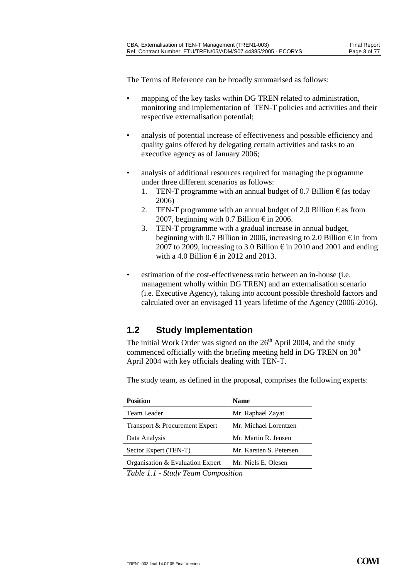<span id="page-4-0"></span>The Terms of Reference can be broadly summarised as follows:

- mapping of the key tasks within DG TREN related to administration, monitoring and implementation of TEN-T policies and activities and their respective externalisation potential;
- analysis of potential increase of effectiveness and possible efficiency and quality gains offered by delegating certain activities and tasks to an executive agency as of January 2006;
- analysis of additional resources required for managing the programme under three different scenarios as follows:
	- 1. TEN-T programme with an annual budget of 0.7 Billion  $\epsilon$  (as today 2006)
	- 2. TEN-T programme with an annual budget of 2.0 Billion  $\epsilon$  as from 2007, beginning with 0.7 Billion  $\epsilon$  in 2006.
	- 3. TEN-T programme with a gradual increase in annual budget, beginning with 0.7 Billion in 2006, increasing to 2.0 Billion  $\epsilon$  in from 2007 to 2009, increasing to 3.0 Billion  $\epsilon$  in 2010 and 2001 and ending with a 4.0 Billion  $\epsilon$  in 2012 and 2013.
- estimation of the cost-effectiveness ratio between an in-house (i.e. management wholly within DG TREN) and an externalisation scenario (i.e. Executive Agency), taking into account possible threshold factors and calculated over an envisaged 11 years lifetime of the Agency (2006-2016).

## **1.2 Study Implementation**

The initial Work Order was signed on the  $26<sup>th</sup>$  April 2004, and the study commenced officially with the briefing meeting held in DG TREN on 30<sup>th</sup> April 2004 with key officials dealing with TEN-T.

| <b>Position</b>                  | <b>Name</b>             |
|----------------------------------|-------------------------|
| Team Leader                      | Mr. Raphaël Zayat       |
| Transport & Procurement Expert   | Mr. Michael Lorentzen   |
| Data Analysis                    | Mr. Martin R. Jensen    |
| Sector Expert (TEN-T)            | Mr. Karsten S. Petersen |
| Organisation & Evaluation Expert | Mr. Niels E. Olesen     |

The study team, as defined in the proposal, comprises the following experts:

*Table 1.1 - Study Team Composition*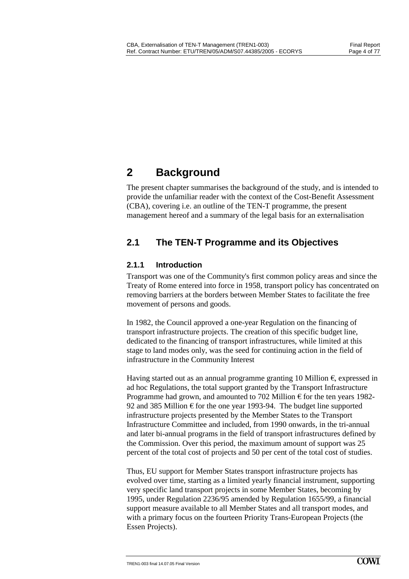# <span id="page-5-0"></span>**2 Background**

The present chapter summarises the background of the study, and is intended to provide the unfamiliar reader with the context of the Cost-Benefit Assessment (CBA), covering i.e. an outline of the TEN-T programme, the present management hereof and a summary of the legal basis for an externalisation

# **2.1 The TEN-T Programme and its Objectives**

### **2.1.1 Introduction**

Transport was one of the Community's first common policy areas and since the Treaty of Rome entered into force in 1958, transport policy has concentrated on removing barriers at the borders between Member States to facilitate the free movement of persons and goods.

In 1982, the Council approved a one-year Regulation on the financing of transport infrastructure projects. The creation of this specific budget line, dedicated to the financing of transport infrastructures, while limited at this stage to land modes only, was the seed for continuing action in the field of infrastructure in the Community Interest

Having started out as an annual programme granting 10 Million  $\epsilon$ , expressed in ad hoc Regulations, the total support granted by the Transport Infrastructure Programme had grown, and amounted to 702 Million  $\epsilon$  for the ten years 1982-92 and 385 Million  $\epsilon$  for the one year 1993-94. The budget line supported infrastructure projects presented by the Member States to the Transport Infrastructure Committee and included, from 1990 onwards, in the tri-annual and later bi-annual programs in the field of transport infrastructures defined by the Commission. Over this period, the maximum amount of support was 25 percent of the total cost of projects and 50 per cent of the total cost of studies.

Thus, EU support for Member States transport infrastructure projects has evolved over time, starting as a limited yearly financial instrument, supporting very specific land transport projects in some Member States, becoming by 1995, under Regulation 2236/95 amended by Regulation 1655/99, a financial support measure available to all Member States and all transport modes, and with a primary focus on the fourteen Priority Trans-European Projects (the Essen Projects).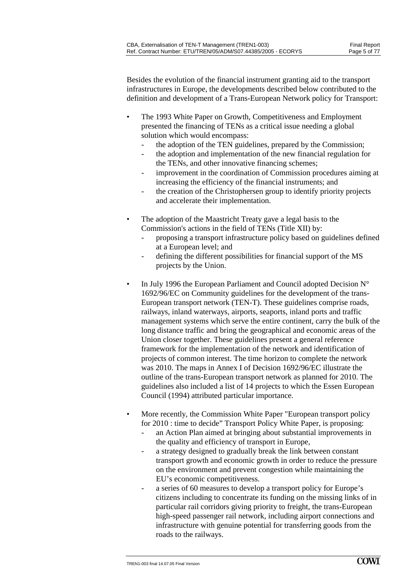Besides the evolution of the financial instrument granting aid to the transport infrastructures in Europe, the developments described below contributed to the definition and development of a Trans-European Network policy for Transport:

- The 1993 White Paper on Growth, Competitiveness and Employment presented the financing of TENs as a critical issue needing a global solution which would encompass:
	- the adoption of the TEN guidelines, prepared by the Commission;
	- the adoption and implementation of the new financial regulation for the TENs, and other innovative financing schemes;
	- improvement in the coordination of Commission procedures aiming at increasing the efficiency of the financial instruments; and
	- the creation of the Christophersen group to identify priority projects and accelerate their implementation.
- The adoption of the Maastricht Treaty gave a legal basis to the Commission's actions in the field of TENs (Title XII) by:
	- proposing a transport infrastructure policy based on guidelines defined at a European level; and
	- defining the different possibilities for financial support of the MS projects by the Union.
- In July 1996 the European Parliament and Council adopted Decision  $N^{\circ}$ [1692/96/EC](http://europa.eu.int/smartapi/cgi/sga_doc?smartapi!celexplus!prod!DocNumber&lg=en&type_doc=Decision&an_doc=1996&nu_doc=1692) on Community guidelines for the development of the trans-European transport network (TEN-T). These guidelines comprise roads, railways, inland waterways, airports, seaports, inland ports an[d traffic](http://europa.eu.int/comm/transport/themes/network/english/its/html/index.html)  [management systems](http://europa.eu.int/comm/transport/themes/network/english/its/html/index.html) which serve the entire continent, carry the bulk of the long distance traffic and bring the geographical and economic areas of the Union closer together. These guidelines present a general reference framework for the implementation of the network and identification of projects of common interest. The time horizon to complete the network was 2010. The maps in Annex I of Decision 1692/96/EC illustrate the outline of the trans-European transport network as planned for 2010. The guidelines also included a list of 14 projects to which the Essen European Council (1994) attributed particular importance.
- More recently, the Commission White Paper "European transport policy for 2010 : time to decide" Transport Policy White Paper, is proposing:
	- an Action Plan aimed at bringing about substantial improvements in the quality and efficiency of transport in Europe,
	- a strategy designed to gradually break the link between constant transport growth and economic growth in order to reduce the pressure on the environment and prevent congestion while maintaining the EU's economic competitiveness.
	- a series of 60 measures to develop a transport policy for Europe's citizens including to concentrate its funding on the missing links of in particular rail corridors giving priority to freight, the trans-European high-speed passenger rail network, including airport connections and infrastructure with genuine potential for transferring goods from the roads to the railways.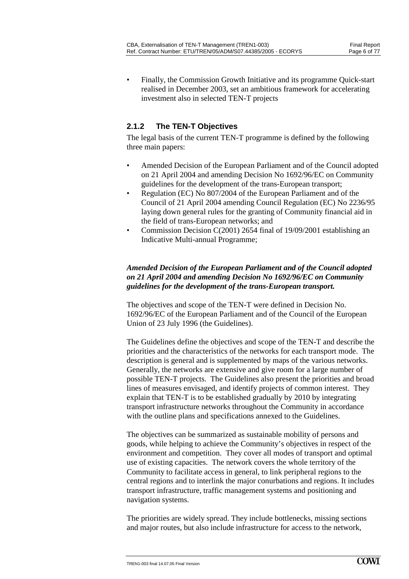• Finally, the Commission Growth Initiative and its programme Quick-start realised in December 2003, set an ambitious framework for accelerating investment also in selected TEN-T projects

#### **2.1.2 The TEN-T Objectives**

The legal basis of the current TEN-T programme is defined by the following three main papers:

- Amended Decision of the European Parliament and of the Council adopted on 21 April 2004 and amending Decision No 1692/96/EC on Community guidelines for the development of the trans-European transport;
- Regulation (EC) No 807/2004 of the European Parliament and of the Council of 21 April 2004 amending Council Regulation (EC) No 2236/95 laying down general rules for the granting of Community financial aid in the field of trans-European networks; and
- Commission Decision C(2001) 2654 final of 19/09/2001 establishing an Indicative Multi-annual Programme;

#### *Amended Decision of the European Parliament and of the Council adopted on 21 April 2004 and amending Decision No 1692/96/EC on Community guidelines for the development of the trans-European transport.*

The objectives and scope of the TEN-T were defined in Decision No. 1692/96/EC of the European Parliament and of the Council of the European Union of 23 July 1996 (the Guidelines).

The Guidelines define the objectives and scope of the TEN-T and describe the priorities and the characteristics of the networks for each transport mode. The description is general and is supplemented by maps of the various networks. Generally, the networks are extensive and give room for a large number of possible TEN-T projects. The Guidelines also present the priorities and broad lines of measures envisaged, and identify projects of common interest. They explain that TEN-T is to be established gradually by 2010 by integrating transport infrastructure networks throughout the Community in accordance with the outline plans and specifications annexed to the Guidelines.

The objectives can be summarized as sustainable mobility of persons and goods, while helping to achieve the Community's objectives in respect of the environment and competition. They cover all modes of transport and optimal use of existing capacities. The network covers the whole territory of the Community to facilitate access in general, to link peripheral regions to the central regions and to interlink the major conurbations and regions. It includes transport infrastructure, traffic management systems and positioning and navigation systems.

The priorities are widely spread. They include bottlenecks, missing sections and major routes, but also include infrastructure for access to the network,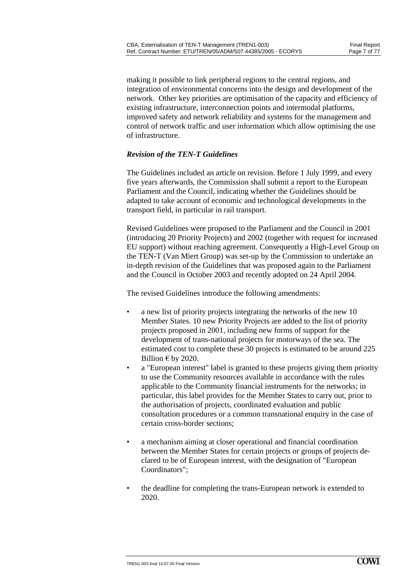making it possible to link peripheral regions to the central regions, and integration of environmental concerns into the design and development of the network. Other key priorities are optimisation of the capacity and efficiency of existing infrastructure, interconnection points and intermodal platforms, improved safety and network reliability and systems for the management and control of network traffic and user information which allow optimising the use of infrastructure.

#### *Revision of the TEN-T Guidelines*

The Guidelines included an article on revision. Before 1 July 1999, and every five years afterwards, the Commission shall submit a report to the European Parliament and the Council, indicating whether the Guidelines should be adapted to take account of economic and technological developments in the transport field, in particular in rail transport.

Revised Guidelines were proposed to the Parliament and the Council in 2001 (introducing 20 Priority Projects) and 2002 (together with request for increased EU support) without reaching agreement. Consequently a High-Level Group on the TEN-T (Van Miert Group) was set-up by the Commission to undertake an in-depth revision of the Guidelines that was proposed again to the Parliament and the Council in October 2003 and recently adopted on 24 April 2004.

The revised Guidelines introduce the following amendments:

- a new list of priority projects integrating the networks of the new 10 Member States. 10 new Priority Projects are added to the list of priority projects proposed in 2001, including new forms of support for the development of trans-national projects for motorways of the sea. The estimated cost to complete these 30 projects is estimated to be around 225 Billion  $\epsilon$  by 2020.
- a "European interest" label is granted to these projects giving them priority to use the Community resources available in accordance with the rules applicable to the Community financial instruments for the networks; in particular, this label provides for the Member States to carry out, prior to the authorisation of projects, coordinated evaluation and public consultation procedures or a common transnational enquiry in the case of certain cross-border sections;
- a mechanism aiming at closer operational and financial coordination between the Member States for certain projects or groups of projects declared to be of European interest, with the designation of "European Coordinators";
- the deadline for completing the trans-European network is extended to 2020.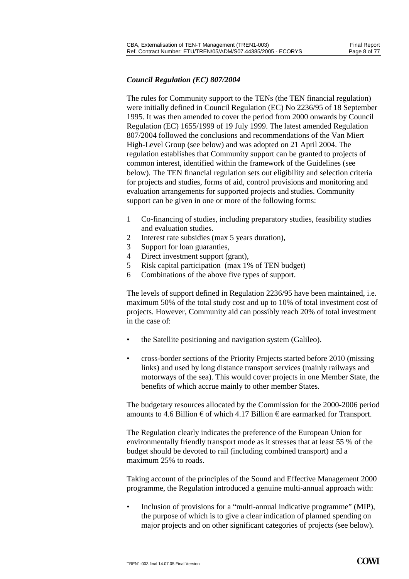#### *Council Regulation (EC) 807/2004*

The rules for Community support to the TENs (the TEN financial regulation) were initially defined in Council Regulation (EC) No 2236/95 of 18 September 1995. It was then amended to cover the period from 2000 onwards by Council Regulation (EC) 1655/1999 of 19 July 1999. The latest amended Regulation 807/2004 followed the conclusions and recommendations of the Van Miert High-Level Group (see below) and was adopted on 21 April 2004. The regulation establishes that Community support can be granted to projects of common interest, identified within the framework of the Guidelines (see below). The TEN financial regulation sets out eligibility and selection criteria for projects and studies, forms of aid, control provisions and monitoring and evaluation arrangements for supported projects and studies. Community support can be given in one or more of the following forms:

- 1 Co-financing of studies, including preparatory studies, feasibility studies and evaluation studies.
- 2 Interest rate subsidies (max 5 years duration),
- 3 Support for loan guaranties,
- 4 Direct investment support (grant),
- 5 Risk capital participation (max 1% of TEN budget)
- 6 Combinations of the above five types of support.

The levels of support defined in Regulation 2236/95 have been maintained, i.e. maximum 50% of the total study cost and up to 10% of total investment cost of projects. However, Community aid can possibly reach 20% of total investment in the case of:

- the Satellite positioning and navigation system (Galileo).
- cross-border sections of the Priority Projects started before 2010 (missing links) and used by long distance transport services (mainly railways and motorways of the sea). This would cover projects in one Member State, the benefits of which accrue mainly to other member States.

The budgetary resources allocated by the Commission for the 2000-2006 period amounts to 4.6 Billion  $\epsilon$  of which 4.17 Billion  $\epsilon$  are earmarked for Transport.

The Regulation clearly indicates the preference of the European Union for environmentally friendly transport mode as it stresses that at least 55 % of the budget should be devoted to rail (including combined transport) and a maximum 25% to roads.

Taking account of the principles of the Sound and Effective Management 2000 programme, the Regulation introduced a genuine multi-annual approach with:

Inclusion of provisions for a "multi-annual indicative programme" (MIP), the purpose of which is to give a clear indication of planned spending on major projects and on other significant categories of projects (see below).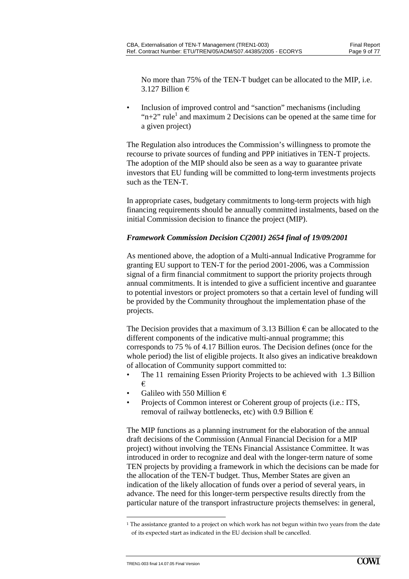No more than 75% of the TEN-T budget can be allocated to the MIP, i.e. 3.127 Billion €

• Inclusion of improved control and "sanction" mechanisms (including " $n+2$ " rule<sup>1</sup> and maximum 2 Decisions can be opened at the same time for a given project)

The Regulation also introduces the Commission's willingness to promote the recourse to private sources of funding and PPP initiatives in TEN-T projects. The adoption of the MIP should also be seen as a way to guarantee private investors that EU funding will be committed to long-term investments projects such as the TEN-T.

In appropriate cases, budgetary commitments to long-term projects with high financing requirements should be annually committed instalments, based on the initial Commission decision to finance the project (MIP).

#### *Framework Commission Decision C(2001) 2654 final of 19/09/2001*

As mentioned above, the adoption of a Multi-annual Indicative Programme for granting EU support to TEN-T for the period 2001-2006, was a Commission signal of a firm financial commitment to support the priority projects through annual commitments. It is intended to give a sufficient incentive and guarantee to potential investors or project promoters so that a certain level of funding will be provided by the Community throughout the implementation phase of the projects.

The Decision provides that a maximum of 3.13 Billion  $\epsilon$  can be allocated to the different components of the indicative multi-annual programme; this corresponds to 75 % of 4.17 Billion euros. The Decision defines (once for the whole period) the list of eligible projects. It also gives an indicative breakdown of allocation of Community support committed to:

- The 11 remaining Essen Priority Projects to be achieved with 1.3 Billion €
- Galileo with 550 Million  $\epsilon$
- Projects of Common interest or Coherent group of projects (i.e.: ITS, removal of railway bottlenecks, etc) with 0.9 Billion  $\epsilon$

The MIP functions as a planning instrument for the elaboration of the annual draft decisions of the Commission (Annual Financial Decision for a MIP project) without involving the TENs Financial Assistance Committee. It was introduced in order to recognize and deal with the longer-term nature of some TEN projects by providing a framework in which the decisions can be made for the allocation of the TEN-T budget. Thus, Member States are given an indication of the likely allocation of funds over a period of several years, in advance. The need for this longer-term perspective results directly from the particular nature of the transport infrastructure projects themselves: in general,

<sup>&</sup>lt;sup>1</sup> The assistance granted to a project on which work has not begun within two years from the date of its expected start as indicated in the EU decision shall be cancelled.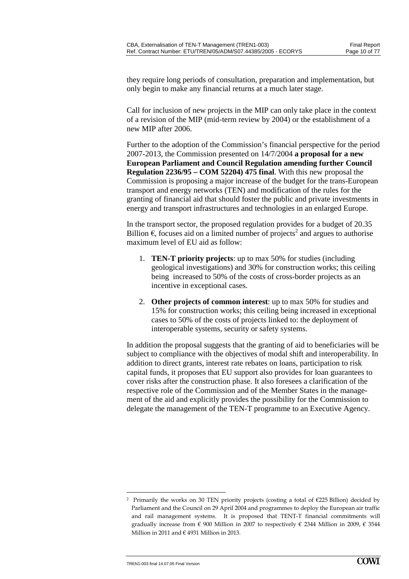they require long periods of consultation, preparation and implementation, but only begin to make any financial returns at a much later stage.

Call for inclusion of new projects in the MIP can only take place in the context of a revision of the MIP (mid-term review by 2004) or the establishment of a new MIP after 2006.

Further to the adoption of the Commission's financial perspective for the period 2007-2013, the Commission presented on 14/7/2004 **a proposal for a new European Parliament and Council Regulation amending further Council Regulation 2236/95 – COM 52204) 475 final**. With this new proposal the Commission is proposing a major increase of the budget for the trans-European transport and energy networks (TEN) and modification of the rules for the granting of financial aid that should foster the public and private investments in energy and transport infrastructures and technologies in an enlarged Europe.

In the transport sector, the proposed regulation provides for a budget of 20.35 Billion  $\epsilon$ , focuses aid on a limited number of projects<sup>2</sup> and argues to authorise maximum level of EU aid as follow:

- 1. **TEN-T priority projects**: up to max 50% for studies (including geological investigations) and 30% for construction works; this ceiling being increased to 50% of the costs of cross-border projects as an incentive in exceptional cases.
- 2. **Other projects of common interest**: up to max 50% for studies and 15% for construction works; this ceiling being increased in exceptional cases to 50% of the costs of projects linked to: the deployment of interoperable systems, security or safety systems.

In addition the proposal suggests that the granting of aid to beneficiaries will be subject to compliance with the objectives of modal shift and interoperability. In addition to direct grants, interest rate rebates on loans, participation to risk capital funds, it proposes that EU support also provides for loan guarantees to cover risks after the construction phase. It also foresees a clarification of the respective role of the Commission and of the Member States in the management of the aid and explicitly provides the possibility for the Commission to delegate the management of the TEN-T programme to an Executive Agency.

<sup>&</sup>lt;sup>2</sup> Primarily the works on 30 TEN priority projects (costing a total of  $\epsilon$ 225 Billion) decided by Parliament and the Council on 29 April 2004 and programmes to deploy the European air traffic and rail management systems. It is proposed that TENT-T financial commitments will gradually increase from  $\epsilon$  900 Million in 2007 to respectively  $\epsilon$  2344 Million in 2009,  $\epsilon$  3544 Million in 2011 and € 4931 Million in 2013.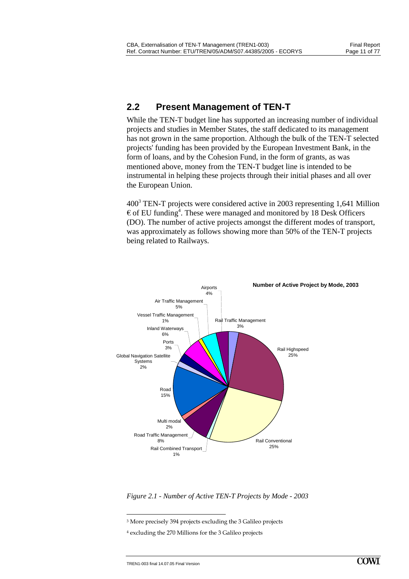## <span id="page-12-0"></span>**2.2 Present Management of TEN-T**

While the TEN-T budget line has supported an increasing number of individual projects and studies in Member States, the staff dedicated to its management has not grown in the same proportion. Although the bulk of the TEN-T selected projects' funding has been provided by the European Investment Bank, in the form of loans, and by the Cohesion Fund, in the form of grants, as was mentioned above, money from the TEN-T budget line is intended to be instrumental in helping these projects through their initial phases and all over the European Union.

400<sup>3</sup> TEN-T projects were considered active in 2003 representing 1,641 Million  $\epsilon$  of EU funding<sup>4</sup>. These were managed and monitored by 18 Desk Officers (DO). The number of active projects amongst the different modes of transport, was approximately as follows showing more than 50% of the TEN-T projects being related to Railways.



*Figure 2.1 - Number of Active TEN-T Projects by Mode - 2003* 

3 More precisely 394 projects excluding the 3 Galileo projects

<sup>4</sup> excluding the 270 Millions for the 3 Galileo projects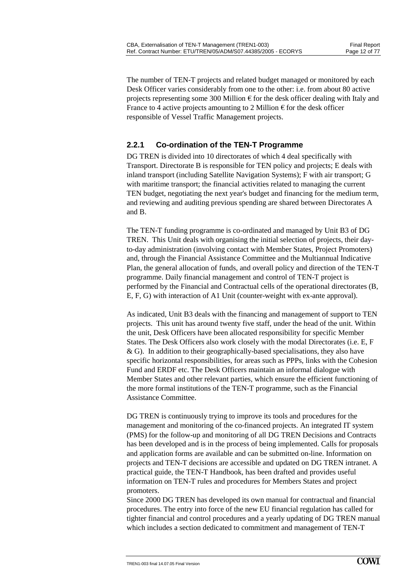The number of TEN-T projects and related budget managed or monitored by each Desk Officer varies considerably from one to the other: i.e. from about 80 active projects representing some 300 Million  $\epsilon$  for the desk officer dealing with Italy and France to 4 active projects amounting to 2 Million  $\epsilon$  for the desk officer responsible of Vessel Traffic Management projects.

#### **2.2.1 Co-ordination of the TEN-T Programme**

DG TREN is divided into 10 directorates of which 4 deal specifically with Transport. Directorate B is responsible for TEN policy and projects; E deals with inland transport (including Satellite Navigation Systems); F with air transport; G with maritime transport; the financial activities related to managing the current TEN budget, negotiating the next year's budget and financing for the medium term, and reviewing and auditing previous spending are shared between Directorates A and B.

The TEN-T funding programme is co-ordinated and managed by Unit B3 of DG TREN. This Unit deals with organising the initial selection of projects, their dayto-day administration (involving contact with Member States, Project Promoters) and, through the Financial Assistance Committee and the Multiannual Indicative Plan, the general allocation of funds, and overall policy and direction of the TEN-T programme. Daily financial management and control of TEN-T project is performed by the Financial and Contractual cells of the operational directorates (B, E, F, G) with interaction of A1 Unit (counter-weight with ex-ante approval).

As indicated, Unit B3 deals with the financing and management of support to TEN projects. This unit has around twenty five staff, under the head of the unit. Within the unit, Desk Officers have been allocated responsibility for specific Member States. The Desk Officers also work closely with the modal Directorates (i.e. E, F  $\&$  G). In addition to their geographically-based specialisations, they also have specific horizontal responsibilities, for areas such as PPPs, links with the Cohesion Fund and ERDF etc. The Desk Officers maintain an informal dialogue with Member States and other relevant parties, which ensure the efficient functioning of the more formal institutions of the TEN-T programme, such as the Financial Assistance Committee.

DG TREN is continuously trying to improve its tools and procedures for the management and monitoring of the co-financed projects. An integrated IT system (PMS) for the follow-up and monitoring of all DG TREN Decisions and Contracts has been developed and is in the process of being implemented. Calls for proposals and application forms are available and can be submitted on-line. Information on projects and TEN-T decisions are accessible and updated on DG TREN intranet. A practical guide, the TEN-T Handbook, has been drafted and provides useful information on TEN-T rules and procedures for Members States and project promoters.

Since 2000 DG TREN has developed its own manual for contractual and financial procedures. The entry into force of the new EU financial regulation has called for tighter financial and control procedures and a yearly updating of DG TREN manual which includes a section dedicated to commitment and management of TEN-T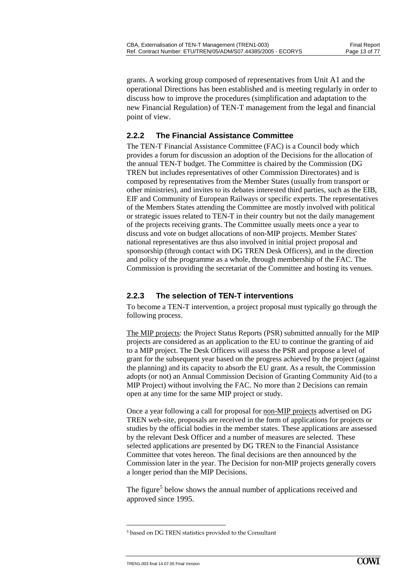grants. A working group composed of representatives from Unit A1 and the operational Directions has been established and is meeting regularly in order to discuss how to improve the procedures (simplification and adaptation to the new Financial Regulation) of TEN-T management from the legal and financial point of view.

#### **2.2.2 The Financial Assistance Committee**

The TEN-T Financial Assistance Committee (FAC) is a Council body which provides a forum for discussion an adoption of the Decisions for the allocation of the annual TEN-T budget. The Committee is chaired by the Commission (DG TREN but includes representatives of other Commission Directorates) and is composed by representatives from the Member States (usually from transport or other ministries), and invites to its debates interested third parties, such as the EIB, EIF and Community of European Railways or specific experts. The representatives of the Members States attending the Committee are mostly involved with political or strategic issues related to TEN-T in their country but not the daily management of the projects receiving grants. The Committee usually meets once a year to discuss and vote on budget allocations of non-MIP projects. Member States' national representatives are thus also involved in initial project proposal and sponsorship (through contact with DG TREN Desk Officers), and in the direction and policy of the programme as a whole, through membership of the FAC. The Commission is providing the secretariat of the Committee and hosting its venues.

#### **2.2.3 The selection of TEN-T interventions**

To become a TEN-T intervention, a project proposal must typically go through the following process.

The MIP projects: the Project Status Reports (PSR) submitted annually for the MIP projects are considered as an application to the EU to continue the granting of aid to a MIP project. The Desk Officers will assess the PSR and propose a level of grant for the subsequent year based on the progress achieved by the project (against the planning) and its capacity to absorb the EU grant. As a result, the Commission adopts (or not) an Annual Commission Decision of Granting Community Aid (to a MIP Project) without involving the FAC. No more than 2 Decisions can remain open at any time for the same MIP project or study.

Once a year following a call for proposal for non-MIP projects advertised on DG TREN web-site, proposals are received in the form of applications for projects or studies by the official bodies in the member states. These applications are assessed by the relevant Desk Officer and a number of measures are selected. These selected applications are presented by DG TREN to the Financial Assistance Committee that votes hereon. The final decisions are then announced by the Commission later in the year. The Decision for non-MIP projects generally covers a longer period than the MIP Decisions.

The figure<sup>5</sup> below shows the annual number of applications received and approved since 1995.

<sup>5</sup> based on DG TREN statistics provided to the Consultant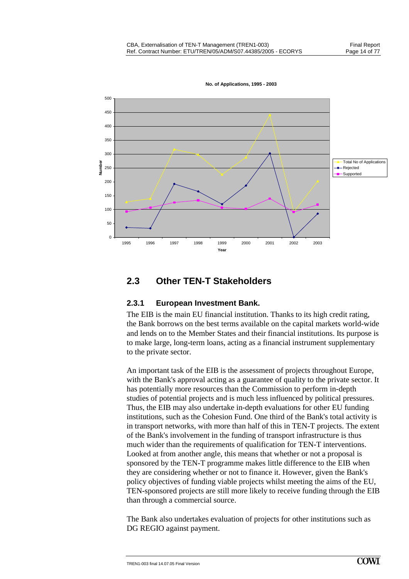<span id="page-15-0"></span>

**No. of Applications, 1995 - 2003**

## **2.3 Other TEN-T Stakeholders**

#### **2.3.1 European Investment Bank.**

The EIB is the main EU financial institution. Thanks to its high credit rating, the Bank borrows on the best terms available on the capital markets world-wide and lends on to the Member States and their financial institutions. Its purpose is to make large, long-term loans, acting as a financial instrument supplementary to the private sector.

An important task of the EIB is the assessment of projects throughout Europe, with the Bank's approval acting as a guarantee of quality to the private sector. It has potentially more resources than the Commission to perform in-depth studies of potential projects and is much less influenced by political pressures. Thus, the EIB may also undertake in-depth evaluations for other EU funding institutions, such as the Cohesion Fund. One third of the Bank's total activity is in transport networks, with more than half of this in TEN-T projects. The extent of the Bank's involvement in the funding of transport infrastructure is thus much wider than the requirements of qualification for TEN-T interventions. Looked at from another angle, this means that whether or not a proposal is sponsored by the TEN-T programme makes little difference to the EIB when they are considering whether or not to finance it. However, given the Bank's policy objectives of funding viable projects whilst meeting the aims of the EU, TEN-sponsored projects are still more likely to receive funding through the EIB than through a commercial source.

The Bank also undertakes evaluation of projects for other institutions such as DG REGIO against payment.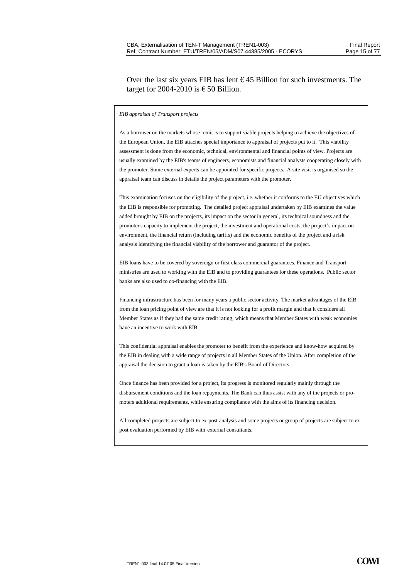#### Over the last six years EIB has lent  $\epsilon$  45 Billion for such investments. The target for 2004-2010 is  $\epsilon$  50 Billion.

#### *EIB appraisal of Transport projects*

As a borrower on the markets whose remit is to support viable projects helping to achieve the objectives of the European Union, the EIB attaches special importance to appraisal of projects put to it. This viability assessment is done from the economic, technical, environmental and financial points of view. Projects are usually examined by the EIB's teams of engineers, economists and financial analysts cooperating closely with the promoter. Some external experts can be appointed for specific projects. A site visit is organised so the appraisal team can discuss in details the project parameters with the promoter.

This examination focuses on the eligibility of the project, i.e. whether it conforms to the EU objectives which the EIB is responsible for promoting. The detailed project appraisal undertaken by EIB examines the value added brought by EIB on the projects, its impact on the sector in general, its technical soundness and the promoter's capacity to implement the project, the investment and operational costs, the project's impact on environment, the financial return (including tariffs) and the economic benefits of the project and a risk analysis identifying the financial viability of the borrower and guarantor of the project.

EIB loans have to be covered by sovereign or first class commercial guarantees. Finance and Transport ministries are used to working with the EIB and to providing guarantees for these operations. Public sector banks are also used to co-financing with the EIB.

Financing infrastructure has been for many years a public sector activity. The market advantages of the EIB from the loan pricing point of view are that it is not looking for a profit margin and that it considers all Member States as if they had the same credit rating, which means that Member States with weak economies have an incentive to work with EIB.

This confidential appraisal enables the promoter to benefit from the experience and know-how acquired by the EIB in dealing with a wide range of projects in all Member States of the Union. After completion of the appraisal the decision to grant a loan is taken by the EIB's Board of Directors.

Once finance has been provided for a project, its progress is monitored regularly mainly through the disbursement conditions and the loan repayments. The Bank can thus assist with any of the projects or promoters additional requirements, while ensuring compliance with the aims of its financing decision.

All completed projects are subject to ex-post analysis and some projects or group of projects are subject to expost evaluation performed by EIB with external consultants.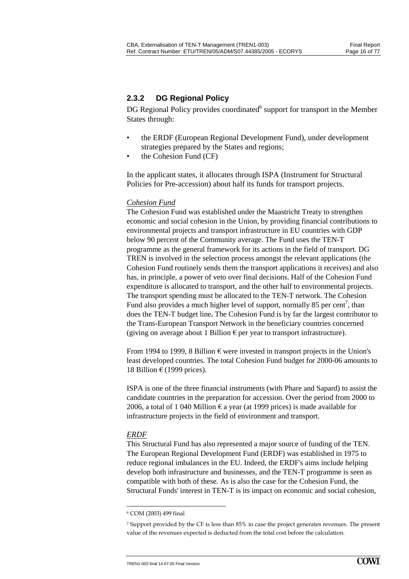#### **2.3.2 DG Regional Policy**

DG Regional Policy provides coordinated<sup>6</sup> support for transport in the Member States through:

- the ERDF (European Regional Development Fund), under development strategies prepared by the States and regions;
- the Cohesion Fund (CF)

In the applicant states, it allocates through ISPA (Instrument for Structural Policies for Pre-accession) about half its funds for transport projects.

#### *Cohesion Fund*

The Cohesion Fund was established under the Maastricht Treaty to strengthen economic and social cohesion in the Union, by providing financial contributions to environmental projects and transport infrastructure in EU countries with GDP below 90 percent of the Community average. The Fund uses the TEN-T programme as the general framework for its actions in the field of transport. DG TREN is involved in the selection process amongst the relevant applications (the Cohesion Fund routinely sends them the transport applications it receives) and also has, in principle, a power of veto over final decisions. Half of the Cohesion Fund expenditure is allocated to transport, and the other half to environmental projects. The transport spending must be allocated to the TEN-T network. The Cohesion Fund also provides a much higher level of support, normally 85 per cent<sup>7</sup>, than does the TEN-T budget line**.** The Cohesion Fund is by far the largest contributor to the Trans-European Transport Network in the beneficiary countries concerned (giving on average about 1 Billion  $\epsilon$  per year to transport infrastructure).

From 1994 to 1999, 8 Billion  $\epsilon$  were invested in transport projects in the Union's least developed countries. The total Cohesion Fund budget for 2000-06 amounts to 18 Billion € (1999 prices).

ISPA is one of the three financial instruments (with Phare and Sapard) to assist the candidate countries in the preparation for accession. Over the period from 2000 to 2006, a total of 1 040 Million  $\epsilon$  a year (at 1999 prices) is made available for infrastructure projects in the field of environment and transport.

#### *ERDF*

 $\ddot{\phantom{a}}$ 

This Structural Fund has also represented a major source of funding of the TEN. The European Regional Development Fund (ERDF) was established in 1975 to reduce regional imbalances in the EU. Indeed, the ERDF's aims include helping develop both infrastructure and businesses, and the TEN-T programme is seen as compatible with both of these. As is also the case for the Cohesion Fund, the Structural Funds' interest in TEN-T is its impact on economic and social cohesion,

<sup>6</sup> COM (2003) 499 final

<sup>7</sup> Support provided by the CF is less than 85% in case the project generates revenues. The present value of the revenues expected is deducted from the total cost before the calculation.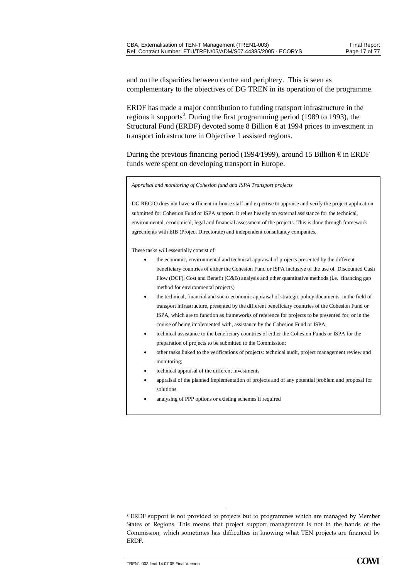and on the disparities between centre and periphery. This is seen as complementary to the objectives of DG TREN in its operation of the programme.

ERDF has made a major contribution to funding transport infrastructure in the regions it supports<sup>8</sup>. During the first programming period (1989 to 1993), the Structural Fund (ERDF) devoted some 8 Billion  $\epsilon$  at 1994 prices to investment in transport infrastructure in Objective 1 assisted regions.

During the previous financing period (1994/1999), around 15 Billion  $\epsilon$  in ERDF funds were spent on developing transport in Europe.

*Appraisal and monitoring of Cohesion fund and ISPA Transport projects* 

DG REGIO does not have sufficient in-house staff and expertise to appraise and verify the project application submitted for Cohesion Fund or ISPA support. It relies heavily on external assistance for the technical, environmental, economical, legal and financial assessment of the projects. This is done through framework agreements with EIB (Project Directorate) and independent consultancy companies.

These tasks will essentially consist of:

- the economic, environmental and technical appraisal of projects presented by the different beneficiary countries of either the Cohesion Fund or ISPA inclusive of the use of Discounted Cash Flow (DCF), Cost and Benefit (C&B) analysis and other quantitative methods (i.e. financing gap method for environmental projects)
- the technical, financial and socio-economic appraisal of strategic policy documents, in the field of transport infrastructure, presented by the different beneficiary countries of the Cohesion Fund or ISPA, which are to function as frameworks of reference for projects to be presented for, or in the course of being implemented with, assistance by the Cohesion Fund or ISPA;
- technical assistance to the beneficiary countries of either the Cohesion Funds or ISPA for the preparation of projects to be submitted to the Commission;
- other tasks linked to the verifications of projects: technical audit, project management review and monitoring;
- technical appraisal of the different investments
- appraisal of the planned implementation of projects and of any potential problem and proposal for solutions
- analysing of PPP options or existing schemes if required

<sup>8</sup> ERDF support is not provided to projects but to programmes which are managed by Member States or Regions. This means that project support management is not in the hands of the Commission, which sometimes has difficulties in knowing what TEN projects are financed by ERDF.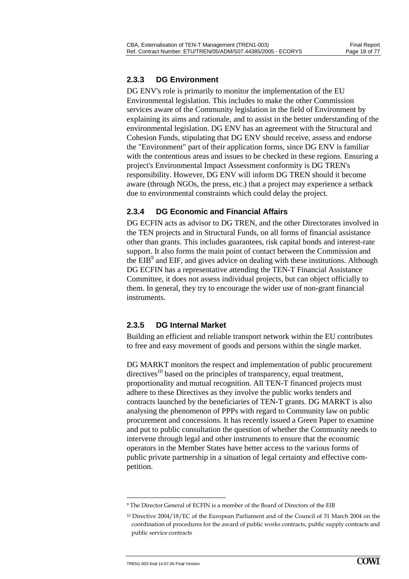#### **2.3.3 DG Environment**

DG ENV's role is primarily to monitor the implementation of the EU Environmental legislation. This includes to make the other Commission services aware of the Community legislation in the field of Environment by explaining its aims and rationale, and to assist in the better understanding of the environmental legislation. DG ENV has an agreement with the Structural and Cohesion Funds, stipulating that DG ENV should receive, assess and endorse the "Environment" part of their application forms, since DG ENV is familiar with the contentious areas and issues to be checked in these regions. Ensuring a project's Environmental Impact Assessment conformity is DG TREN's responsibility. However, DG ENV will inform DG TREN should it become aware (through NGOs, the press, etc.) that a project may experience a setback due to environmental constraints which could delay the project.

#### **2.3.4 DG Economic and Financial Affairs**

DG ECFIN acts as advisor to DG TREN, and the other Directorates involved in the TEN projects and in Structural Funds, on all forms of financial assistance other than grants. This includes guarantees, risk capital bonds and interest-rate support. It also forms the main point of contact between the Commission and the  $EIB<sup>9</sup>$  and EIF, and gives advice on dealing with these institutions. Although DG ECFIN has a representative attending the TEN-T Financial Assistance Committee, it does not assess individual projects, but can object officially to them. In general, they try to encourage the wider use of non-grant financial instruments.

#### **2.3.5 DG Internal Market**

Building an efficient and reliable transport network within the EU contributes to free and easy movement of goods and persons within the single market.

DG MARKT monitors the respect and implementation of public procurement  $\text{directives}^{10}$  based on the principles of transparency, equal treatment, proportionality and mutual recognition. All TEN-T financed projects must adhere to these Directives as they involve the public works tenders and contracts launched by the beneficiaries of TEN-T grants. DG MARKT is also analysing the phenomenon of PPPs with regard to Community law on public procurement and concessions. It has recently issued a Green Paper to examine and put to public consultation the question of whether the Community needs to intervene through legal and other instruments to ensure that the economic operators in the Member States have better access to the various forms of public private partnership in a situation of legal certainty and effective competition.

 $\ddot{\phantom{a}}$ 9 The Director General of ECFIN is a member of the Board of Directors of the EIB

<sup>10</sup> Directive 2004/18/EC of the European Parliament and of the Council of 31 March 2004 on the coordination of procedures for the award of public works contracts, public supply contracts and public service contracts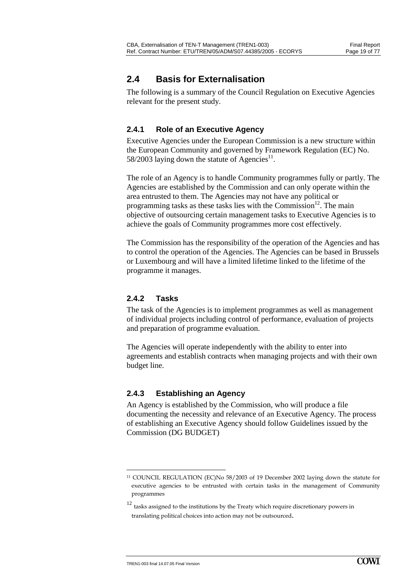## <span id="page-20-0"></span>**2.4 Basis for Externalisation**

The following is a summary of the Council Regulation on Executive Agencies relevant for the present study.

### **2.4.1 Role of an Executive Agency**

Executive Agencies under the European Commission is a new structure within the European Community and governed by Framework Regulation (EC) No. 58/2003 laying down the statute of Agencies<sup>11</sup>.

The role of an Agency is to handle Community programmes fully or partly. The Agencies are established by the Commission and can only operate within the area entrusted to them. The Agencies may not have any political or programming tasks as these tasks lies with the Commission $^{12}$ . The main objective of outsourcing certain management tasks to Executive Agencies is to achieve the goals of Community programmes more cost effectively.

The Commission has the responsibility of the operation of the Agencies and has to control the operation of the Agencies. The Agencies can be based in Brussels or Luxembourg and will have a limited lifetime linked to the lifetime of the programme it manages.

#### **2.4.2 Tasks**

The task of the Agencies is to implement programmes as well as management of individual projects including control of performance, evaluation of projects and preparation of programme evaluation.

The Agencies will operate independently with the ability to enter into agreements and establish contracts when managing projects and with their own budget line.

#### **2.4.3 Establishing an Agency**

An Agency is established by the Commission, who will produce a file documenting the necessity and relevance of an Executive Agency. The process of establishing an Executive Agency should follow Guidelines issued by the Commission (DG BUDGET)

 $\ddot{\phantom{a}}$ 

<sup>11</sup> COUNCIL REGULATION (EC)No 58/2003 of 19 December 2002 laying down the statute for executive agencies to be entrusted with certain tasks in the management of Community programmes

 $12$  tasks assigned to the institutions by the Treaty which require discretionary powers in translating political choices into action may not be outsourced.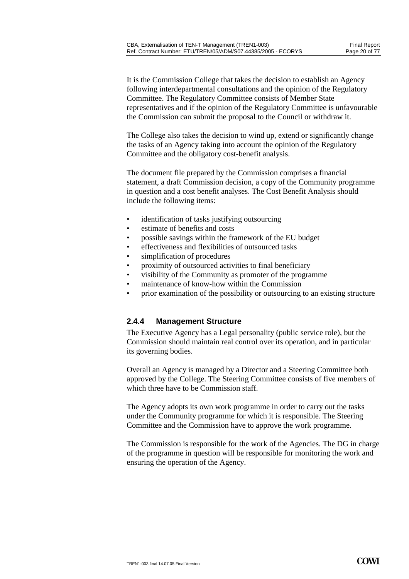It is the Commission College that takes the decision to establish an Agency following interdepartmental consultations and the opinion of the Regulatory Committee. The Regulatory Committee consists of Member State representatives and if the opinion of the Regulatory Committee is unfavourable the Commission can submit the proposal to the Council or withdraw it.

The College also takes the decision to wind up, extend or significantly change the tasks of an Agency taking into account the opinion of the Regulatory Committee and the obligatory cost-benefit analysis.

The document file prepared by the Commission comprises a financial statement, a draft Commission decision, a copy of the Community programme in question and a cost benefit analyses. The Cost Benefit Analysis should include the following items:

- identification of tasks justifying outsourcing
- estimate of benefits and costs
- possible savings within the framework of the EU budget
- effectiveness and flexibilities of outsourced tasks
- simplification of procedures
- proximity of outsourced activities to final beneficiary
- visibility of the Community as promoter of the programme
- maintenance of know-how within the Commission
- prior examination of the possibility or outsourcing to an existing structure

#### **2.4.4 Management Structure**

The Executive Agency has a Legal personality (public service role), but the Commission should maintain real control over its operation, and in particular its governing bodies.

Overall an Agency is managed by a Director and a Steering Committee both approved by the College. The Steering Committee consists of five members of which three have to be Commission staff.

The Agency adopts its own work programme in order to carry out the tasks under the Community programme for which it is responsible. The Steering Committee and the Commission have to approve the work programme.

The Commission is responsible for the work of the Agencies. The DG in charge of the programme in question will be responsible for monitoring the work and ensuring the operation of the Agency.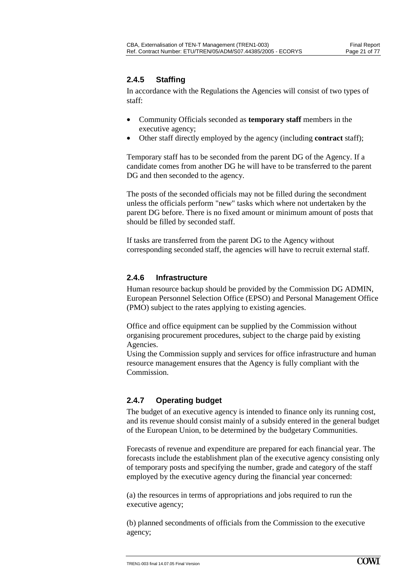### **2.4.5 Staffing**

In accordance with the Regulations the Agencies will consist of two types of staff:

- Community Officials seconded as **temporary staff** members in the executive agency;
- Other staff directly employed by the agency (including **contract** staff);

Temporary staff has to be seconded from the parent DG of the Agency. If a candidate comes from another DG he will have to be transferred to the parent DG and then seconded to the agency.

The posts of the seconded officials may not be filled during the secondment unless the officials perform "new" tasks which where not undertaken by the parent DG before. There is no fixed amount or minimum amount of posts that should be filled by seconded staff.

If tasks are transferred from the parent DG to the Agency without corresponding seconded staff, the agencies will have to recruit external staff.

#### **2.4.6 Infrastructure**

Human resource backup should be provided by the Commission DG ADMIN, European Personnel Selection Office (EPSO) and Personal Management Office (PMO) subject to the rates applying to existing agencies.

Office and office equipment can be supplied by the Commission without organising procurement procedures, subject to the charge paid by existing Agencies.

Using the Commission supply and services for office infrastructure and human resource management ensures that the Agency is fully compliant with the Commission.

## **2.4.7 Operating budget**

The budget of an executive agency is intended to finance only its running cost, and its revenue should consist mainly of a subsidy entered in the general budget of the European Union, to be determined by the budgetary Communities.

Forecasts of revenue and expenditure are prepared for each financial year. The forecasts include the establishment plan of the executive agency consisting only of temporary posts and specifying the number, grade and category of the staff employed by the executive agency during the financial year concerned:

(a) the resources in terms of appropriations and jobs required to run the executive agency;

(b) planned secondments of officials from the Commission to the executive agency;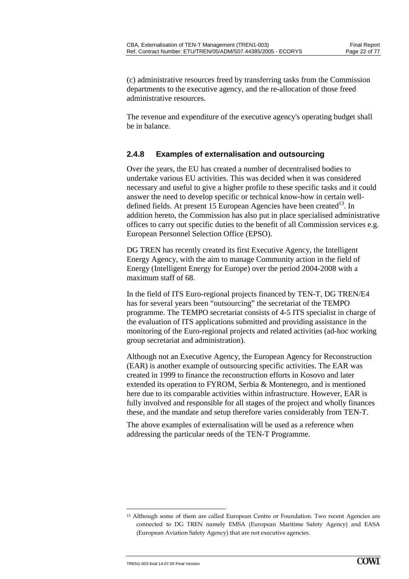(c) administrative resources freed by transferring tasks from the Commission departments to the executive agency, and the re-allocation of those freed administrative resources.

The revenue and expenditure of the executive agency's operating budget shall be in balance.

#### **2.4.8 Examples of externalisation and outsourcing**

Over the years, the EU has created a number of decentralised bodies to undertake various EU activities. This was decided when it was considered necessary and useful to give a higher profile to these specific tasks and it could answer the need to develop specific or technical know-how in certain welldefined fields. At present 15 European Agencies have been created<sup>13</sup>. In addition hereto, the Commission has also put in place specialised administrative offices to carry out specific duties to the benefit of all Commission services e.g. European Personnel Selection Office (EPSO).

DG TREN has recently created its first Executive Agency, the Intelligent Energy Agency, with the aim to manage Community action in the field of Energy (Intelligent Energy for Europe) over the period 2004-2008 with a maximum staff of 68.

In the field of ITS Euro-regional projects financed by TEN-T, DG TREN/E4 has for several years been "outsourcing" the secretariat of the TEMPO programme. The TEMPO secretariat consists of 4-5 ITS specialist in charge of the evaluation of ITS applications submitted and providing assistance in the monitoring of the Euro-regional projects and related activities (ad-hoc working group secretariat and administration).

Although not an Executive Agency, the European Agency for Reconstruction (EAR) is another example of outsourcing specific activities. The EAR was created in 1999 to finance the reconstruction efforts in Kosovo and later extended its operation to FYROM, Serbia & Montenegro, and is mentioned here due to its comparable activities within infrastructure. However, EAR is fully involved and responsible for all stages of the project and wholly finances these, and the mandate and setup therefore varies considerably from TEN-T.

The above examples of externalisation will be used as a reference when addressing the particular needs of the TEN-T Programme.

l 13 Although some of them are called European Centre or Foundation. Two recent Agencies are connected to DG TREN namely EMSA (European Maritime Safety Agency) and EASA (European Aviation Safety Agency) that are not executive agencies.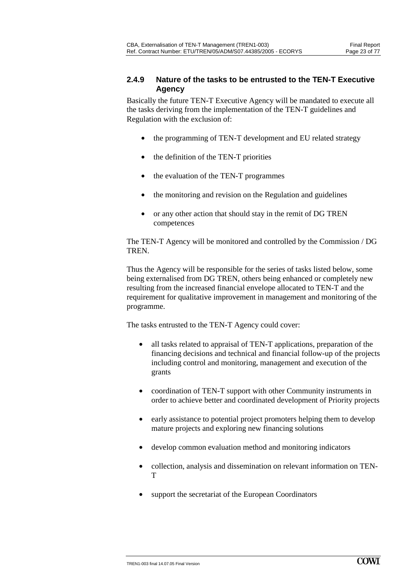#### **2.4.9 Nature of the tasks to be entrusted to the TEN-T Executive Agency**

Basically the future TEN-T Executive Agency will be mandated to execute all the tasks deriving from the implementation of the TEN-T guidelines and Regulation with the exclusion of:

- the programming of TEN-T development and EU related strategy
- the definition of the TEN-T priorities
- the evaluation of the TEN-T programmes
- the monitoring and revision on the Regulation and guidelines
- or any other action that should stay in the remit of DG TREN competences

The TEN-T Agency will be monitored and controlled by the Commission / DG TREN.

Thus the Agency will be responsible for the series of tasks listed below, some being externalised from DG TREN, others being enhanced or completely new resulting from the increased financial envelope allocated to TEN-T and the requirement for qualitative improvement in management and monitoring of the programme.

The tasks entrusted to the TEN-T Agency could cover:

- all tasks related to appraisal of TEN-T applications, preparation of the financing decisions and technical and financial follow-up of the projects including control and monitoring, management and execution of the grants
- coordination of TEN-T support with other Community instruments in order to achieve better and coordinated development of Priority projects
- early assistance to potential project promoters helping them to develop mature projects and exploring new financing solutions
- develop common evaluation method and monitoring indicators
- collection, analysis and dissemination on relevant information on TEN-T
- support the secretariat of the European Coordinators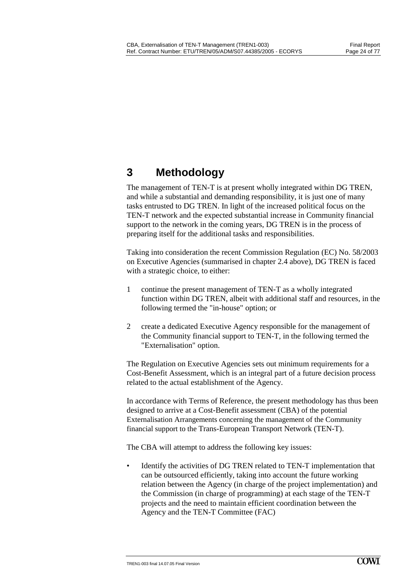# <span id="page-25-0"></span>**3 Methodology**

The management of TEN-T is at present wholly integrated within DG TREN, and while a substantial and demanding responsibility, it is just one of many tasks entrusted to DG TREN. In light of the increased political focus on the TEN-T network and the expected substantial increase in Community financial support to the network in the coming years, DG TREN is in the process of preparing itself for the additional tasks and responsibilities.

Taking into consideration the recent Commission Regulation (EC) No. 58/2003 on Executive Agencies (summarised in chapter 2.4 above), DG TREN is faced with a strategic choice, to either:

- 1 continue the present management of TEN-T as a wholly integrated function within DG TREN, albeit with additional staff and resources, in the following termed the "in-house" option; or
- 2 create a dedicated Executive Agency responsible for the management of the Community financial support to TEN-T, in the following termed the "Externalisation" option.

The Regulation on Executive Agencies sets out minimum requirements for a Cost-Benefit Assessment, which is an integral part of a future decision process related to the actual establishment of the Agency.

In accordance with Terms of Reference, the present methodology has thus been designed to arrive at a Cost-Benefit assessment (CBA) of the potential Externalisation Arrangements concerning the management of the Community financial support to the Trans-European Transport Network (TEN-T).

The CBA will attempt to address the following key issues:

• Identify the activities of DG TREN related to TEN-T implementation that can be outsourced efficiently, taking into account the future working relation between the Agency (in charge of the project implementation) and the Commission (in charge of programming) at each stage of the TEN-T projects and the need to maintain efficient coordination between the Agency and the TEN-T Committee (FAC)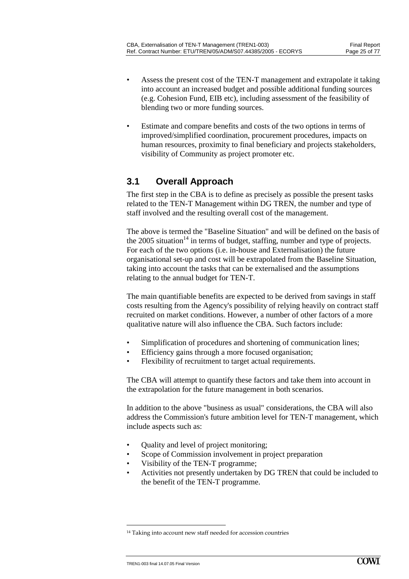- <span id="page-26-0"></span>Assess the present cost of the TEN-T management and extrapolate it taking into account an increased budget and possible additional funding sources (e.g. Cohesion Fund, EIB etc), including assessment of the feasibility of blending two or more funding sources.
- Estimate and compare benefits and costs of the two options in terms of improved/simplified coordination, procurement procedures, impacts on human resources, proximity to final beneficiary and projects stakeholders, visibility of Community as project promoter etc.

# **3.1 Overall Approach**

The first step in the CBA is to define as precisely as possible the present tasks related to the TEN-T Management within DG TREN, the number and type of staff involved and the resulting overall cost of the management.

The above is termed the "Baseline Situation" and will be defined on the basis of the 2005 situation<sup>14</sup> in terms of budget, staffing, number and type of projects. For each of the two options (i.e. in-house and Externalisation) the future organisational set-up and cost will be extrapolated from the Baseline Situation, taking into account the tasks that can be externalised and the assumptions relating to the annual budget for TEN-T.

The main quantifiable benefits are expected to be derived from savings in staff costs resulting from the Agency's possibility of relying heavily on contract staff recruited on market conditions. However, a number of other factors of a more qualitative nature will also influence the CBA. Such factors include:

- Simplification of procedures and shortening of communication lines;
- Efficiency gains through a more focused organisation;
- Flexibility of recruitment to target actual requirements.

The CBA will attempt to quantify these factors and take them into account in the extrapolation for the future management in both scenarios.

In addition to the above "business as usual" considerations, the CBA will also address the Commission's future ambition level for TEN-T management, which include aspects such as:

- Quality and level of project monitoring;
- Scope of Commission involvement in project preparation
- Visibility of the TEN-T programme;
- Activities not presently undertaken by DG TREN that could be included to the benefit of the TEN-T programme.

<sup>&</sup>lt;sup>14</sup> Taking into account new staff needed for accession countries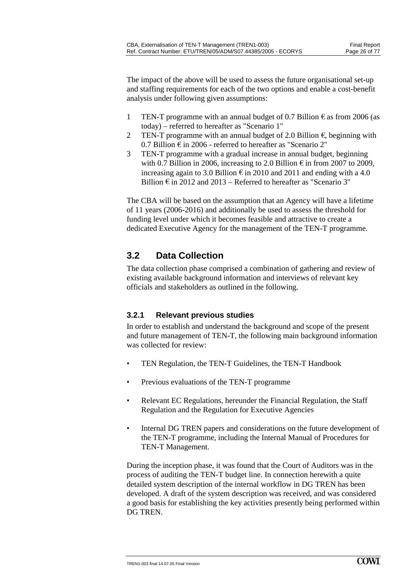<span id="page-27-0"></span>The impact of the above will be used to assess the future organisational set-up and staffing requirements for each of the two options and enable a cost-benefit analysis under following given assumptions:

- 1 TEN-T programme with an annual budget of 0.7 Billion  $\epsilon$  as from 2006 (as today) – referred to hereafter as "Scenario 1"
- 2 TEN-T programme with an annual budget of 2.0 Billion  $\epsilon$ , beginning with 0.7 Billion € in 2006 - referred to hereafter as "Scenario 2"
- 3 TEN-T programme with a gradual increase in annual budget, beginning with 0.7 Billion in 2006, increasing to 2.0 Billion  $\epsilon$  in from 2007 to 2009, increasing again to 3.0 Billion  $\epsilon$  in 2010 and 2011 and ending with a 4.0 Billion  $\epsilon$  in 2012 and 2013 – Referred to hereafter as "Scenario 3"

The CBA will be based on the assumption that an Agency will have a lifetime of 11 years (2006-2016) and additionally be used to assess the threshold for funding level under which it becomes feasible and attractive to create a dedicated Executive Agency for the management of the TEN-T programme.

# **3.2 Data Collection**

The data collection phase comprised a combination of gathering and review of existing available background information and interviews of relevant key officials and stakeholders as outlined in the following.

## **3.2.1 Relevant previous studies**

In order to establish and understand the background and scope of the present and future management of TEN-T, the following main background information was collected for review:

- TEN Regulation, the TEN-T Guidelines, the TEN-T Handbook
- Previous evaluations of the TEN-T programme
- Relevant EC Regulations, hereunder the Financial Regulation, the Staff Regulation and the Regulation for Executive Agencies
- Internal DG TREN papers and considerations on the future development of the TEN-T programme, including the Internal Manual of Procedures for TEN-T Management.

During the inception phase, it was found that the Court of Auditors was in the process of auditing the TEN-T budget line. In connection herewith a quite detailed system description of the internal workflow in DG TREN has been developed. A draft of the system description was received, and was considered a good basis for establishing the key activities presently being performed within DG TREN.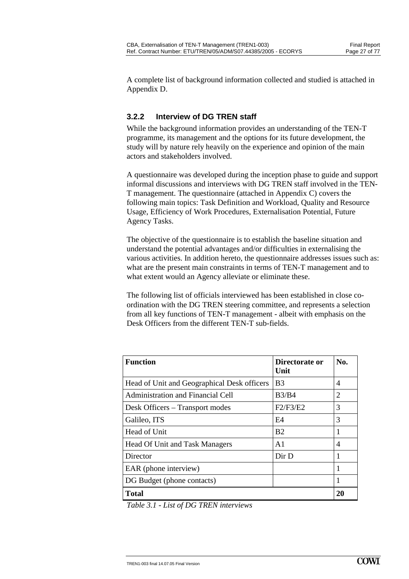A complete list of background information collected and studied is attached in Appendix D.

#### **3.2.2 Interview of DG TREN staff**

While the background information provides an understanding of the TEN-T programme, its management and the options for its future development, the study will by nature rely heavily on the experience and opinion of the main actors and stakeholders involved.

A questionnaire was developed during the inception phase to guide and support informal discussions and interviews with DG TREN staff involved in the TEN-T management. The questionnaire (attached in Appendix C) covers the following main topics: Task Definition and Workload, Quality and Resource Usage, Efficiency of Work Procedures, Externalisation Potential, Future Agency Tasks.

The objective of the questionnaire is to establish the baseline situation and understand the potential advantages and/or difficulties in externalising the various activities. In addition hereto, the questionnaire addresses issues such as: what are the present main constraints in terms of TEN-T management and to what extent would an Agency alleviate or eliminate these.

The following list of officials interviewed has been established in close coordination with the DG TREN steering committee, and represents a selection from all key functions of TEN-T management - albeit with emphasis on the Desk Officers from the different TEN-T sub-fields.

| <b>Function</b>                             | Directorate or<br>Unit | No.            |
|---------------------------------------------|------------------------|----------------|
| Head of Unit and Geographical Desk officers | B <sub>3</sub>         | $\overline{4}$ |
| Administration and Financial Cell           | B3/B4                  | 2              |
| Desk Officers – Transport modes             | F2/F3/E2               | 3              |
| Galileo, ITS                                | F4                     | 3              |
| Head of Unit                                | B <sub>2</sub>         | 1              |
| <b>Head Of Unit and Task Managers</b>       | A <sub>1</sub>         | $\overline{4}$ |
| Director                                    | Dir D                  |                |
| EAR (phone interview)                       |                        |                |
| DG Budget (phone contacts)                  |                        |                |
| <b>Total</b>                                |                        | 20             |

*Table 3.1 - List of DG TREN interviews*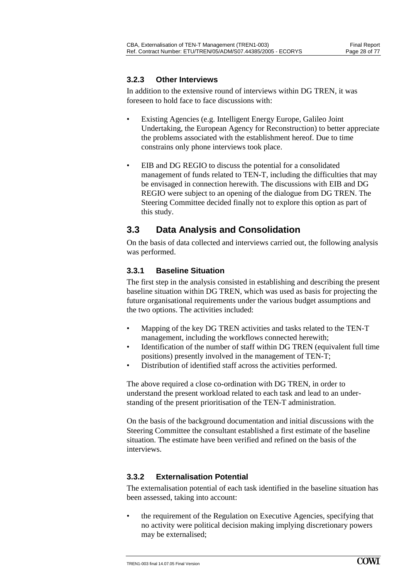#### <span id="page-29-0"></span>**3.2.3 Other Interviews**

In addition to the extensive round of interviews within DG TREN, it was foreseen to hold face to face discussions with:

- Existing Agencies (e.g. Intelligent Energy Europe, Galileo Joint Undertaking, the European Agency for Reconstruction) to better appreciate the problems associated with the establishment hereof. Due to time constrains only phone interviews took place.
- EIB and DG REGIO to discuss the potential for a consolidated management of funds related to TEN-T, including the difficulties that may be envisaged in connection herewith. The discussions with EIB and DG REGIO were subject to an opening of the dialogue from DG TREN. The Steering Committee decided finally not to explore this option as part of this study.

## **3.3 Data Analysis and Consolidation**

On the basis of data collected and interviews carried out, the following analysis was performed.

#### **3.3.1 Baseline Situation**

The first step in the analysis consisted in establishing and describing the present baseline situation within DG TREN, which was used as basis for projecting the future organisational requirements under the various budget assumptions and the two options. The activities included:

- Mapping of the key DG TREN activities and tasks related to the TEN-T management, including the workflows connected herewith;
- Identification of the number of staff within DG TREN (equivalent full time positions) presently involved in the management of TEN-T;
- Distribution of identified staff across the activities performed.

The above required a close co-ordination with DG TREN, in order to understand the present workload related to each task and lead to an understanding of the present prioritisation of the TEN-T administration.

On the basis of the background documentation and initial discussions with the Steering Committee the consultant established a first estimate of the baseline situation. The estimate have been verified and refined on the basis of the interviews.

#### **3.3.2 Externalisation Potential**

The externalisation potential of each task identified in the baseline situation has been assessed, taking into account:

• the requirement of the Regulation on Executive Agencies, specifying that no activity were political decision making implying discretionary powers may be externalised;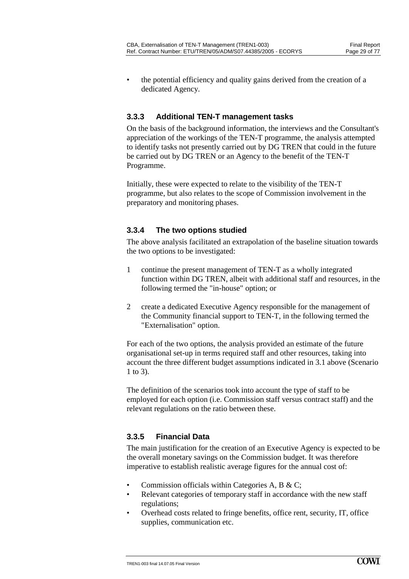• the potential efficiency and quality gains derived from the creation of a dedicated Agency.

#### **3.3.3 Additional TEN-T management tasks**

On the basis of the background information, the interviews and the Consultant's appreciation of the workings of the TEN-T programme, the analysis attempted to identify tasks not presently carried out by DG TREN that could in the future be carried out by DG TREN or an Agency to the benefit of the TEN-T Programme.

Initially, these were expected to relate to the visibility of the TEN-T programme, but also relates to the scope of Commission involvement in the preparatory and monitoring phases.

#### **3.3.4 The two options studied**

The above analysis facilitated an extrapolation of the baseline situation towards the two options to be investigated:

- 1 continue the present management of TEN-T as a wholly integrated function within DG TREN, albeit with additional staff and resources, in the following termed the "in-house" option; or
- 2 create a dedicated Executive Agency responsible for the management of the Community financial support to TEN-T, in the following termed the "Externalisation" option.

For each of the two options, the analysis provided an estimate of the future organisational set-up in terms required staff and other resources, taking into account the three different budget assumptions indicated in 3.1 above (Scenario 1 to 3).

The definition of the scenarios took into account the type of staff to be employed for each option (i.e. Commission staff versus contract staff) and the relevant regulations on the ratio between these.

#### **3.3.5 Financial Data**

The main justification for the creation of an Executive Agency is expected to be the overall monetary savings on the Commission budget. It was therefore imperative to establish realistic average figures for the annual cost of:

- Commission officials within Categories A, B & C;
- Relevant categories of temporary staff in accordance with the new staff regulations;
- Overhead costs related to fringe benefits, office rent, security, IT, office supplies, communication etc.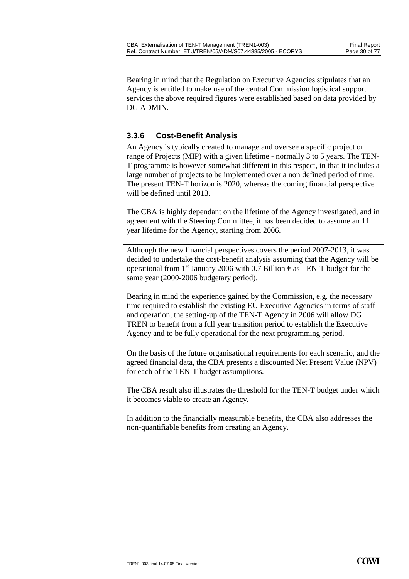Bearing in mind that the Regulation on Executive Agencies stipulates that an Agency is entitled to make use of the central Commission logistical support services the above required figures were established based on data provided by DG ADMIN.

#### **3.3.6 Cost-Benefit Analysis**

An Agency is typically created to manage and oversee a specific project or range of Projects (MIP) with a given lifetime - normally 3 to 5 years. The TEN-T programme is however somewhat different in this respect, in that it includes a large number of projects to be implemented over a non defined period of time. The present TEN-T horizon is 2020, whereas the coming financial perspective will be defined until 2013.

The CBA is highly dependant on the lifetime of the Agency investigated, and in agreement with the Steering Committee, it has been decided to assume an 11 year lifetime for the Agency, starting from 2006.

Although the new financial perspectives covers the period 2007-2013, it was decided to undertake the cost-benefit analysis assuming that the Agency will be operational from 1<sup>st</sup> January 2006 with 0.7 Billion  $\epsilon$  as TEN-T budget for the same year (2000-2006 budgetary period).

Bearing in mind the experience gained by the Commission, e.g. the necessary time required to establish the existing EU Executive Agencies in terms of staff and operation, the setting-up of the TEN-T Agency in 2006 will allow DG TREN to benefit from a full year transition period to establish the Executive Agency and to be fully operational for the next programming period.

On the basis of the future organisational requirements for each scenario, and the agreed financial data, the CBA presents a discounted Net Present Value (NPV) for each of the TEN-T budget assumptions.

The CBA result also illustrates the threshold for the TEN-T budget under which it becomes viable to create an Agency.

In addition to the financially measurable benefits, the CBA also addresses the non-quantifiable benefits from creating an Agency.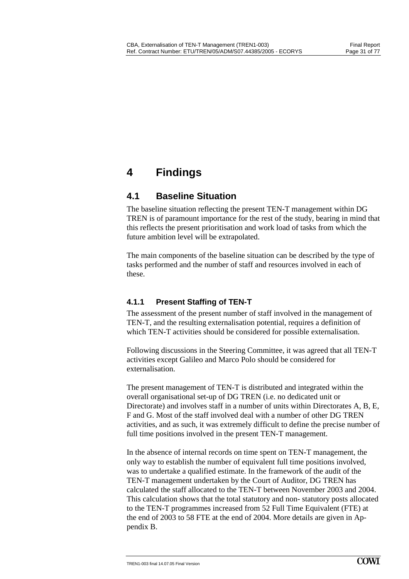# <span id="page-32-0"></span>**4 Findings**

## **4.1 Baseline Situation**

The baseline situation reflecting the present TEN-T management within DG TREN is of paramount importance for the rest of the study, bearing in mind that this reflects the present prioritisation and work load of tasks from which the future ambition level will be extrapolated.

The main components of the baseline situation can be described by the type of tasks performed and the number of staff and resources involved in each of these.

#### **4.1.1 Present Staffing of TEN-T**

The assessment of the present number of staff involved in the management of TEN-T, and the resulting externalisation potential, requires a definition of which TEN-T activities should be considered for possible externalisation.

Following discussions in the Steering Committee, it was agreed that all TEN-T activities except Galileo and Marco Polo should be considered for externalisation.

The present management of TEN-T is distributed and integrated within the overall organisational set-up of DG TREN (i.e. no dedicated unit or Directorate) and involves staff in a number of units within Directorates A, B, E, F and G. Most of the staff involved deal with a number of other DG TREN activities, and as such, it was extremely difficult to define the precise number of full time positions involved in the present TEN-T management.

In the absence of internal records on time spent on TEN-T management, the only way to establish the number of equivalent full time positions involved, was to undertake a qualified estimate. In the framework of the audit of the TEN-T management undertaken by the Court of Auditor, DG TREN has calculated the staff allocated to the TEN-T between November 2003 and 2004. This calculation shows that the total statutory and non- statutory posts allocated to the TEN-T programmes increased from 52 Full Time Equivalent (FTE) at the end of 2003 to 58 FTE at the end of 2004. More details are given in Appendix B.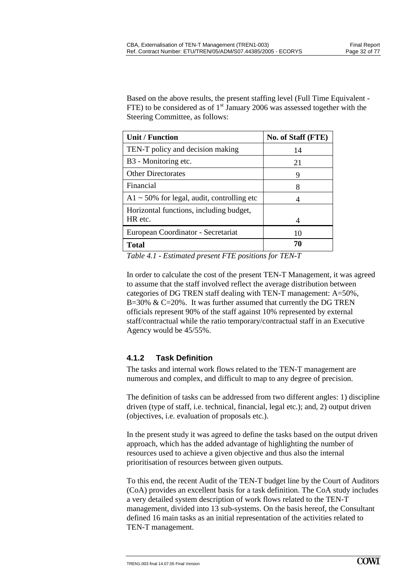Based on the above results, the present staffing level (Full Time Equivalent - FTE) to be considered as of  $1<sup>st</sup>$  January 2006 was assessed together with the Steering Committee, as follows:

| <b>Unit / Function</b>                           | No. of Staff (FTE) |
|--------------------------------------------------|--------------------|
| TEN-T policy and decision making                 | 14                 |
| B <sub>3</sub> - Monitoring etc.                 | 21                 |
| <b>Other Directorates</b>                        | 9                  |
| Financial                                        | 8                  |
| $A1 \sim 50\%$ for legal, audit, controlling etc |                    |
| Horizontal functions, including budget,          |                    |
| HR etc.                                          |                    |
| European Coordinator - Secretariat               | 10                 |
| <b>Total</b>                                     | 70                 |

*Table 4.1 - Estimated present FTE positions for TEN-T* 

In order to calculate the cost of the present TEN-T Management, it was agreed to assume that the staff involved reflect the average distribution between categories of DG TREN staff dealing with TEN-T management: A=50%,  $B=30\% \& C=20\%$ . It was further assumed that currently the DG TREN officials represent 90% of the staff against 10% represented by external staff/contractual while the ratio temporary/contractual staff in an Executive Agency would be 45/55%.

#### **4.1.2 Task Definition**

The tasks and internal work flows related to the TEN-T management are numerous and complex, and difficult to map to any degree of precision.

The definition of tasks can be addressed from two different angles: 1) discipline driven (type of staff, i.e. technical, financial, legal etc.); and, 2) output driven (objectives, i.e. evaluation of proposals etc.).

In the present study it was agreed to define the tasks based on the output driven approach, which has the added advantage of highlighting the number of resources used to achieve a given objective and thus also the internal prioritisation of resources between given outputs.

To this end, the recent Audit of the TEN-T budget line by the Court of Auditors (CoA) provides an excellent basis for a task definition. The CoA study includes a very detailed system description of work flows related to the TEN-T management, divided into 13 sub-systems. On the basis hereof, the Consultant defined 16 main tasks as an initial representation of the activities related to TEN-T management.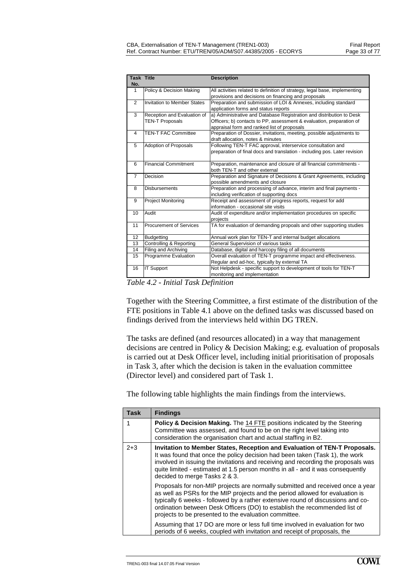|                | Task Title                         | <b>Description</b>                                                         |
|----------------|------------------------------------|----------------------------------------------------------------------------|
| No.            |                                    |                                                                            |
| 1              | Policy & Decision Making           | All activities related to definition of strategy, legal base, implementing |
|                |                                    | provisions and decisions on financing and proposals                        |
| 2              | <b>Invitation to Member States</b> | Preparation and submission of LOI & Annexes, including standard            |
|                |                                    | application forms and status reports                                       |
| 3              | Reception and Evaluation of        | a) Administrative and Database Registration and distribution to Desk       |
|                | <b>TEN-T Proposals</b>             | Officers; b) contacts to PP, assessment & evaluation, preparation of       |
|                |                                    | appraisal form and ranked list of proposals                                |
| 4              | <b>TEN-T FAC Committee</b>         | Preparation of Dossier, invitations, meeting, possible adjustments to      |
|                |                                    | draft allocation, notes & minutes                                          |
| 5              | <b>Adoption of Proposals</b>       | Following TEN-T FAC approval, interservice consultation and                |
|                |                                    | preparation of final docs and translation - including pos. Later revision  |
|                |                                    |                                                                            |
| 6              | <b>Financial Commitment</b>        | Preparation, maintenance and closure of all financial commitments -        |
|                |                                    | both TEN-T and other external                                              |
| $\overline{7}$ | Decision                           | Preparation and Signature of Decisions & Grant Agreements, including       |
|                |                                    | possible amendments and closure                                            |
| 8              | <b>Disbursements</b>               | Preparation and processing of advance, interim and final payments -        |
|                |                                    | including verification of supporting docs                                  |
| 9              | <b>Project Monitoring</b>          | Receipt and assessment of progress reports, request for add                |
|                |                                    | information - occasional site visits                                       |
| 10             | Audit                              | Audit of expenditure and/or implementation procedures on specific          |
|                |                                    | projects                                                                   |
| 11             | <b>Procurement of Services</b>     | TA for evaluation of demanding propoals and other supporting studies       |
|                |                                    |                                                                            |
| 12             | <b>Budgetting</b>                  | Annual work plan for TEN-T and internal budget allocations                 |
| 13             | Controlling & Reporting            | General Supervision of various tasks                                       |
| 14             | Filing and Archiving               | Database, digital and harcopy filing of all documents                      |
| 15             | Programme Evaluation               | Overall evaluation of TEN-T programme impact and effectiveness.            |
|                |                                    | Regular and ad-hoc, typically by external TA                               |
| 16             | <b>IT Support</b>                  | Not Helpdesk - specific support to development of tools for TEN-T          |
|                |                                    | monitoring and implementation                                              |

*Table 4.2 - Initial Task Definition* 

Together with the Steering Committee, a first estimate of the distribution of the FTE positions in Table 4.1 above on the defined tasks was discussed based on findings derived from the interviews held within DG TREN.

The tasks are defined (and resources allocated) in a way that management decisions are centred in Policy & Decision Making; e.g. evaluation of proposals is carried out at Desk Officer level, including initial prioritisation of proposals in Task 3, after which the decision is taken in the evaluation committee (Director level) and considered part of Task 1.

The following table highlights the main findings from the interviews.

| <b>Task</b> | <b>Findings</b>                                                                                                                                                                                                                                                                                                                                                                           |
|-------------|-------------------------------------------------------------------------------------------------------------------------------------------------------------------------------------------------------------------------------------------------------------------------------------------------------------------------------------------------------------------------------------------|
|             | <b>Policy &amp; Decision Making.</b> The 14 FTE positions indicated by the Steering<br>Committee was assessed, and found to be on the right level taking into<br>consideration the organisation chart and actual staffing in B2.                                                                                                                                                          |
| $2 + 3$     | Invitation to Member States, Reception and Evaluation of TEN-T Proposals.<br>It was found that once the policy decision had been taken (Task 1), the work<br>involved in issuing the invitations and receiving and recording the proposals was<br>quite limited - estimated at 1.5 person months in all - and it was consequently<br>decided to merge Tasks 2 & 3.                        |
|             | Proposals for non-MIP projects are normally submitted and received once a year<br>as well as PSRs for the MIP projects and the period allowed for evaluation is<br>typically 6 weeks - followed by a rather extensive round of discussions and co-<br>ordination between Desk Officers (DO) to establish the recommended list of<br>projects to be presented to the evaluation committee. |
|             | Assuming that 17 DO are more or less full time involved in evaluation for two<br>periods of 6 weeks, coupled with invitation and receipt of proposals, the                                                                                                                                                                                                                                |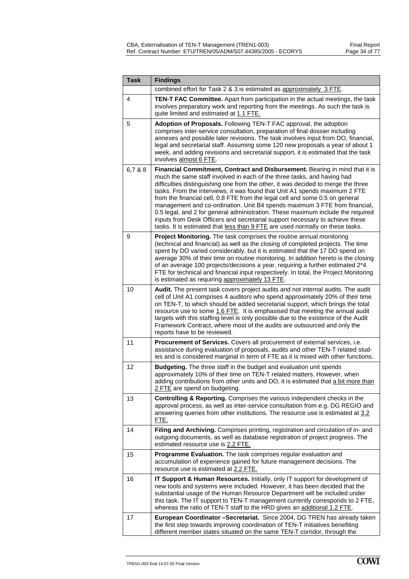| <b>Task</b> | <b>Findings</b>                                                                                                                                                                                                                                                                                                                                                                                                                                                                                                                                                                                                                                                                                                                             |
|-------------|---------------------------------------------------------------------------------------------------------------------------------------------------------------------------------------------------------------------------------------------------------------------------------------------------------------------------------------------------------------------------------------------------------------------------------------------------------------------------------------------------------------------------------------------------------------------------------------------------------------------------------------------------------------------------------------------------------------------------------------------|
|             | combined effort for Task 2 & 3 is estimated as approximately 3 FTE.                                                                                                                                                                                                                                                                                                                                                                                                                                                                                                                                                                                                                                                                         |
| 4           | <b>TEN-T FAC Committee.</b> Apart from participation in the actual meetings, the task<br>involves preparatory work and reporting from the meetings. As such the task is<br>quite limited and estimated at 1.1 FTE.                                                                                                                                                                                                                                                                                                                                                                                                                                                                                                                          |
| 5           | Adoption of Proposals. Following TEN-T FAC approval, the adoption<br>comprises inter-service consultation, preparation of final dossier including<br>annexes and possible later revisions. The task involves input from DO, financial,<br>legal and secretarial staff. Assuming some 120 new proposals a year of about 1<br>week, and adding revisions and secretarial support, it is estimated that the task<br>involves almost 6 FTE.                                                                                                                                                                                                                                                                                                     |
| 6,7 & 8     | Financial Commitment, Contract and Disbursement. Bearing in mind that it is<br>much the same staff involved in each of the three tasks, and having had<br>difficulties distinguishing one from the other, it was decided to merge the three<br>tasks. From the interviews, it was found that Unit A1 spends maximum 2 FTE<br>from the financial cell, 0.8 FTE from the legal cell and some 0.5 on general<br>management and co-ordination. Unit B4 spends maximum 3 FTE from financial,<br>0.5 legal, and 2 for general administration. These maximum include the required<br>inputs from Desk Officers and secretarial support necessary to achieve these<br>tasks. It is estimated that less than 9 FTE are used normally on these tasks. |
| 9           | Project Monitoring. The task comprises the routine annual monitoring<br>(technical and financial) as well as the closing of completed projects. The time<br>spent by DO varied considerably, but it is estimated that the 17 DO spend on<br>average 30% of their time on routine monitoring. In addition hereto is the closing<br>of an average 100 projects/decisions a year, requiring a further estimated 2*4<br>FTE for technical and financial input respectively. In total, the Project Monitoring<br>is estimated as requiring approximately 13 FTE.                                                                                                                                                                                 |
| 10          | Audit. The present task covers project audits and not internal audits. The audit<br>cell of Unit A1 comprises 4 auditors who spend approximately 20% of their time<br>on TEN-T, to which should be added secretarial support, which brings the total<br>resource use to some 1.6 FTE. It is emphasised that meeting the annual audit<br>targets with this staffing level is only possible due to the existence of the Audit<br>Framework Contract, where most of the audits are outsourced and only the<br>reports have to be reviewed.                                                                                                                                                                                                     |
| 11          | Procurement of Services. Covers all procurement of external services, i.e.<br>assistance during evaluation of proposals, audits and other TEN-T related stud-<br>ies and is considered marginal in term of FTE as it is mixed with other functions.                                                                                                                                                                                                                                                                                                                                                                                                                                                                                         |
| 12          | Budgeting. The three staff in the budget and evaluation unit spends<br>approximately 10% of their time on TEN-T related matters. However, when<br>adding contributions from other units and DO, it is estimated that a bit more than<br>2 FTE are spend on budgeting.                                                                                                                                                                                                                                                                                                                                                                                                                                                                       |
| 13          | <b>Controlling &amp; Reporting.</b> Comprises the various independent checks in the<br>approval process, as well as inter-service consultation from e.g. DG REGIO and<br>answering queries from other institutions. The resource use is estimated at 3.2<br>FTE.                                                                                                                                                                                                                                                                                                                                                                                                                                                                            |
| 14          | Filing and Archiving. Comprises printing, registration and circulation of in- and<br>outgoing documents, as well as database registration of project progress. The<br>estimated resource use is 2.2 FTE.                                                                                                                                                                                                                                                                                                                                                                                                                                                                                                                                    |
| 15          | Programme Evaluation. The task comprises regular evaluation and<br>accumulation of experience gained for future management decisions. The<br>resource use is estimated at 2.2 FTE.                                                                                                                                                                                                                                                                                                                                                                                                                                                                                                                                                          |
| 16          | <b>IT Support &amp; Human Resources.</b> Initially, only IT support for development of<br>new tools and systems were included. However, it has been decided that the<br>substantial usage of the Human Resource Department will be included under<br>this task. The IT support to TEN-T management currently corresponds to 2 FTE,<br>whereas the ratio of TEN-T staff to the HRD gives an additional 1.2 FTE.                                                                                                                                                                                                                                                                                                                              |
| 17          | <b>European Coordinator – Secretariat.</b> Since 2004, DG TREN has already taken<br>the first step towards improving coordination of TEN-T initiatives benefiting<br>different member states situated on the same TEN-T corridor, through the                                                                                                                                                                                                                                                                                                                                                                                                                                                                                               |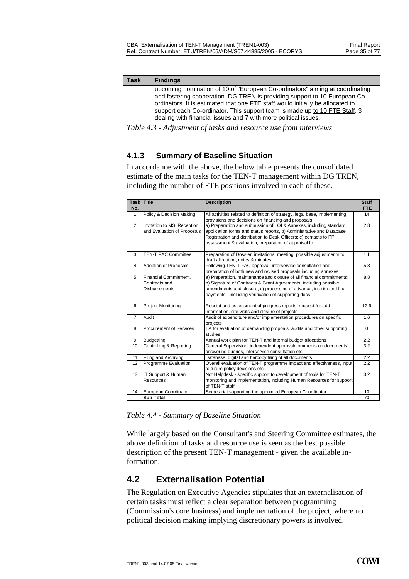| <b>Task</b> | <b>Findings</b>                                                                                                                                                                                                                                                                                                                                                                               |
|-------------|-----------------------------------------------------------------------------------------------------------------------------------------------------------------------------------------------------------------------------------------------------------------------------------------------------------------------------------------------------------------------------------------------|
|             | upcoming nomination of 10 of "European Co-ordinators" aiming at coordinating<br>and fostering cooperation. DG TREN is providing support to 10 European Co-<br>ordinators. It is estimated that one FTE staff would initially be allocated to<br>support each Co-ordinator. This support team is made up to 10 FTE Staff, 3<br>dealing with financial issues and 7 with more political issues. |

*Table 4.3 - Adjustment of tasks and resource use from interviews* 

#### **4.1.3 Summary of Baseline Situation**

In accordance with the above, the below table presents the consolidated estimate of the main tasks for the TEN-T management within DG TREN, including the number of FTE positions involved in each of these.

| Policy & Decision Making<br>All activities related to definition of strategy, legal base, implementing<br>1<br>14<br>provisions and decisions on financing and proposals<br>2<br>a) Preparation and submission of LOI & Annexes, including standard<br>Invitation to MS, Reception<br>2.8<br>and Evaluation of Proposals<br>application forms and status reports, b) Administrative and Database<br>Registration and distribution to Desk Officers; c) contacts to PP,<br>assessment & evaluation, preparation of appraisal fo<br>3<br><b>TEN-T FAC Committee</b><br>1.1<br>Preparation of Dossier, invitations, meeting, possible adjustments to<br>draft allocation, notes & minutes<br>$\overline{4}$<br>Adoption of Proposals<br>Following TEN-T FAC approval, interservice consultation and<br>5.8<br>preparation of both new and revised proposals including annexes<br>5<br>Financial Commitment,<br>a) Preparation, maintenance and closure of all financial commitments;<br>8.8<br>Contracts and<br>b) Signature of Contracts & Grant Agreements, including possible<br>amendments and closure; c) processing of advance, interim and final<br><b>Disbursements</b><br>payments - including verification of supporting docs<br>6<br>Receipt and assessment of progress reports, request for add<br><b>Project Monitoring</b><br>information, site visits and closure of projects<br>$\overline{7}$<br>Audit<br>1.6<br>Audit of expenditure and/or implementation procedures on specific<br>projects<br><b>Procurement of Services</b><br>TA for evaluation of demanding propoals, audits and other supporting<br>8<br>$\Omega$<br>studies<br>Annual work plan for TEN-T and internal budget allocations<br>2.2<br>9<br><b>Budgetting</b><br>10<br>General Supervision, independent approval/comments on documents,<br>Controlling & Reporting<br>3.2<br>answering queries, interservice consultation etc.<br>2.2<br>11<br>Filing and Archiving<br>Database, digital and harcopy filing of all documents<br>12<br>2.2<br>Programme Evaluation<br>Overall evaluation of TEN-T programme impact and effectiveness, input | <b>Task Title</b><br>No. | <b>Description</b>              | <b>Staff</b><br><b>FTE</b> |
|--------------------------------------------------------------------------------------------------------------------------------------------------------------------------------------------------------------------------------------------------------------------------------------------------------------------------------------------------------------------------------------------------------------------------------------------------------------------------------------------------------------------------------------------------------------------------------------------------------------------------------------------------------------------------------------------------------------------------------------------------------------------------------------------------------------------------------------------------------------------------------------------------------------------------------------------------------------------------------------------------------------------------------------------------------------------------------------------------------------------------------------------------------------------------------------------------------------------------------------------------------------------------------------------------------------------------------------------------------------------------------------------------------------------------------------------------------------------------------------------------------------------------------------------------------------------------------------------------------------------------------------------------------------------------------------------------------------------------------------------------------------------------------------------------------------------------------------------------------------------------------------------------------------------------------------------------------------------------------------------------------------------------------------------------------------------------------------------------------------------------------|--------------------------|---------------------------------|----------------------------|
|                                                                                                                                                                                                                                                                                                                                                                                                                                                                                                                                                                                                                                                                                                                                                                                                                                                                                                                                                                                                                                                                                                                                                                                                                                                                                                                                                                                                                                                                                                                                                                                                                                                                                                                                                                                                                                                                                                                                                                                                                                                                                                                                |                          |                                 |                            |
|                                                                                                                                                                                                                                                                                                                                                                                                                                                                                                                                                                                                                                                                                                                                                                                                                                                                                                                                                                                                                                                                                                                                                                                                                                                                                                                                                                                                                                                                                                                                                                                                                                                                                                                                                                                                                                                                                                                                                                                                                                                                                                                                |                          |                                 |                            |
|                                                                                                                                                                                                                                                                                                                                                                                                                                                                                                                                                                                                                                                                                                                                                                                                                                                                                                                                                                                                                                                                                                                                                                                                                                                                                                                                                                                                                                                                                                                                                                                                                                                                                                                                                                                                                                                                                                                                                                                                                                                                                                                                |                          |                                 |                            |
|                                                                                                                                                                                                                                                                                                                                                                                                                                                                                                                                                                                                                                                                                                                                                                                                                                                                                                                                                                                                                                                                                                                                                                                                                                                                                                                                                                                                                                                                                                                                                                                                                                                                                                                                                                                                                                                                                                                                                                                                                                                                                                                                |                          |                                 |                            |
|                                                                                                                                                                                                                                                                                                                                                                                                                                                                                                                                                                                                                                                                                                                                                                                                                                                                                                                                                                                                                                                                                                                                                                                                                                                                                                                                                                                                                                                                                                                                                                                                                                                                                                                                                                                                                                                                                                                                                                                                                                                                                                                                |                          |                                 |                            |
|                                                                                                                                                                                                                                                                                                                                                                                                                                                                                                                                                                                                                                                                                                                                                                                                                                                                                                                                                                                                                                                                                                                                                                                                                                                                                                                                                                                                                                                                                                                                                                                                                                                                                                                                                                                                                                                                                                                                                                                                                                                                                                                                |                          |                                 | 12.9                       |
|                                                                                                                                                                                                                                                                                                                                                                                                                                                                                                                                                                                                                                                                                                                                                                                                                                                                                                                                                                                                                                                                                                                                                                                                                                                                                                                                                                                                                                                                                                                                                                                                                                                                                                                                                                                                                                                                                                                                                                                                                                                                                                                                |                          |                                 |                            |
|                                                                                                                                                                                                                                                                                                                                                                                                                                                                                                                                                                                                                                                                                                                                                                                                                                                                                                                                                                                                                                                                                                                                                                                                                                                                                                                                                                                                                                                                                                                                                                                                                                                                                                                                                                                                                                                                                                                                                                                                                                                                                                                                |                          |                                 |                            |
|                                                                                                                                                                                                                                                                                                                                                                                                                                                                                                                                                                                                                                                                                                                                                                                                                                                                                                                                                                                                                                                                                                                                                                                                                                                                                                                                                                                                                                                                                                                                                                                                                                                                                                                                                                                                                                                                                                                                                                                                                                                                                                                                |                          |                                 |                            |
|                                                                                                                                                                                                                                                                                                                                                                                                                                                                                                                                                                                                                                                                                                                                                                                                                                                                                                                                                                                                                                                                                                                                                                                                                                                                                                                                                                                                                                                                                                                                                                                                                                                                                                                                                                                                                                                                                                                                                                                                                                                                                                                                |                          |                                 |                            |
|                                                                                                                                                                                                                                                                                                                                                                                                                                                                                                                                                                                                                                                                                                                                                                                                                                                                                                                                                                                                                                                                                                                                                                                                                                                                                                                                                                                                                                                                                                                                                                                                                                                                                                                                                                                                                                                                                                                                                                                                                                                                                                                                |                          |                                 |                            |
|                                                                                                                                                                                                                                                                                                                                                                                                                                                                                                                                                                                                                                                                                                                                                                                                                                                                                                                                                                                                                                                                                                                                                                                                                                                                                                                                                                                                                                                                                                                                                                                                                                                                                                                                                                                                                                                                                                                                                                                                                                                                                                                                |                          | to future policy decisions etc. |                            |
| 3.2<br>IT Support & Human<br>Not Helpdesk - specific support to development of tools for TEN-T<br>13<br>monitoring and implementation, including Human Resources for support<br>Resources                                                                                                                                                                                                                                                                                                                                                                                                                                                                                                                                                                                                                                                                                                                                                                                                                                                                                                                                                                                                                                                                                                                                                                                                                                                                                                                                                                                                                                                                                                                                                                                                                                                                                                                                                                                                                                                                                                                                      |                          |                                 |                            |
| of TEN-T staff                                                                                                                                                                                                                                                                                                                                                                                                                                                                                                                                                                                                                                                                                                                                                                                                                                                                                                                                                                                                                                                                                                                                                                                                                                                                                                                                                                                                                                                                                                                                                                                                                                                                                                                                                                                                                                                                                                                                                                                                                                                                                                                 |                          |                                 |                            |
| Secretariat supporting the appointed European Coordinator<br>14<br>European Coordinator<br>10<br>Sub-Total<br>70                                                                                                                                                                                                                                                                                                                                                                                                                                                                                                                                                                                                                                                                                                                                                                                                                                                                                                                                                                                                                                                                                                                                                                                                                                                                                                                                                                                                                                                                                                                                                                                                                                                                                                                                                                                                                                                                                                                                                                                                               |                          |                                 |                            |

*Table 4.4 - Summary of Baseline Situation* 

While largely based on the Consultant's and Steering Committee estimates, the above definition of tasks and resource use is seen as the best possible description of the present TEN-T management - given the available information.

## **4.2 Externalisation Potential**

The Regulation on Executive Agencies stipulates that an externalisation of certain tasks must reflect a clear separation between programming (Commission's core business) and implementation of the project, where no political decision making implying discretionary powers is involved.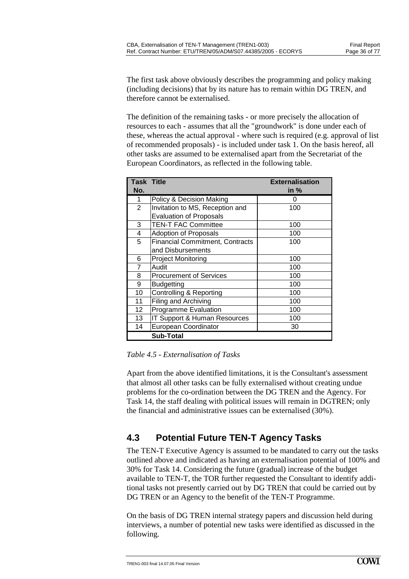The first task above obviously describes the programming and policy making (including decisions) that by its nature has to remain within DG TREN, and therefore cannot be externalised.

The definition of the remaining tasks - or more precisely the allocation of resources to each - assumes that all the "groundwork" is done under each of these, whereas the actual approval - where such is required (e.g. approval of list of recommended proposals) - is included under task 1. On the basis hereof, all other tasks are assumed to be externalised apart from the Secretariat of the European Coordinators, as reflected in the following table.

| Task Title     |                                        | <b>Externalisation</b> |
|----------------|----------------------------------------|------------------------|
| No.            |                                        | in $%$                 |
| 1              | Policy & Decision Making               | 0                      |
| $\overline{2}$ | Invitation to MS, Reception and        | 100                    |
|                | <b>Evaluation of Proposals</b>         |                        |
| 3              | <b>TEN-T FAC Committee</b>             | 100                    |
| 4              | <b>Adoption of Proposals</b>           | 100                    |
| 5              | <b>Financial Commitment, Contracts</b> | 100                    |
|                | and Disbursements                      |                        |
| 6              | <b>Project Monitoring</b>              | 100                    |
| 7              | Audit                                  | 100                    |
| 8              | <b>Procurement of Services</b>         | 100                    |
| 9              | <b>Budgetting</b>                      | 100                    |
| 10             | Controlling & Reporting                | 100                    |
| 11             | Filing and Archiving                   | 100                    |
| 12             | <b>Programme Evaluation</b>            | 100                    |
| 13             | IT Support & Human Resources           | 100                    |
| 14             | European Coordinator                   | 30                     |
|                | <b>Sub-Total</b>                       |                        |

*Table 4.5 - Externalisation of Tasks* 

Apart from the above identified limitations, it is the Consultant's assessment that almost all other tasks can be fully externalised without creating undue problems for the co-ordination between the DG TREN and the Agency. For Task 14, the staff dealing with political issues will remain in DGTREN; only the financial and administrative issues can be externalised (30%).

# **4.3 Potential Future TEN-T Agency Tasks**

The TEN-T Executive Agency is assumed to be mandated to carry out the tasks outlined above and indicated as having an externalisation potential of 100% and 30% for Task 14. Considering the future (gradual) increase of the budget available to TEN-T, the TOR further requested the Consultant to identify additional tasks not presently carried out by DG TREN that could be carried out by DG TREN or an Agency to the benefit of the TEN-T Programme.

On the basis of DG TREN internal strategy papers and discussion held during interviews, a number of potential new tasks were identified as discussed in the following.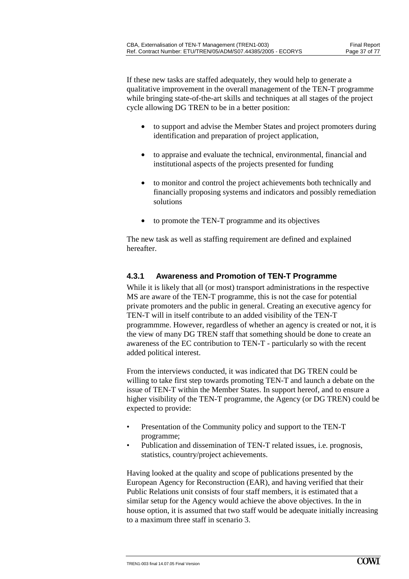If these new tasks are staffed adequately, they would help to generate a qualitative improvement in the overall management of the TEN-T programme while bringing state-of-the-art skills and techniques at all stages of the project cycle allowing DG TREN to be in a better position:

- to support and advise the Member States and project promoters during identification and preparation of project application,
- to appraise and evaluate the technical, environmental, financial and institutional aspects of the projects presented for funding
- to monitor and control the project achievements both technically and financially proposing systems and indicators and possibly remediation solutions
- to promote the TEN-T programme and its objectives

The new task as well as staffing requirement are defined and explained hereafter.

#### **4.3.1 Awareness and Promotion of TEN-T Programme**

While it is likely that all (or most) transport administrations in the respective MS are aware of the TEN-T programme, this is not the case for potential private promoters and the public in general. Creating an executive agency for TEN-T will in itself contribute to an added visibility of the TEN-T programmme. However, regardless of whether an agency is created or not, it is the view of many DG TREN staff that something should be done to create an awareness of the EC contribution to TEN-T - particularly so with the recent added political interest.

From the interviews conducted, it was indicated that DG TREN could be willing to take first step towards promoting TEN-T and launch a debate on the issue of TEN-T within the Member States. In support hereof, and to ensure a higher visibility of the TEN-T programme, the Agency (or DG TREN) could be expected to provide:

- Presentation of the Community policy and support to the TEN-T programme;
- Publication and dissemination of TEN-T related issues, i.e. prognosis, statistics, country/project achievements.

Having looked at the quality and scope of publications presented by the European Agency for Reconstruction (EAR), and having verified that their Public Relations unit consists of four staff members, it is estimated that a similar setup for the Agency would achieve the above objectives. In the in house option, it is assumed that two staff would be adequate initially increasing to a maximum three staff in scenario 3.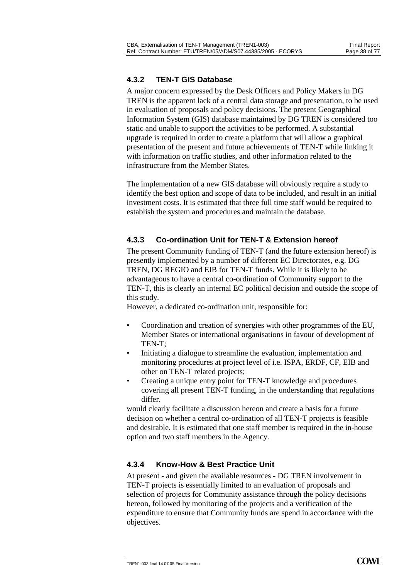#### **4.3.2 TEN-T GIS Database**

A major concern expressed by the Desk Officers and Policy Makers in DG TREN is the apparent lack of a central data storage and presentation, to be used in evaluation of proposals and policy decisions. The present Geographical Information System (GIS) database maintained by DG TREN is considered too static and unable to support the activities to be performed. A substantial upgrade is required in order to create a platform that will allow a graphical presentation of the present and future achievements of TEN-T while linking it with information on traffic studies, and other information related to the infrastructure from the Member States.

The implementation of a new GIS database will obviously require a study to identify the best option and scope of data to be included, and result in an initial investment costs. It is estimated that three full time staff would be required to establish the system and procedures and maintain the database.

### **4.3.3 Co-ordination Unit for TEN-T & Extension hereof**

The present Community funding of TEN-T (and the future extension hereof) is presently implemented by a number of different EC Directorates, e.g. DG TREN, DG REGIO and EIB for TEN-T funds. While it is likely to be advantageous to have a central co-ordination of Community support to the TEN-T, this is clearly an internal EC political decision and outside the scope of this study.

However, a dedicated co-ordination unit, responsible for:

- Coordination and creation of synergies with other programmes of the EU, Member States or international organisations in favour of development of TEN-T;
- Initiating a dialogue to streamline the evaluation, implementation and monitoring procedures at project level of i.e. ISPA, ERDF, CF, EIB and other on TEN-T related projects;
- Creating a unique entry point for TEN-T knowledge and procedures covering all present TEN-T funding, in the understanding that regulations differ.

would clearly facilitate a discussion hereon and create a basis for a future decision on whether a central co-ordination of all TEN-T projects is feasible and desirable. It is estimated that one staff member is required in the in-house option and two staff members in the Agency.

#### **4.3.4 Know-How & Best Practice Unit**

At present - and given the available resources - DG TREN involvement in TEN-T projects is essentially limited to an evaluation of proposals and selection of projects for Community assistance through the policy decisions hereon, followed by monitoring of the projects and a verification of the expenditure to ensure that Community funds are spend in accordance with the objectives.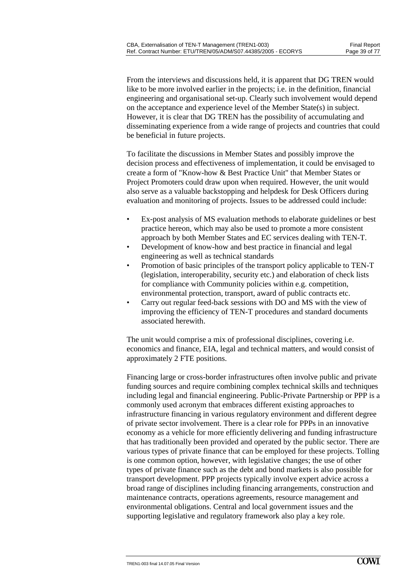From the interviews and discussions held, it is apparent that DG TREN would like to be more involved earlier in the projects; i.e. in the definition, financial engineering and organisational set-up. Clearly such involvement would depend on the acceptance and experience level of the Member State(s) in subject. However, it is clear that DG TREN has the possibility of accumulating and disseminating experience from a wide range of projects and countries that could be beneficial in future projects.

To facilitate the discussions in Member States and possibly improve the decision process and effectiveness of implementation, it could be envisaged to create a form of "Know-how & Best Practice Unit" that Member States or Project Promoters could draw upon when required. However, the unit would also serve as a valuable backstopping and helpdesk for Desk Officers during evaluation and monitoring of projects. Issues to be addressed could include:

- Ex-post analysis of MS evaluation methods to elaborate guidelines or best practice hereon, which may also be used to promote a more consistent approach by both Member States and EC services dealing with TEN-T.
- Development of know-how and best practice in financial and legal engineering as well as technical standards
- Promotion of basic principles of the transport policy applicable to TEN-T (legislation, interoperability, security etc.) and elaboration of check lists for compliance with Community policies within e.g. competition, environmental protection, transport, award of public contracts etc.
- Carry out regular feed-back sessions with DO and MS with the view of improving the efficiency of TEN-T procedures and standard documents associated herewith.

The unit would comprise a mix of professional disciplines, covering i.e. economics and finance, EIA, legal and technical matters, and would consist of approximately 2 FTE positions.

Financing large or cross-border infrastructures often involve public and private funding sources and require combining complex technical skills and techniques including legal and financial engineering. Public-Private Partnership or PPP is a commonly used acronym that embraces different existing approaches to infrastructure financing in various regulatory environment and different degree of private sector involvement. There is a clear role for PPPs in an innovative economy as a vehicle for more efficiently delivering and funding infrastructure that has traditionally been provided and operated by the public sector. There are various types of private finance that can be employed for these projects. Tolling is one common option, however, with legislative changes; the use of other types of private finance such as the debt and bond markets is also possible for transport development. PPP projects typically involve expert advice across a broad range of disciplines including financing arrangements, construction and maintenance contracts, operations agreements, resource management and environmental obligations. Central and local government issues and the supporting legislative and regulatory framework also play a key role.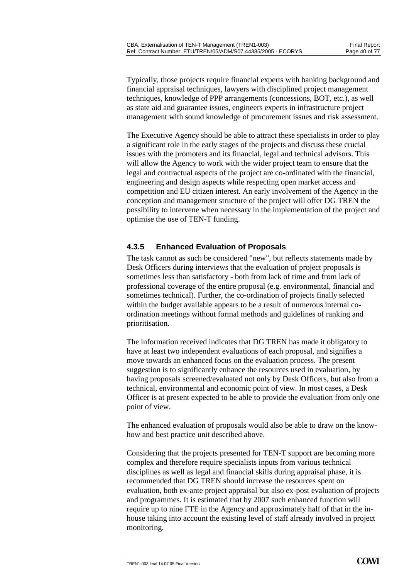Typically, those projects require financial experts with banking background and financial appraisal techniques, lawyers with disciplined project management techniques, knowledge of PPP arrangements (concessions, BOT, etc.), as well as state aid and guarantee issues, engineers experts in infrastructure project management with sound knowledge of procurement issues and risk assessment.

The Executive Agency should be able to attract these specialists in order to play a significant role in the early stages of the projects and discuss these crucial issues with the promoters and its financial, legal and technical advisors. This will allow the Agency to work with the wider project team to ensure that the legal and contractual aspects of the project are co-ordinated with the financial, engineering and design aspects while respecting open market access and competition and EU citizen interest. An early involvement of the Agency in the conception and management structure of the project will offer DG TREN the possibility to intervene when necessary in the implementation of the project and optimise the use of TEN-T funding.

### **4.3.5 Enhanced Evaluation of Proposals**

The task cannot as such be considered "new", but reflects statements made by Desk Officers during interviews that the evaluation of project proposals is sometimes less than satisfactory - both from lack of time and from lack of professional coverage of the entire proposal (e.g. environmental, financial and sometimes technical). Further, the co-ordination of projects finally selected within the budget available appears to be a result of numerous internal coordination meetings without formal methods and guidelines of ranking and prioritisation.

The information received indicates that DG TREN has made it obligatory to have at least two independent evaluations of each proposal, and signifies a move towards an enhanced focus on the evaluation process. The present suggestion is to significantly enhance the resources used in evaluation, by having proposals screened/evaluated not only by Desk Officers, but also from a technical, environmental and economic point of view. In most cases, a Desk Officer is at present expected to be able to provide the evaluation from only one point of view.

The enhanced evaluation of proposals would also be able to draw on the knowhow and best practice unit described above.

Considering that the projects presented for TEN-T support are becoming more complex and therefore require specialists inputs from various technical disciplines as well as legal and financial skills during appraisal phase, it is recommended that DG TREN should increase the resources spent on evaluation, both ex-ante project appraisal but also ex-post evaluation of projects and programmes. It is estimated that by 2007 such enhanced function will require up to nine FTE in the Agency and approximately half of that in the inhouse taking into account the existing level of staff already involved in project monitoring.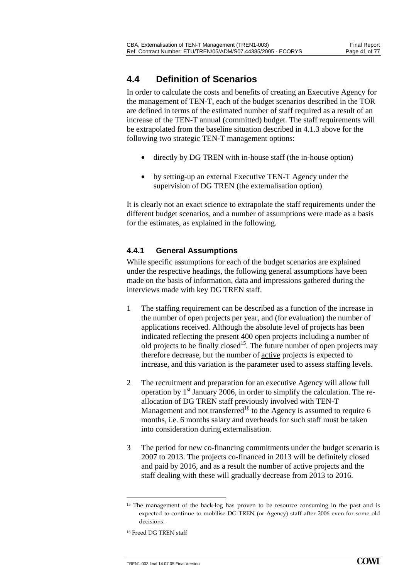# **4.4 Definition of Scenarios**

In order to calculate the costs and benefits of creating an Executive Agency for the management of TEN-T, each of the budget scenarios described in the TOR are defined in terms of the estimated number of staff required as a result of an increase of the TEN-T annual (committed) budget. The staff requirements will be extrapolated from the baseline situation described in 4.1.3 above for the following two strategic TEN-T management options:

- directly by DG TREN with in-house staff (the in-house option)
- by setting-up an external Executive TEN-T Agency under the supervision of DG TREN (the externalisation option)

It is clearly not an exact science to extrapolate the staff requirements under the different budget scenarios, and a number of assumptions were made as a basis for the estimates, as explained in the following.

#### **4.4.1 General Assumptions**

While specific assumptions for each of the budget scenarios are explained under the respective headings, the following general assumptions have been made on the basis of information, data and impressions gathered during the interviews made with key DG TREN staff.

- 1 The staffing requirement can be described as a function of the increase in the number of open projects per year, and (for evaluation) the number of applications received. Although the absolute level of projects has been indicated reflecting the present 400 open projects including a number of old projects to be finally closed<sup>15</sup>. The future number of open projects may therefore decrease, but the number of active projects is expected to increase, and this variation is the parameter used to assess staffing levels.
- 2 The recruitment and preparation for an executive Agency will allow full operation by  $1<sup>st</sup>$  January 2006, in order to simplify the calculation. The reallocation of DG TREN staff previously involved with TEN-T Management and not transferred<sup>16</sup> to the Agency is assumed to require  $6$ months, i.e. 6 months salary and overheads for such staff must be taken into consideration during externalisation.
- 3 The period for new co-financing commitments under the budget scenario is 2007 to 2013. The projects co-financed in 2013 will be definitely closed and paid by 2016, and as a result the number of active projects and the staff dealing with these will gradually decrease from 2013 to 2016.

 $\ddot{\phantom{a}}$ 

<sup>15</sup> The management of the back-log has proven to be resource consuming in the past and is expected to continue to mobilise DG TREN (or Agency) staff after 2006 even for some old decisions.

<sup>16</sup> Freed DG TREN staff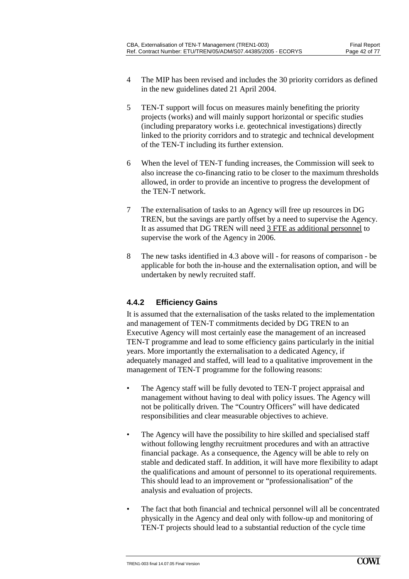- 4 The MIP has been revised and includes the 30 priority corridors as defined in the new guidelines dated 21 April 2004.
- 5 TEN-T support will focus on measures mainly benefiting the priority projects (works) and will mainly support horizontal or specific studies (including preparatory works i.e. geotechnical investigations) directly linked to the priority corridors and to strategic and technical development of the TEN-T including its further extension.
- 6 When the level of TEN-T funding increases, the Commission will seek to also increase the co-financing ratio to be closer to the maximum thresholds allowed, in order to provide an incentive to progress the development of the TEN-T network.
- 7 The externalisation of tasks to an Agency will free up resources in DG TREN, but the savings are partly offset by a need to supervise the Agency. It as assumed that DG TREN will need 3 FTE as additional personnel to supervise the work of the Agency in 2006.
- 8 The new tasks identified in 4.3 above will for reasons of comparison be applicable for both the in-house and the externalisation option, and will be undertaken by newly recruited staff.

### **4.4.2 Efficiency Gains**

It is assumed that the externalisation of the tasks related to the implementation and management of TEN-T commitments decided by DG TREN to an Executive Agency will most certainly ease the management of an increased TEN-T programme and lead to some efficiency gains particularly in the initial years. More importantly the externalisation to a dedicated Agency, if adequately managed and staffed, will lead to a qualitative improvement in the management of TEN-T programme for the following reasons:

- The Agency staff will be fully devoted to TEN-T project appraisal and management without having to deal with policy issues. The Agency will not be politically driven. The "Country Officers" will have dedicated responsibilities and clear measurable objectives to achieve.
- The Agency will have the possibility to hire skilled and specialised staff without following lengthy recruitment procedures and with an attractive financial package. As a consequence, the Agency will be able to rely on stable and dedicated staff. In addition, it will have more flexibility to adapt the qualifications and amount of personnel to its operational requirements. This should lead to an improvement or "professionalisation" of the analysis and evaluation of projects.
- The fact that both financial and technical personnel will all be concentrated physically in the Agency and deal only with follow-up and monitoring of TEN-T projects should lead to a substantial reduction of the cycle time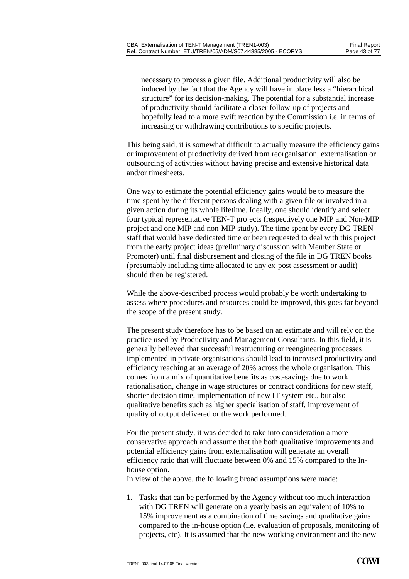necessary to process a given file. Additional productivity will also be induced by the fact that the Agency will have in place less a "hierarchical structure" for its decision-making. The potential for a substantial increase of productivity should facilitate a closer follow-up of projects and hopefully lead to a more swift reaction by the Commission i.e. in terms of increasing or withdrawing contributions to specific projects.

This being said, it is somewhat difficult to actually measure the efficiency gains or improvement of productivity derived from reorganisation, externalisation or outsourcing of activities without having precise and extensive historical data and/or timesheets.

One way to estimate the potential efficiency gains would be to measure the time spent by the different persons dealing with a given file or involved in a given action during its whole lifetime. Ideally, one should identify and select four typical representative TEN-T projects (respectively one MIP and Non-MIP project and one MIP and non-MIP study). The time spent by every DG TREN staff that would have dedicated time or been requested to deal with this project from the early project ideas (preliminary discussion with Member State or Promoter) until final disbursement and closing of the file in DG TREN books (presumably including time allocated to any ex-post assessment or audit) should then be registered.

While the above-described process would probably be worth undertaking to assess where procedures and resources could be improved, this goes far beyond the scope of the present study.

The present study therefore has to be based on an estimate and will rely on the practice used by Productivity and Management Consultants. In this field, it is generally believed that successful restructuring or reengineering processes implemented in private organisations should lead to increased productivity and efficiency reaching at an average of 20% across the whole organisation. This comes from a mix of quantitative benefits as cost-savings due to work rationalisation, change in wage structures or contract conditions for new staff, shorter decision time, implementation of new IT system etc., but also qualitative benefits such as higher specialisation of staff, improvement of quality of output delivered or the work performed.

For the present study, it was decided to take into consideration a more conservative approach and assume that the both qualitative improvements and potential efficiency gains from externalisation will generate an overall efficiency ratio that will fluctuate between 0% and 15% compared to the Inhouse option.

In view of the above, the following broad assumptions were made:

1. Tasks that can be performed by the Agency without too much interaction with DG TREN will generate on a yearly basis an equivalent of 10% to 15% improvement as a combination of time savings and qualitative gains compared to the in-house option (i.e. evaluation of proposals, monitoring of projects, etc). It is assumed that the new working environment and the new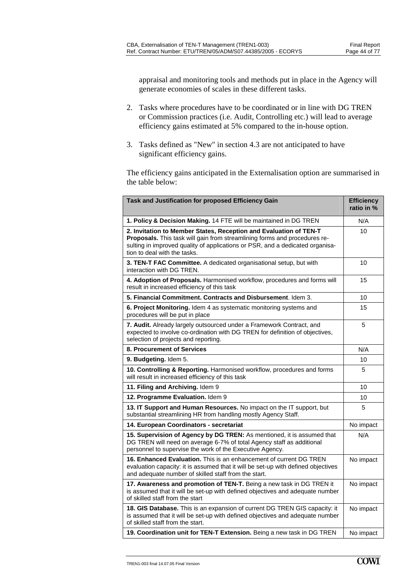appraisal and monitoring tools and methods put in place in the Agency will generate economies of scales in these different tasks.

- 2. Tasks where procedures have to be coordinated or in line with DG TREN or Commission practices (i.e. Audit, Controlling etc.) will lead to average efficiency gains estimated at 5% compared to the in-house option.
- 3. Tasks defined as "New" in section 4.3 are not anticipated to have significant efficiency gains.

The efficiency gains anticipated in the Externalisation option are summarised in the table below:

| Task and Justification for proposed Efficiency Gain                                                                                                                                                                                                             | <b>Efficiency</b><br>ratio in % |
|-----------------------------------------------------------------------------------------------------------------------------------------------------------------------------------------------------------------------------------------------------------------|---------------------------------|
| 1. Policy & Decision Making. 14 FTE will be maintained in DG TREN                                                                                                                                                                                               | N/A                             |
| 2. Invitation to Member States, Reception and Evaluation of TEN-T<br>Proposals. This task will gain from streamlining forms and procedures re-<br>sulting in improved quality of applications or PSR, and a dedicated organisa-<br>tion to deal with the tasks. | 10                              |
| 3. TEN-T FAC Committee. A dedicated organisational setup, but with<br>interaction with DG TREN.                                                                                                                                                                 | 10                              |
| 4. Adoption of Proposals. Harmonised workflow, procedures and forms will<br>result in increased efficiency of this task                                                                                                                                         | 15                              |
| 5. Financial Commitment. Contracts and Disbursement. Idem 3.                                                                                                                                                                                                    | 10                              |
| 6. Project Monitoring. Idem 4 as systematic monitoring systems and<br>procedures will be put in place                                                                                                                                                           | 15                              |
| 7. Audit. Already largely outsourced under a Framework Contract, and<br>expected to involve co-ordination with DG TREN for definition of objectives,<br>selection of projects and reporting.                                                                    | 5                               |
| 8. Procurement of Services                                                                                                                                                                                                                                      | N/A                             |
| 9. Budgeting. Idem 5.                                                                                                                                                                                                                                           | 10                              |
| 10. Controlling & Reporting. Harmonised workflow, procedures and forms<br>will result in increased efficiency of this task                                                                                                                                      | 5                               |
| 11. Filing and Archiving. Idem 9                                                                                                                                                                                                                                | 10                              |
| 12. Programme Evaluation. Idem 9                                                                                                                                                                                                                                | 10                              |
| 13. IT Support and Human Resources. No impact on the IT support, but<br>substantial streamlining HR from handling mostly Agency Staff.                                                                                                                          | 5                               |
| 14. European Coordinators - secretariat                                                                                                                                                                                                                         | No impact                       |
| 15. Supervision of Agency by DG TREN: As mentioned, it is assumed that<br>DG TREN will need on average 6-7% of total Agency staff as additional<br>personnel to supervise the work of the Executive Agency.                                                     | N/A                             |
| 16. Enhanced Evaluation. This is an enhancement of current DG TREN<br>evaluation capacity: it is assumed that it will be set-up with defined objectives<br>and adequate number of skilled staff from the start.                                                 | No impact                       |
| 17. Awareness and promotion of TEN-T. Being a new task in DG TREN it<br>is assumed that it will be set-up with defined objectives and adequate number<br>of skilled staff from the start                                                                        | No impact                       |
| 18. GIS Database. This is an expansion of current DG TREN GIS capacity: it<br>is assumed that it will be set-up with defined objectives and adequate number<br>of skilled staff from the start.                                                                 | No impact                       |
| 19. Coordination unit for TEN-T Extension. Being a new task in DG TREN                                                                                                                                                                                          | No impact                       |
|                                                                                                                                                                                                                                                                 |                                 |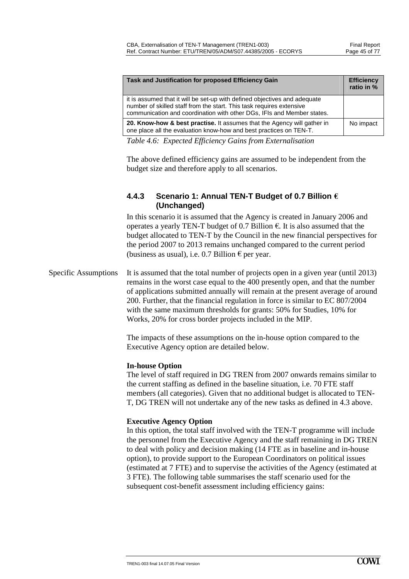| Task and Justification for proposed Efficiency Gain                                                                                                                                                                         | <b>Efficiency</b><br>ratio in % |
|-----------------------------------------------------------------------------------------------------------------------------------------------------------------------------------------------------------------------------|---------------------------------|
| it is assumed that it will be set-up with defined objectives and adequate<br>number of skilled staff from the start. This task requires extensive<br>communication and coordination with other DGs, IFIs and Member states. |                                 |
| 20. Know-how & best practise. It assumes that the Agency will gather in<br>one place all the evaluation know-how and best practices on TEN-T.                                                                               | No impact                       |

*Table 4.6: Expected Efficiency Gains from Externalisation* 

The above defined efficiency gains are assumed to be independent from the budget size and therefore apply to all scenarios.

#### **4.4.3 Scenario 1: Annual TEN-T Budget of 0.7 Billion** € **(Unchanged)**

In this scenario it is assumed that the Agency is created in January 2006 and operates a yearly TEN-T budget of 0.7 Billion  $\epsilon$ . It is also assumed that the budget allocated to TEN-T by the Council in the new financial perspectives for the period 2007 to 2013 remains unchanged compared to the current period (business as usual), i.e. 0.7 Billion  $\epsilon$  per year.

Specific Assumptions It is assumed that the total number of projects open in a given year (until 2013) remains in the worst case equal to the 400 presently open, and that the number of applications submitted annually will remain at the present average of around 200. Further, that the financial regulation in force is similar to EC 807/2004 with the same maximum thresholds for grants: 50% for Studies, 10% for Works, 20% for cross border projects included in the MIP.

> The impacts of these assumptions on the in-house option compared to the Executive Agency option are detailed below.

#### **In-house Option**

The level of staff required in DG TREN from 2007 onwards remains similar to the current staffing as defined in the baseline situation, i.e. 70 FTE staff members (all categories). Given that no additional budget is allocated to TEN-T, DG TREN will not undertake any of the new tasks as defined in 4.3 above.

#### **Executive Agency Option**

In this option, the total staff involved with the TEN-T programme will include the personnel from the Executive Agency and the staff remaining in DG TREN to deal with policy and decision making (14 FTE as in baseline and in-house option), to provide support to the European Coordinators on political issues (estimated at 7 FTE) and to supervise the activities of the Agency (estimated at 3 FTE). The following table summarises the staff scenario used for the subsequent cost-benefit assessment including efficiency gains: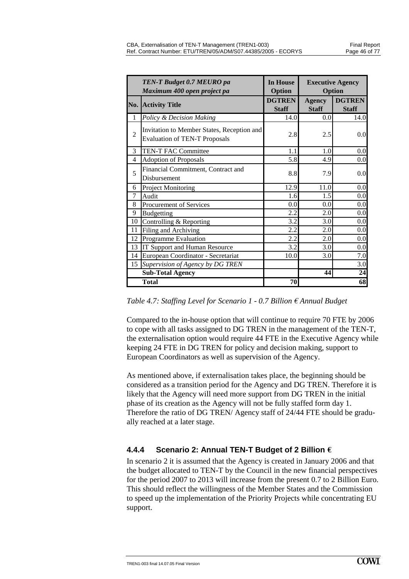|                 | TEN-T Budget 0.7 MEURO pa<br>Maximum 400 open project pa                           | <b>In House</b><br>Option     |                               | <b>Executive Agency</b><br>Option |
|-----------------|------------------------------------------------------------------------------------|-------------------------------|-------------------------------|-----------------------------------|
|                 | No. Activity Title                                                                 | <b>DGTREN</b><br><b>Staff</b> | <b>Agency</b><br><b>Staff</b> | <b>DGTREN</b><br><b>Staff</b>     |
| 1               | Policy & Decision Making                                                           | 14.0                          | 0.0                           | 14.0                              |
| $\overline{2}$  | Invitation to Member States, Reception and<br><b>Evaluation of TEN-T Proposals</b> | 2.8                           | 2.5                           | 0.0                               |
| 3               | TEN-T FAC Committee                                                                | 1.1                           | 1.0                           | 0.0                               |
| 4               | <b>Adoption of Proposals</b>                                                       | 5.8                           | 4.9                           | 0.0                               |
| 5               | Financial Commitment, Contract and<br>Disbursement                                 | 8.8                           | 7.9                           | 0.0                               |
| 6               | <b>Project Monitoring</b>                                                          | 12.9                          | 11.0                          | 0.0                               |
| 7               | Audit                                                                              | 1.6                           | 1.5                           | 0.0                               |
| 8               | Procurement of Services                                                            | 0.0                           | 0.0                           | 0.0                               |
| 9               | <b>Budgetting</b>                                                                  | 2.2                           | 2.0                           | 0.0                               |
| 10 <sup>1</sup> | Controlling & Reporting                                                            | 3.2                           | 3.0                           | 0.0                               |
| 11              | Filing and Archiving                                                               | 2.2                           | 2.0                           | 0.0                               |
| 12              | Programme Evaluation                                                               | 2.2                           | 2.0                           | 0.0                               |
| 13              | IT Support and Human Resource                                                      | 3.2                           | 3.0                           | 0.0                               |
|                 | 14 European Coordinator - Secretariat                                              | 10.0                          | 3.0                           | 7.0                               |
| 15              | Supervision of Agency by DG TREN                                                   |                               |                               | 3.0                               |
|                 | <b>Sub-Total Agency</b>                                                            |                               | 44                            | 24                                |
|                 | <b>Total</b>                                                                       | 70                            |                               | 68                                |

*Table 4.7: Staffing Level for Scenario 1 - 0.7 Billion € Annual Budget* 

Compared to the in-house option that will continue to require 70 FTE by 2006 to cope with all tasks assigned to DG TREN in the management of the TEN-T, the externalisation option would require 44 FTE in the Executive Agency while keeping 24 FTE in DG TREN for policy and decision making, support to European Coordinators as well as supervision of the Agency.

As mentioned above, if externalisation takes place, the beginning should be considered as a transition period for the Agency and DG TREN. Therefore it is likely that the Agency will need more support from DG TREN in the initial phase of its creation as the Agency will not be fully staffed form day 1. Therefore the ratio of DG TREN/ Agency staff of 24/44 FTE should be gradually reached at a later stage.

## **4.4.4 Scenario 2: Annual TEN-T Budget of 2 Billion** €

In scenario 2 it is assumed that the Agency is created in January 2006 and that the budget allocated to TEN-T by the Council in the new financial perspectives for the period 2007 to 2013 will increase from the present 0.7 to 2 Billion Euro. This should reflect the willingness of the Member States and the Commission to speed up the implementation of the Priority Projects while concentrating EU support.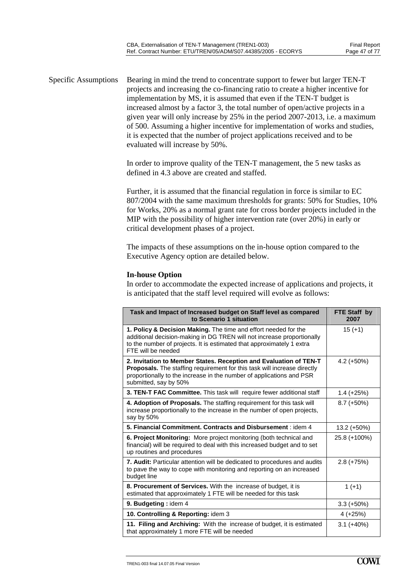Specific Assumptions Bearing in mind the trend to concentrate support to fewer but larger TEN-T projects and increasing the co-financing ratio to create a higher incentive for implementation by MS, it is assumed that even if the TEN-T budget is increased almost by a factor 3, the total number of open/active projects in a given year will only increase by 25% in the period 2007-2013, i.e. a maximum of 500. Assuming a higher incentive for implementation of works and studies, it is expected that the number of project applications received and to be evaluated will increase by 50%.

> In order to improve quality of the TEN-T management, the 5 new tasks as defined in 4.3 above are created and staffed.

Further, it is assumed that the financial regulation in force is similar to EC 807/2004 with the same maximum thresholds for grants: 50% for Studies, 10% for Works, 20% as a normal grant rate for cross border projects included in the MIP with the possibility of higher intervention rate (over 20%) in early or critical development phases of a project.

The impacts of these assumptions on the in-house option compared to the Executive Agency option are detailed below.

#### **In-house Option**

In order to accommodate the expected increase of applications and projects, it is anticipated that the staff level required will evolve as follows:

| Task and Impact of Increased budget on Staff level as compared<br>to Scenario 1 situation                                                                                                                                                      | FTE Staff by<br>2007 |
|------------------------------------------------------------------------------------------------------------------------------------------------------------------------------------------------------------------------------------------------|----------------------|
| 1. Policy & Decision Making. The time and effort needed for the<br>additional decision-making in DG TREN will not increase proportionally<br>to the number of projects. It is estimated that approximately 1 extra<br>FTE will be needed       | $15 (+1)$            |
| 2. Invitation to Member States. Reception and Evaluation of TEN-T<br>Proposals. The staffing requirement for this task will increase directly<br>proportionally to the increase in the number of applications and PSR<br>submitted, say by 50% | $4.2 (+50\%)$        |
| 3. TEN-T FAC Committee. This task will require fewer additional staff                                                                                                                                                                          | 1.4 (+25%)           |
| 4. Adoption of Proposals. The staffing requirement for this task will<br>increase proportionally to the increase in the number of open projects,<br>say by 50%                                                                                 | $8.7 (+50%)$         |
| 5. Financial Commitment. Contracts and Disbursement : idem 4                                                                                                                                                                                   | 13.2 (+50%)          |
| 6. Project Monitoring: More project monitoring (both technical and<br>financial) will be required to deal with this increased budget and to set<br>up routines and procedures                                                                  | 25.8 (+100%)         |
| 7. Audit: Particular attention will be dedicated to procedures and audits<br>to pave the way to cope with monitoring and reporting on an increased<br>budget line                                                                              | $2.8 (+75%)$         |
| 8. Procurement of Services. With the increase of budget, it is<br>estimated that approximately 1 FTE will be needed for this task                                                                                                              | $1 (+1)$             |
| 9. Budgeting: idem 4                                                                                                                                                                                                                           | $3.3 (+50%)$         |
| 10. Controlling & Reporting: idem 3                                                                                                                                                                                                            | $4 (+25%)$           |
| 11. Filing and Archiving: With the increase of budget, it is estimated<br>that approximately 1 more FTE will be needed                                                                                                                         | $3.1 (+40%)$         |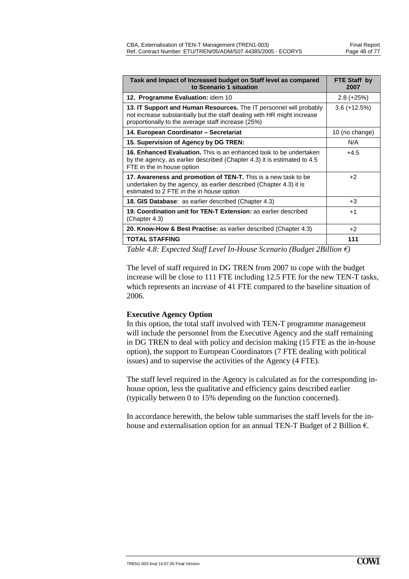| Task and Impact of Increased budget on Staff level as compared<br>to Scenario 1 situation                                                                                                           | FTE Staff by<br>2007 |
|-----------------------------------------------------------------------------------------------------------------------------------------------------------------------------------------------------|----------------------|
| 12. Programme Evaluation: idem 10                                                                                                                                                                   | $2.8 (+25%)$         |
| 13. IT Support and Human Resources. The IT personnel will probably<br>not increase substantially but the staff dealing with HR might increase<br>proportionally to the average staff increase (25%) | $3.6 (+12.5%)$       |
| 14. European Coordinator – Secretariat                                                                                                                                                              | 10 (no change)       |
| 15. Supervision of Agency by DG TREN:                                                                                                                                                               | N/A                  |
| 16. Enhanced Evaluation. This is an enhanced task to be undertaken<br>by the agency, as earlier described (Chapter 4.3) it is estimated to 4.5<br>FTE in the in house option                        | $+4.5$               |
| 17. Awareness and promotion of TEN-T. This is a new task to be<br>undertaken by the agency, as earlier described (Chapter 4.3) it is<br>estimated to 2 FTE in the in house option                   | $+2$                 |
| <b>18. GIS Database:</b> as earlier described (Chapter 4.3)                                                                                                                                         | $+3$                 |
| 19. Coordination unit for TEN-T Extension: as earlier described<br>(Chapter 4.3)                                                                                                                    | $+1$                 |
| 20. Know-How & Best Practise: as earlier described (Chapter 4.3)                                                                                                                                    | $+2$                 |
| <b>TOTAL STAFFING</b>                                                                                                                                                                               | 111                  |

*Table 4.8: Expected Staff Level In-House Scenario (Budget 2Billion*  $\epsilon$ *)* 

The level of staff required in DG TREN from 2007 to cope with the budget increase will be close to 111 FTE including 12.5 FTE for the new TEN-T tasks, which represents an increase of 41 FTE compared to the baseline situation of 2006.

#### **Executive Agency Option**

In this option, the total staff involved with TEN-T programme management will include the personnel from the Executive Agency and the staff remaining in DG TREN to deal with policy and decision making (15 FTE as the in-house option), the support to European Coordinators (7 FTE dealing with political issues) and to supervise the activities of the Agency (4 FTE).

The staff level required in the Agency is calculated as for the corresponding inhouse option, less the qualitative and efficiency gains described earlier (typically between 0 to 15% depending on the function concerned).

In accordance herewith, the below table summarises the staff levels for the inhouse and externalisation option for an annual TEN-T Budget of 2 Billion  $\epsilon$ .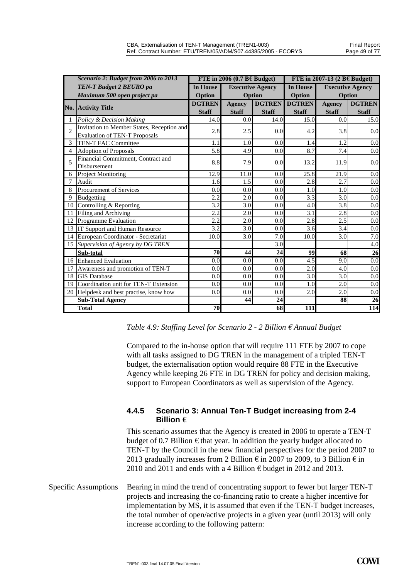|                | Scenario 2: Budget from 2006 to 2013                                               |                 | FTE in 2006 (0.7 B $\epsilon$ Budget) |                 | FTE in 2007-13 (2 B€ Budget) |                         |                  |  |
|----------------|------------------------------------------------------------------------------------|-----------------|---------------------------------------|-----------------|------------------------------|-------------------------|------------------|--|
|                | TEN-T Budget 2 BEURO pa                                                            | <b>In House</b> | <b>Executive Agency</b>               |                 | <b>In House</b>              | <b>Executive Agency</b> |                  |  |
|                | Maximum 500 open project pa                                                        | Option          |                                       | Option          | Option                       |                         | Option           |  |
|                | <b>No. Activity Title</b>                                                          | <b>DGTREN</b>   | <b>Agency</b>                         | <b>DGTREN</b>   | <b>DGTREN</b>                | Agency                  | <b>DGTREN</b>    |  |
|                |                                                                                    | <b>Staff</b>    | <b>Staff</b>                          | <b>Staff</b>    | <b>Staff</b>                 | <b>Staff</b>            | <b>Staff</b>     |  |
|                | Policy & Decision Making                                                           | 14.0            | 0.0                                   | 14.0            | 15.0                         | 0.0                     | 15.0             |  |
| $\overline{2}$ | Invitation to Member States, Reception and<br><b>Evaluation of TEN-T Proposals</b> | 2.8             | 2.5                                   | 0.0             | 4.2                          | 3.8                     | 0.0              |  |
| 3              | <b>TEN-T FAC Committee</b>                                                         | 1.1             | 1.0                                   | 0.0             | 1.4                          | 1.2                     | 0.0              |  |
| 4              | <b>Adoption of Proposals</b>                                                       | 5.8             | 4.9                                   | 0.0             | 8.7                          | 7.4                     | 0.0              |  |
|                | Financial Commitment, Contract and                                                 |                 |                                       |                 |                              |                         |                  |  |
| 5              | Disbursement                                                                       | 8.8             | 7.9                                   | 0.0             | 13.2                         | 11.9                    | 0.0              |  |
| 6              | Project Monitoring                                                                 | 12.9            | 11.0                                  | 0.0             | 25.8                         | 21.9                    | 0.0              |  |
|                | Audit                                                                              | 1.6             | 1.5                                   | 0.0             | 2.8                          | 2.7                     | 0.0              |  |
| 8              | <b>Procurement of Services</b>                                                     | 0.0             | 0.0                                   | 0.0             | 1.0                          | 1.0                     | 0.0              |  |
| 9              | <b>Budgetting</b>                                                                  | 2.2             | 2.0                                   | 0.0             | 3.3                          | 3.0                     | 0.0              |  |
|                | 10 Controlling & Reporting                                                         | 3.2             | 3.0                                   | 0.0             | 4.0                          | 3.8                     | 0.0              |  |
| 11             | Filing and Archiving                                                               | 2.2             | 2.0                                   | 0.0             | 3.1                          | 2.8                     | 0.0              |  |
| 12             | Programme Evaluation                                                               | 2.2             | 2.0                                   | 0.0             | 2.8                          | 2.5                     | 0.0              |  |
|                | 13 IT Support and Human Resource                                                   | 3.2             | 3.0                                   | 0.0             | 3.6                          | 3.4                     | 0.0              |  |
|                | 14 European Coordinator - Secretariat                                              | 10.0            | 3.0                                   | 7.0             | 10.0                         | 3.0                     | 7.0              |  |
|                | 15 Supervision of Agency by DG TREN                                                |                 |                                       | 3.0             |                              |                         | 4.0              |  |
|                | Sub-total                                                                          | $\overline{70}$ | 44                                    | $\overline{24}$ | 99                           | 68                      | 26               |  |
|                | 16 Enhanced Evaluation                                                             | 0.0             | 0.0                                   | 0.0             | 4.5                          | 9.0                     | $\overline{0.0}$ |  |
| 17             | Awareness and promotion of TEN-T                                                   | 0.0             | 0.0                                   | 0.0             | 2.0                          | 4.0                     | 0.0              |  |
|                | 18 GIS Database                                                                    | 0.0             | 0.0                                   | 0.0             | 3.0                          | 3.0                     | 0.0              |  |
| 19             | Coordination unit for TEN-T Extension                                              | 0.0             | 0.0                                   | 0.0             | 1.0                          | 2.0                     | 0.0              |  |
|                | 20 Helpdesk and best practise, know how                                            | 0.0             | 0.0                                   | 0.0             | 2.0                          | 2.0                     | 0.0              |  |
|                | <b>Sub-Total Agency</b>                                                            |                 | 44                                    | 24              |                              | 88                      | 26               |  |
|                | <b>Total</b>                                                                       | 70              |                                       | 68              | 111                          |                         | 114              |  |

#### *Table 4.9: Staffing Level for Scenario 2 - 2 Billion* € *Annual Budget*

Compared to the in-house option that will require 111 FTE by 2007 to cope with all tasks assigned to DG TREN in the management of a tripled TEN-T budget, the externalisation option would require 88 FTE in the Executive Agency while keeping 26 FTE in DG TREN for policy and decision making, support to European Coordinators as well as supervision of the Agency.

#### **4.4.5 Scenario 3: Annual Ten-T Budget increasing from 2-4 Billion** €

This scenario assumes that the Agency is created in 2006 to operate a TEN-T budget of 0.7 Billion  $\epsilon$  that year. In addition the yearly budget allocated to TEN-T by the Council in the new financial perspectives for the period 2007 to 2013 gradually increases from 2 Billion  $\epsilon$  in 2007 to 2009, to 3 Billion  $\epsilon$  in 2010 and 2011 and ends with a 4 Billion  $\epsilon$  budget in 2012 and 2013.

Specific Assumptions Bearing in mind the trend of concentrating support to fewer but larger TEN-T projects and increasing the co-financing ratio to create a higher incentive for implementation by MS, it is assumed that even if the TEN-T budget increases, the total number of open/active projects in a given year (until 2013) will only increase according to the following pattern: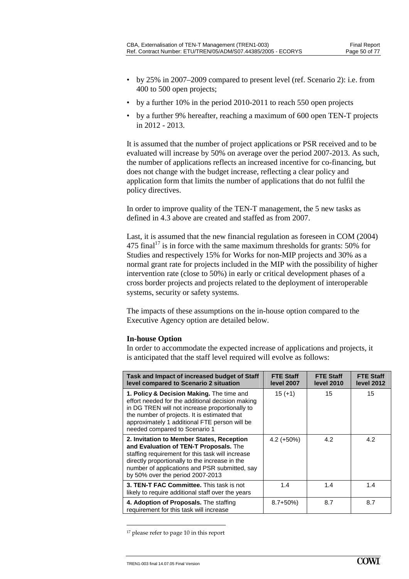- by 25% in 2007–2009 compared to present level (ref. Scenario 2): i.e. from 400 to 500 open projects;
- by a further 10% in the period 2010-2011 to reach 550 open projects
- by a further 9% hereafter, reaching a maximum of 600 open TEN-T projects in 2012 - 2013.

It is assumed that the number of project applications or PSR received and to be evaluated will increase by 50% on average over the period 2007-2013. As such, the number of applications reflects an increased incentive for co-financing, but does not change with the budget increase, reflecting a clear policy and application form that limits the number of applications that do not fulfil the policy directives.

In order to improve quality of the TEN-T management, the 5 new tasks as defined in 4.3 above are created and staffed as from 2007.

Last, it is assumed that the new financial regulation as foreseen in COM (2004) 475 final<sup>17</sup> is in force with the same maximum thresholds for grants: 50% for Studies and respectively 15% for Works for non-MIP projects and 30% as a normal grant rate for projects included in the MIP with the possibility of higher intervention rate (close to 50%) in early or critical development phases of a cross border projects and projects related to the deployment of interoperable systems, security or safety systems.

The impacts of these assumptions on the in-house option compared to the Executive Agency option are detailed below.

#### **In-house Option**

In order to accommodate the expected increase of applications and projects, it is anticipated that the staff level required will evolve as follows:

| Task and Impact of increased budget of Staff<br>level compared to Scenario 2 situation                                                                                                                                                                                            | <b>FTE Staff</b><br>level 2007 | <b>FTE Staff</b><br><b>level 2010</b> | <b>FTE Staff</b><br><b>level 2012</b> |
|-----------------------------------------------------------------------------------------------------------------------------------------------------------------------------------------------------------------------------------------------------------------------------------|--------------------------------|---------------------------------------|---------------------------------------|
| 1. Policy & Decision Making. The time and<br>effort needed for the additional decision making<br>in DG TREN will not increase proportionally to<br>the number of projects. It is estimated that<br>approximately 1 additional FTE person will be<br>needed compared to Scenario 1 | $15 (+1)$                      | 15                                    | 15                                    |
| 2. Invitation to Member States, Reception<br>and Evaluation of TEN-T Proposals. The<br>staffing requirement for this task will increase<br>directly proportionally to the increase in the<br>number of applications and PSR submitted, say<br>by 50% over the period 2007-2013    | $4.2 (+50\%)$                  | 4.2                                   | 4.2                                   |
| <b>3. TEN-T FAC Committee.</b> This task is not<br>likely to require additional staff over the years                                                                                                                                                                              | 1.4                            | 1.4                                   | 1.4                                   |
| 4. Adoption of Proposals. The staffing<br>requirement for this task will increase                                                                                                                                                                                                 | $8.7 + 50\%)$                  | 8.7                                   | 8.7                                   |

 $\overline{a}$ <sup>17</sup> please refer to page 10 in this report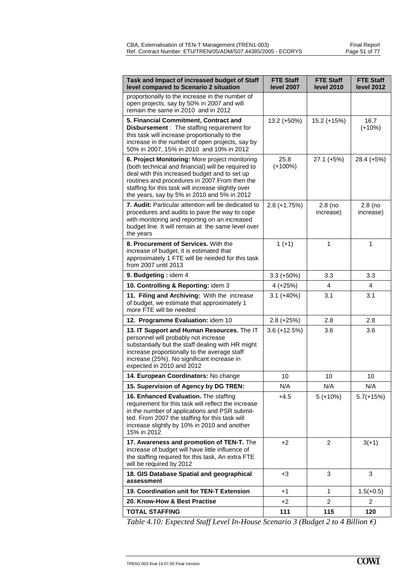| Task and Impact of increased budget of Staff<br>level compared to Scenario 2 situation                                                                                                                                                                                                                       | <b>FTE Staff</b><br><b>level 2007</b> | <b>FTE Staff</b><br><b>level 2010</b> | <b>FTE Staff</b><br><b>level 2012</b> |
|--------------------------------------------------------------------------------------------------------------------------------------------------------------------------------------------------------------------------------------------------------------------------------------------------------------|---------------------------------------|---------------------------------------|---------------------------------------|
| proportionally to the increase in the number of<br>open projects, say by 50% in 2007 and will<br>remain the same in 2010 and in 2012                                                                                                                                                                         |                                       |                                       |                                       |
| 5. Financial Commitment, Contract and<br><b>Disbursement</b> : The staffing requirement for<br>this task will increase proportionally to the<br>increase in the number of open projects, say by<br>50% in 2007, 15% in 2010 and 10% in 2012                                                                  | 13.2 (+50%)                           | 15.2 (+15%)                           | 16.7<br>$(+10%)$                      |
| 6. Project Monitoring: More project monitoring<br>(both technical and financial) will be required to<br>deal with this increased budget and to set up<br>routines and procedures in 2007. From then the<br>staffing for this task will increase slightly over<br>the years, say by 5% in 2010 and 5% in 2012 | 25.8<br>$(+100%)$                     | $27.1 (+5%)$                          | 28.4 (+5%)                            |
| 7. Audit: Particular attention will be dedicated to<br>procedures and audits to pave the way to cope<br>with monitoring and reporting on an increased<br>budget line. It will remain at the same level over<br>the years                                                                                     | $2.8 (+1.75%)$                        | $2.8$ (no<br>increase)                | $2.8$ (no<br>increase)                |
| 8. Procurement of Services. With the<br>increase of budget, it is estimated that<br>approximately 1 FTE will be needed for this task<br>from 2007 until 2013                                                                                                                                                 | $1 (+1)$                              | 1                                     | 1                                     |
| 9. Budgeting: idem 4                                                                                                                                                                                                                                                                                         | $3.3 (+50\%)$                         | 3.3                                   | 3.3                                   |
| 10. Controlling & Reporting: idem 3                                                                                                                                                                                                                                                                          | $4 (+25%)$                            | 4                                     | 4                                     |
| 11. Filing and Archiving: With the increase<br>of budget, we estimate that approximately 1<br>more FTE will be needed                                                                                                                                                                                        | $3.1 (+40%)$                          | 3.1                                   | 3.1                                   |
| 12. Programme Evaluation: idem 10                                                                                                                                                                                                                                                                            | $2.8 (+25%)$                          | 2.8                                   | 2.8                                   |
| 13. IT Support and Human Resources. The IT<br>personnel will probably not increase<br>substantially but the staff dealing with HR might<br>increase proportionally to the average staff<br>increase (25%). No significant increase in<br>expected in 2010 and 2012                                           | $3.6 (+12.5%)$                        | 3.6                                   | 3.6                                   |
| 14. European Coordinators: No change                                                                                                                                                                                                                                                                         | 10                                    | 10                                    | 10                                    |
| 15. Supervision of Agency by DG TREN:                                                                                                                                                                                                                                                                        | N/A                                   | N/A                                   | N/A                                   |
| 16. Enhanced Evaluation. The staffing<br>requirement for this task will reflect the increase<br>in the number of applications and PSR submit-<br>ted. From 2007 the staffing for this task will<br>increase slightly by 10% in 2010 and another<br>15% in 2012                                               | $+4.5$                                | $5 (+10\%)$                           | $5.7(+15%)$                           |
| 17. Awareness and promotion of TEN-T. The<br>increase of budget will have little influence of<br>the staffing required for this task, An extra FTE<br>will be required by 2012                                                                                                                               | $+2$                                  | $\overline{2}$                        | $3(+1)$                               |
| 18. GIS Database Spatial and geographical<br>assessment                                                                                                                                                                                                                                                      | +3                                    | 3                                     | 3                                     |
| 19. Coordination unit for TEN-T Extension                                                                                                                                                                                                                                                                    | +1                                    | 1                                     | $1.5(+0.5)$                           |
| 20. Know-How & Best Practise                                                                                                                                                                                                                                                                                 | +2                                    | 2                                     | 2                                     |
| <b>TOTAL STAFFING</b>                                                                                                                                                                                                                                                                                        | 111                                   | 115                                   | 120                                   |

*Table 4.10: Expected Staff Level In-House Scenario 3 (Budget 2 to 4 Billion*  $\epsilon$ *)*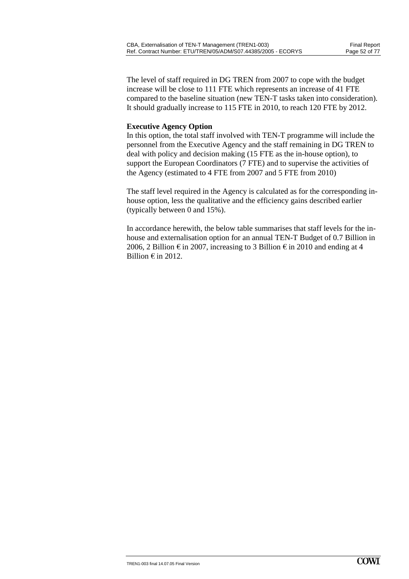The level of staff required in DG TREN from 2007 to cope with the budget increase will be close to 111 FTE which represents an increase of 41 FTE compared to the baseline situation (new TEN-T tasks taken into consideration). It should gradually increase to 115 FTE in 2010, to reach 120 FTE by 2012.

#### **Executive Agency Option**

In this option, the total staff involved with TEN-T programme will include the personnel from the Executive Agency and the staff remaining in DG TREN to deal with policy and decision making (15 FTE as the in-house option), to support the European Coordinators (7 FTE) and to supervise the activities of the Agency (estimated to 4 FTE from 2007 and 5 FTE from 2010)

The staff level required in the Agency is calculated as for the corresponding inhouse option, less the qualitative and the efficiency gains described earlier (typically between 0 and 15%).

In accordance herewith, the below table summarises that staff levels for the inhouse and externalisation option for an annual TEN-T Budget of 0.7 Billion in 2006, 2 Billion  $\epsilon$  in 2007, increasing to 3 Billion  $\epsilon$  in 2010 and ending at 4 Billion  $\epsilon$  in 2012.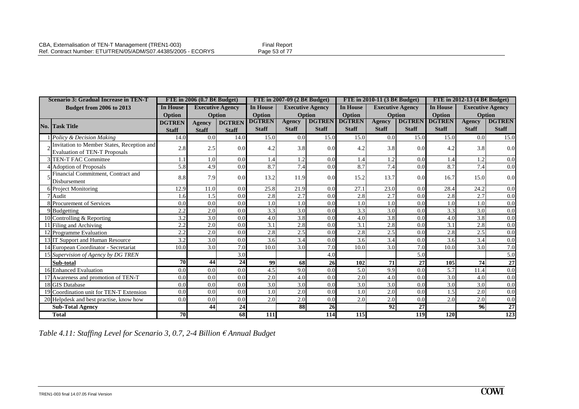| <b>Scenario 3: Gradual Increase in TEN-T</b> |                                            |                  | FTE in 2006 (0.7 B $\epsilon$ Budget) |                         |                 | FTE in 2007-09 (2 B $\epsilon$ Budget) |               |               | FTE in 2010-11 (3 B $\epsilon$ Budget) |                         |               | FTE in 2012-13 (4 B $\epsilon$ Budget) |                         |
|----------------------------------------------|--------------------------------------------|------------------|---------------------------------------|-------------------------|-----------------|----------------------------------------|---------------|---------------|----------------------------------------|-------------------------|---------------|----------------------------------------|-------------------------|
|                                              | <b>Budget from 2006 to 2013</b>            |                  |                                       | <b>Executive Agency</b> | <b>In House</b> | <b>Executive Agency</b>                |               | In House      |                                        | <b>Executive Agency</b> | In House      |                                        | <b>Executive Agency</b> |
|                                              |                                            | <b>Option</b>    |                                       | <b>Option</b>           | Option          |                                        | <b>Option</b> | <b>Option</b> |                                        | <b>Option</b>           | <b>Option</b> |                                        | <b>Option</b>           |
|                                              | No. Task Title                             | <b>DGTREN</b>    | <b>Agency</b>                         | <b>DGTREN</b>           | <b>DGTREN</b>   | <b>Agency</b>                          | <b>DGTREN</b> | <b>DGTREN</b> | <b>Agency</b>                          | <b>DGTREN</b>           | <b>DGTREN</b> | Agency                                 | <b>DGTREN</b>           |
|                                              |                                            | <b>Staff</b>     | <b>Staff</b>                          | <b>Staff</b>            | <b>Staff</b>    | <b>Staff</b>                           | <b>Staff</b>  | <b>Staff</b>  | <b>Staff</b>                           | <b>Staff</b>            | <b>Staff</b>  | <b>Staff</b>                           | <b>Staff</b>            |
|                                              | <b>Policy &amp; Decision Making</b>        | 14.0             | 0.0                                   | 14.0                    | 15.0            | 0.0                                    | 15.0          | 15.0          | 0.0                                    | 15.0                    | 15.0          | 0.0                                    | 15.0                    |
|                                              | Invitation to Member States, Reception and | 2.8              | 2.5                                   | 0.0                     | 4.2             | 3.8                                    | 0.0           | 4.2           | 3.8                                    | 0.0                     | 4.2           | 3.8                                    | 0.0                     |
|                                              | <b>Evaluation of TEN-T Proposals</b>       |                  |                                       |                         |                 |                                        |               |               |                                        |                         |               |                                        |                         |
|                                              | TEN-T FAC Committee                        | 1.1              | 1.0                                   | 0.0                     | 1.4             | 1.2                                    | 0.0           | 1.4           | 1.2                                    | 0.0                     | 1.4           | 1.2                                    | 0.0                     |
|                                              | <b>Adoption of Proposals</b>               | 5.8              | 4.9                                   | 0.0                     | 8.7             | 7.4                                    | 0.0           | 8.7           | 7.4                                    | 0.0                     | 8.7           | 7.4                                    | 0.0                     |
|                                              | Financial Commitment, Contract and         | 8.8              | 7.9                                   | 0.0                     | 13.2            | 11.9                                   | 0.0           | 15.2          | 13.7                                   | 0.0                     | 16.7          | 15.0                                   | 0.0                     |
|                                              | Disbursement                               |                  |                                       |                         |                 |                                        |               |               |                                        |                         |               |                                        |                         |
|                                              | 6 Project Monitoring                       | 12.9             | 11.0                                  | 0.0                     | 25.8            | 21.9                                   | 0.0           | 27.1          | 23.0                                   | 0.0                     | 28.4          | 24.2                                   | 0.0                     |
|                                              | 7 Audit                                    | 1.6              | 1.5                                   | 0.0                     | 2.8             | 2.7                                    | 0.0           | 2.8           | 2.7                                    | 0.0                     | 2.8           | 2.7                                    | 0.0                     |
|                                              | 8 Procurement of Services                  | 0.0              | 0.0                                   | 0.0                     | 1.0             | 1.0                                    | 0.0           | 1.0           | 1.0                                    | 0.0                     | 1.0           | 1.0                                    | 0.0                     |
|                                              | 9Budgetting                                | 2.2              | 2.0                                   | 0.0                     | 3.3             | 3.0                                    | 0.0           | 3.3           | 3.0                                    | 0.0                     | 3.3           | 3.0                                    | 0.0                     |
|                                              | 10 Controlling & Reporting                 | 3.2              | 3.0                                   | 0.0                     | 4.0             | 3.8                                    | 0.0           | 4.0           | 3.8                                    | 0.0                     | 4.0           | 3.8                                    | 0.0                     |
|                                              | 1 Filing and Archiving                     | 2.2              | 2.0                                   | 0.0                     | 3.1             | 2.8                                    | 0.0           | 3.1           | 2.8                                    | 0.0                     | 3.1           | 2.8                                    | 0.0                     |
|                                              | 12 Programme Evaluation                    | $\overline{2.2}$ | 2.0                                   | 0.0                     | 2.8             | 2.5                                    | 0.0           | 2.8           | 2.5                                    | 0.0                     | 2.8           | 2.5                                    | $\overline{0.0}$        |
|                                              | 13 IT Support and Human Resource           | 3.2              | 3.0                                   | 0.0                     | 3.6             | 3.4                                    | 0.0           | 3.6           | 3.4                                    | 0.0                     | 3.6           | 3.4                                    | 0.0                     |
|                                              | 14 European Coordinator - Secretariat      | 10.0             | 3.0                                   | 7.0                     | 10.0            | 3.0                                    | 7.0           | 10.0          | 3.0                                    | 7.0                     | 10.0          | 3.0                                    | 7.0                     |
|                                              | 15 Supervision of Agency by DG TREN        |                  |                                       | 3.0                     |                 |                                        | 4.0           |               |                                        | 5.0                     |               |                                        | 5.0                     |
|                                              | Sub-total                                  | 70               | 44                                    | 24                      | 99              | 68                                     | 26            | 102           | 71                                     | 27                      | 105           | 74                                     | 27                      |
|                                              | 6 Enhanced Evaluation                      | 0.0              | 0.0                                   | 0.0                     | 4.5             | 9.0                                    | 0.0           | 5.0           | 9.9                                    | 0.0                     | 5.7           | 11.4                                   | 0.0                     |
|                                              | 17 Awareness and promotion of TEN-T        | 0.0              | 0.0                                   | 0.0                     | 2.0             | 4.0                                    | 0.0           | 2.0           | 4.0                                    | 0.0                     | 3.0           | 4.0                                    | 0.0                     |
|                                              | 18 GIS Database                            | 0.0              | 0.0                                   | 0.0                     | 3.0             | 3.0                                    | 0.0           | 3.0           | 3.0                                    | 0.0                     | 3.0           | 3.0                                    | 0.0                     |
|                                              | 19 Coordination unit for TEN-T Extension   | 0.0              | 0.0                                   | 0.0                     | 1.0             | 2.0                                    | 0.0           | 1.0           | 2.0                                    | 0.0                     | 1.5           | 2.0                                    | 0.0                     |
|                                              | 20 Helpdesk and best practise, know how    | 0.0              | 0.0                                   | 0.0                     | 2.0             | 2.0                                    | 0.0           | 2.0           | 2.0                                    | 0.0                     | 2.0           | 2.0                                    | 0.0                     |
|                                              | Sub-Total Agency                           |                  | 44                                    | 24                      |                 | 88                                     | 26            |               | $\overline{92}$                        | $\overline{27}$         |               | 96                                     | 27                      |
|                                              | <b>Total</b>                               | 70               |                                       | 68                      | 111             |                                        | 114           | 115           |                                        | 119                     | 120           |                                        | 123                     |

*Table 4.11: Staffing Level for Scenario 3, 0.7, 2-4 Billion*  € *Annual Budget*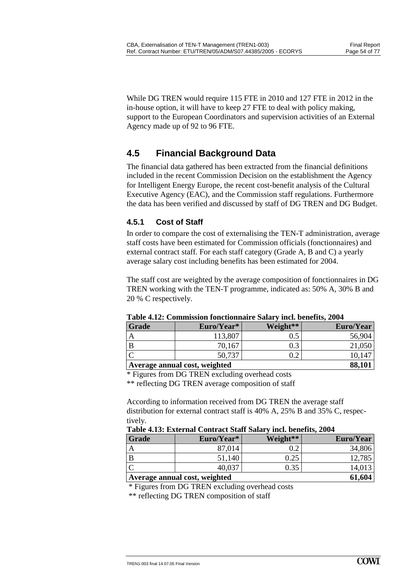While DG TREN would require 115 FTE in 2010 and 127 FTE in 2012 in the in-house option, it will have to keep 27 FTE to deal with policy making, support to the European Coordinators and supervision activities of an External Agency made up of 92 to 96 FTE.

# **4.5 Financial Background Data**

The financial data gathered has been extracted from the financial definitions included in the recent Commission Decision on the establishment the Agency for Intelligent Energy Europe, the recent cost-benefit analysis of the Cultural Executive Agency (EAC), and the Commission staff regulations. Furthermore the data has been verified and discussed by staff of DG TREN and DG Budget.

### **4.5.1 Cost of Staff**

In order to compare the cost of externalising the TEN-T administration, average staff costs have been estimated for Commission officials (fonctionnaires) and external contract staff. For each staff category (Grade A, B and C) a yearly average salary cost including benefits has been estimated for 2004.

The staff cost are weighted by the average composition of fonctionnaires in DG TREN working with the TEN-T programme, indicated as: 50% A, 30% B and 20 % C respectively.

|                                         | AWMAU TIANTI WUANAMMUAUMU AUMUUNUUNAN U MWAMA I<br>$\cdots$ |          |           |  |  |  |  |  |
|-----------------------------------------|-------------------------------------------------------------|----------|-----------|--|--|--|--|--|
| Grade                                   | Euro/Year*                                                  | Weight** | Euro/Year |  |  |  |  |  |
| A                                       | 113,807                                                     |          | 56,904    |  |  |  |  |  |
|                                         | 70,167                                                      |          |           |  |  |  |  |  |
|                                         | 50,737                                                      |          |           |  |  |  |  |  |
| 88,101<br>Average annual cost, weighted |                                                             |          |           |  |  |  |  |  |

#### **Table 4.12: Commission fonctionnaire Salary incl. benefits, 2004**

\* Figures from DG TREN excluding overhead costs

\*\* reflecting DG TREN average composition of staff

According to information received from DG TREN the average staff distribution for external contract staff is 40% A, 25% B and 35% C, respectively.

#### **Table 4.13: External Contract Staff Salary incl. benefits, 2004**

| Grade                         | Euro/Year* | Weight** | Euro/Year |
|-------------------------------|------------|----------|-----------|
| А                             | 87,014     |          | 34,806    |
| B                             | 51,140     | 0.25     | 12,785    |
|                               | 40,037     | 0.35     | 14,013    |
| Average annual cost, weighted | 61,604     |          |           |

\* Figures from DG TREN excluding overhead costs

\*\* reflecting DG TREN composition of staff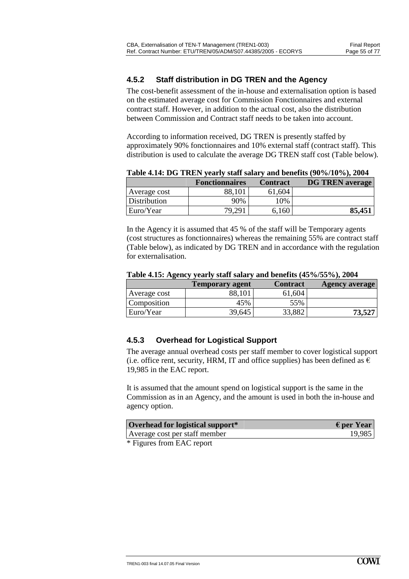### **4.5.2 Staff distribution in DG TREN and the Agency**

The cost-benefit assessment of the in-house and externalisation option is based on the estimated average cost for Commission Fonctionnaires and external contract staff. However, in addition to the actual cost, also the distribution between Commission and Contract staff needs to be taken into account.

According to information received, DG TREN is presently staffed by approximately 90% fonctionnaires and 10% external staff (contract staff). This distribution is used to calculate the average DG TREN staff cost (Table below).

|              | <b>Fonctionnaires</b> | <b>Contract</b> | <b>DG TREN average</b> |
|--------------|-----------------------|-----------------|------------------------|
| Average cost | 88,101                | 61,604          |                        |
| Distribution | 90%                   | $10\%$          |                        |
| Euro/Year    | 79.291                | 6,160           | 85,451                 |

**Table 4.14: DG TREN yearly staff salary and benefits (90%/10%), 2004**

In the Agency it is assumed that 45 % of the staff will be Temporary agents (cost structures as fonctionnaires) whereas the remaining 55% are contract staff (Table below), as indicated by DG TREN and in accordance with the regulation for externalisation.

|              | <b>Temporary agent</b> | <b>Contract</b> | <b>Agency average</b> |
|--------------|------------------------|-----------------|-----------------------|
| Average cost |                        | 61,604          |                       |
| Composition  | 45%                    | 55%             |                       |
| Euro/Year    | 39,645                 | 33.882          | 73,527                |

#### **Table 4.15: Agency yearly staff salary and benefits (45%/55%), 2004**

#### **4.5.3 Overhead for Logistical Support**

The average annual overhead costs per staff member to cover logistical support (i.e. office rent, security, HRM, IT and office supplies) has been defined as  $\epsilon$ 19,985 in the EAC report.

It is assumed that the amount spend on logistical support is the same in the Commission as in an Agency, and the amount is used in both the in-house and agency option.

| Overhead for logistical support* | $\epsilon$ per Year |
|----------------------------------|---------------------|
| Average cost per staff member    | 19,985              |
| $*$ Figures from $EAC$ report    |                     |

Figures from EAC report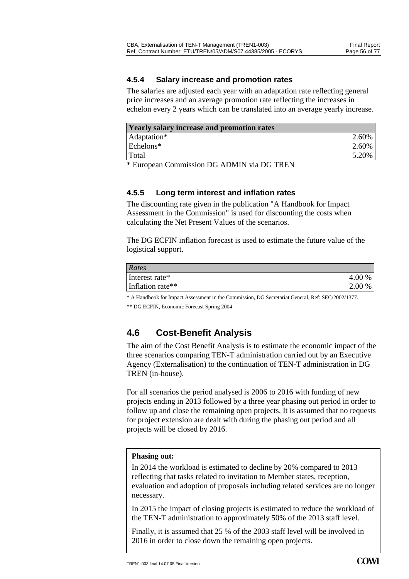#### **4.5.4 Salary increase and promotion rates**

The salaries are adjusted each year with an adaptation rate reflecting general price increases and an average promotion rate reflecting the increases in echelon every 2 years which can be translated into an average yearly increase.

| <b>Yearly salary increase and promotion rates</b>                             |       |
|-------------------------------------------------------------------------------|-------|
| Adaptation*                                                                   | 2.60% |
| Echelons*                                                                     | 2.60% |
| Total                                                                         | 5.20% |
| $\mathbf{r}$ . The set of $\mathbf{r}$<br>$P(X X)$ $I(X Y)$ $I(X X)$ $I(X X)$ |       |

\* European Commission DG ADMIN via DG TREN

#### **4.5.5 Long term interest and inflation rates**

The discounting rate given in the publication "A Handbook for Impact Assessment in the Commission" is used for discounting the costs when calculating the Net Present Values of the scenarios.

The DG ECFIN inflation forecast is used to estimate the future value of the logistical support.

| Rates            |        |
|------------------|--------|
| Interest rate*   | 4.00 % |
| Inflation rate** | 2.00 % |

\* A Handbook for Impact Assessment in the Commission, DG Secretariat General, Ref: SEC/2002/1377.

\*\* DG ECFIN, Economic Forecast Spring 2004

# **4.6 Cost-Benefit Analysis**

The aim of the Cost Benefit Analysis is to estimate the economic impact of the three scenarios comparing TEN-T administration carried out by an Executive Agency (Externalisation) to the continuation of TEN-T administration in DG TREN (in-house).

For all scenarios the period analysed is 2006 to 2016 with funding of new projects ending in 2013 followed by a three year phasing out period in order to follow up and close the remaining open projects. It is assumed that no requests for project extension are dealt with during the phasing out period and all projects will be closed by 2016.

#### **Phasing out:**

In 2014 the workload is estimated to decline by 20% compared to 2013 reflecting that tasks related to invitation to Member states, reception, evaluation and adoption of proposals including related services are no longer necessary.

In 2015 the impact of closing projects is estimated to reduce the workload of the TEN-T administration to approximately 50% of the 2013 staff level.

Finally, it is assumed that 25 % of the 2003 staff level will be involved in 2016 in order to close down the remaining open projects.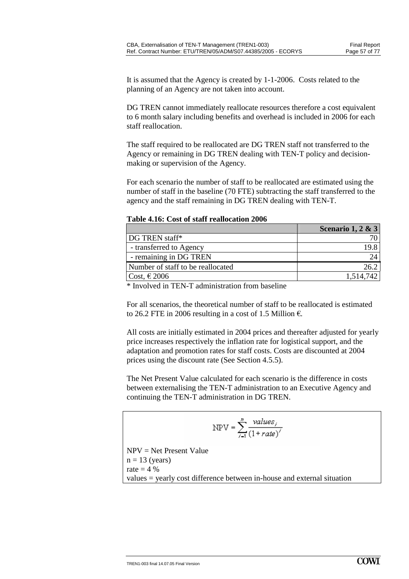It is assumed that the Agency is created by 1-1-2006. Costs related to the planning of an Agency are not taken into account.

DG TREN cannot immediately reallocate resources therefore a cost equivalent to 6 month salary including benefits and overhead is included in 2006 for each staff reallocation.

The staff required to be reallocated are DG TREN staff not transferred to the Agency or remaining in DG TREN dealing with TEN-T policy and decisionmaking or supervision of the Agency.

For each scenario the number of staff to be reallocated are estimated using the number of staff in the baseline (70 FTE) subtracting the staff transferred to the agency and the staff remaining in DG TREN dealing with TEN-T.

|  |  |  | Table 4.16: Cost of staff reallocation 2006 |  |
|--|--|--|---------------------------------------------|--|
|--|--|--|---------------------------------------------|--|

|                                   | Scenario 1, 2 & 3 |
|-----------------------------------|-------------------|
| DG TREN staff*                    |                   |
| - transferred to Agency           | 19.8              |
| - remaining in DG TREN            |                   |
| Number of staff to be reallocated |                   |
| $Cost, \epsilon$ 2006             | 1,514,742         |

\* Involved in TEN-T administration from baseline

For all scenarios, the theoretical number of staff to be reallocated is estimated to 26.2 FTE in 2006 resulting in a cost of 1.5 Million  $\epsilon$ .

All costs are initially estimated in 2004 prices and thereafter adjusted for yearly price increases respectively the inflation rate for logistical support, and the adaptation and promotion rates for staff costs. Costs are discounted at 2004 prices using the discount rate (See Section 4.5.5).

The Net Present Value calculated for each scenario is the difference in costs between externalising the TEN-T administration to an Executive Agency and continuing the TEN-T administration in DG TREN.

$$
NPV = \sum_{i=1}^{n} \frac{values_i}{(1 + rate)^{i}}
$$

NPV = Net Present Value  $n = 13$  (years) rate  $= 4\%$ values = yearly cost difference between in-house and external situation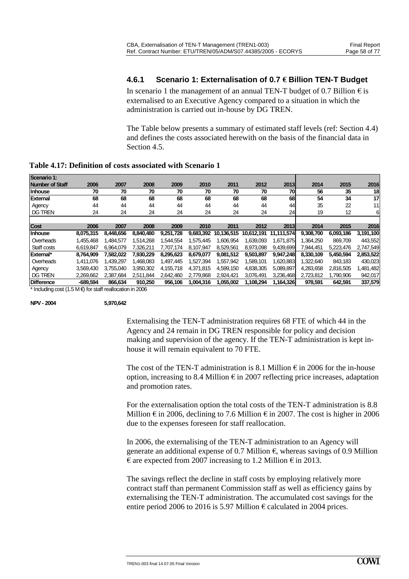#### **4.6.1 Scenario 1: Externalisation of 0.7** € **Billion TEN-T Budget**

In scenario 1 the management of an annual TEN-T budget of 0.7 Billion  $\epsilon$  is externalised to an Executive Agency compared to a situation in which the administration is carried out in-house by DG TREN.

The Table below presents a summary of estimated staff levels (ref: Section 4.4) and defines the costs associated herewith on the basis of the financial data in Section 4.5.

|  |  |  |  |  |  |  | Table 4.17: Definition of costs associated with Scenario 1 |  |
|--|--|--|--|--|--|--|------------------------------------------------------------|--|
|--|--|--|--|--|--|--|------------------------------------------------------------|--|

| Scenario 1:            |            |           |           |           |           |            |            |            |           |           |           |
|------------------------|------------|-----------|-----------|-----------|-----------|------------|------------|------------|-----------|-----------|-----------|
| <b>Number of Staff</b> | 2006       | 2007      | 2008      | 2009      | 2010      | 2011       | 2012       | 2013       | 2014      | 2015      | 2016      |
| <b>Inhouse</b>         | 70         | 70        | 70        | 70        | 70        | 70         | 70         | 70         | 56        | 35        | 18        |
| <b>External</b>        | 68         | 68        | 68        | 68        | 68        | 68         | 68         | 68         | 54        | 34        | 17        |
| Agency                 | 44         | 44        | 44        | 44        | 44        | 44         | 44         | 44         | 35        | 22        | 11        |
| <b>DG TREN</b>         | 24         | 24        | 24        | 24        | 24        | 24         | 24         | 24         | 19        | 12        | 6         |
|                        |            |           |           |           |           |            |            |            |           |           |           |
| <b>Cost</b>            | 2006       | 2007      | 2008      | 2009      | 2010      | 2011       | 2012       | 2013       | 2014      | 2015      | 2016      |
| Inhouse                | 8.075.315  | 8.448.656 | 8.840.480 | 9,251,728 | 9,683,392 | 10,136,515 | 10.612.191 | 11.111.574 | 9,308,700 | 6,093,186 | 3,191,100 |
| Overheads              | 1.455.468  | 1.484.577 | 1,514,268 | .544.554  | 1.575.445 | 1.606.954  | 1.639.093  | 1,671,875  | 1.364.250 | 869.709   | 443,552   |
| Staff costs            | 6.619.847  | 6.964.079 | 7.326.211 | 7.707.174 | 8,107,947 | 8.529.561  | 8.973.098  | 9,439,699  | 7.944.451 | 5,223,476 | 2,747,549 |
| External*              | 8.764.909  | 7.582.022 | 7.930.229 | 8.295.623 | 8.679.077 | 9,081,512  | 9.503.897  | 9.947.248  | 8.330.109 | 5.450.594 | 2,853,522 |
| Overheads              | 1,411,076  | 1.439.297 | 1.468.083 | 1.497.445 | 1.527.394 | 1.557.942  | 1.589.101  | 1.620.883  | 1.322.640 | 843.183   | 430,023   |
| Agency                 | 3.569.430  | 3.755.040 | 3,950,302 | 4,155,718 | 4,371,815 | 4.599.150  | 4.838.305  | 5,089,897  | 4,283,658 | 2,816,505 | 1,481,482 |
| <b>DG TREN</b>         | 2,269,662  | 2,387,684 | 2,511,844 | 2,642,460 | 2.779.868 | 2,924,421  | 3,076,491  | 3,236,468  | 2,723,812 | 1,790,906 | 942,017   |
| <b>Difference</b>      | $-689,594$ | 866.634   | 910,250   | 956,106   | 1,004,316 | 1,055,002  | 1,108,294  | 1,164,326  | 978,591   | 642.591   | 337,579   |

\* Including cost (1.5 M €) for staff reallocation in 2006

**NPV - 2004 5,970,642**

Externalising the TEN-T administration requires 68 FTE of which 44 in the Agency and 24 remain in DG TREN responsible for policy and decision making and supervision of the agency. If the TEN-T administration is kept inhouse it will remain equivalent to 70 FTE.

The cost of the TEN-T administration is 8.1 Million  $\epsilon$  in 2006 for the in-house option, increasing to 8.4 Million  $\epsilon$  in 2007 reflecting price increases, adaptation and promotion rates.

For the externalisation option the total costs of the TEN-T administration is 8.8 Million  $\epsilon$  in 2006, declining to 7.6 Million  $\epsilon$  in 2007. The cost is higher in 2006 due to the expenses foreseen for staff reallocation.

In 2006, the externalising of the TEN-T administration to an Agency will generate an additional expense of 0.7 Million  $\epsilon$ , whereas savings of 0.9 Million  $\epsilon$  are expected from 2007 increasing to 1.2 Million  $\epsilon$  in 2013.

The savings reflect the decline in staff costs by employing relatively more contract staff than permanent Commission staff as well as efficiency gains by externalising the TEN-T administration. The accumulated cost savings for the entire period 2006 to 2016 is 5.97 Million  $\epsilon$  calculated in 2004 prices.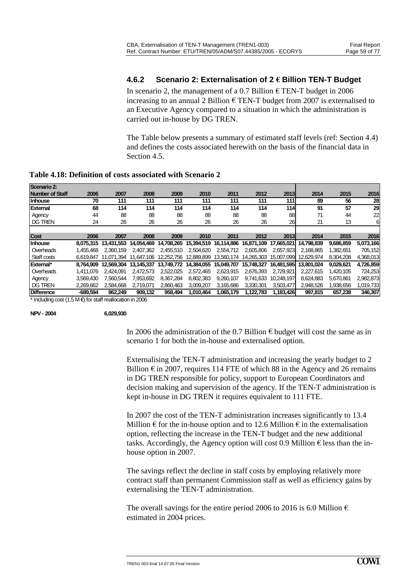#### **4.6.2 Scenario 2: Externalisation of 2** € **Billion TEN-T Budget**

In scenario 2, the management of a 0.7 Billion  $\epsilon$  TEN-T budget in 2006 increasing to an annual 2 Billion  $\epsilon$  TEN-T budget from 2007 is externalised to an Executive Agency compared to a situation in which the administration is carried out in-house by DG TREN.

The Table below presents a summary of estimated staff levels (ref: Section 4.4) and defines the costs associated herewith on the basis of the financial data in Section 4.5.

|  |  |  |  | Table 4.18: Definition of costs associated with Scenario 2 |
|--|--|--|--|------------------------------------------------------------|
|--|--|--|--|------------------------------------------------------------|

| 2006      | 2007       | 2008       | 2009       | 2010       | 2011                     | 2012                                  | 2013                                           | 2014                     | 2015                                  | 2016      |
|-----------|------------|------------|------------|------------|--------------------------|---------------------------------------|------------------------------------------------|--------------------------|---------------------------------------|-----------|
| 70        | 111        | 111        | 111        | 111        | 111                      | 111                                   | 111                                            | 89                       | 56                                    | 28        |
| 68        | 114        | 114        | 114        | 114        | 114                      | 114                                   | 114                                            | 91                       | 57                                    | 29        |
| 44        | 88         | 88         | 88         | 88         | 88                       | 88                                    | 88                                             | 71                       | 44                                    | 22        |
| 24        | 26         | 26         | 26         | 26         | 26                       | 26                                    | 26                                             | 21                       | 13                                    | 6         |
|           |            |            |            |            |                          |                                       |                                                |                          |                                       |           |
| 2006      | 2007       | 2008       | 2009       | 2010       | 2011                     | 2012                                  | 2013                                           | 2014                     | 2015                                  | 2016      |
| 8.075.315 |            |            |            |            |                          |                                       | 17.665.021                                     | 14.798.839               | 9.686.859                             | 5,073,166 |
| 1.455.468 | 2.360.159  | 2.407.362  | 2.455.510  | 2.504.620  |                          | 2.605.806                             |                                                | 2.168.865                | 1.382.651                             | 705.152   |
| 6.619.847 |            | 11.647.106 |            | 12.889.899 |                          |                                       |                                                | 12.629.974               | 8.304.208                             | 4,368,013 |
| 8.764.909 | 12.569.304 | 13.145.337 |            |            |                          | 15.748.327                            |                                                | 13,801,024               | 9.029.621                             | 4,726,859 |
| 1,411,076 | 2.424.091  | 2.472.573  | 2.522.025  | 2,572,465  | 2,623,915                | 2,676,393                             | 2,729,921                                      | 2,227,615                | 1,420,105                             | 724,253   |
| 3.569.430 | 7.560.544  | 7,953,692  | 8,367,284  | 8,802,383  | 9,260,107                | 9.741.633                             | 10.248.197                                     | 8.624.883                | 5,670,861                             | 2,982,873 |
| 2,269,662 | 2.584.668  | 2.719.071  | 2.860.463  | 3.009.207  | 3.165.686                | 3,330,301                             | 3,503,477                                      | 2.948.526                | 1.938.656                             | 1,019,733 |
| -689.594  | 862.249    | 909,132    | 958,494    | 1.010.464  | 1,065,179                | 1.122.783                             | 1,183,426                                      | 997,815                  | 657,238                               | 346,307   |
|           |            | 11.071.394 | 13.431.553 | 14.054.469 | 12,252,756<br>13.749.772 | 2,554,712<br>14.384.055<br>15.049.707 | 14,708,265 15,394,519 16,114,886<br>13.560.174 | 16.871.109<br>14.265.303 | 2.657.923<br>15.007.099<br>16.481.595 |           |

\* Including cost (1.5 M €) for staff reallocation in 2006

**NPV - 2004 6,029,930**

In 2006 the administration of the 0.7 Billion  $\epsilon$  budget will cost the same as in scenario 1 for both the in-house and externalised option.

Externalising the TEN-T administration and increasing the yearly budget to 2 Billion  $\epsilon$  in 2007, requires 114 FTE of which 88 in the Agency and 26 remains in DG TREN responsible for policy, support to European Coordinators and decision making and supervision of the agency. If the TEN-T administration is kept in-house in DG TREN it requires equivalent to 111 FTE.

In 2007 the cost of the TEN-T administration increases significantly to 13.4 Million  $\epsilon$  for the in-house option and to 12.6 Million  $\epsilon$  in the externalisation option, reflecting the increase in the TEN-T budget and the new additional tasks. Accordingly, the Agency option will cost 0.9 Million  $\epsilon$  less than the inhouse option in 2007.

The savings reflect the decline in staff costs by employing relatively more contract staff than permanent Commission staff as well as efficiency gains by externalising the TEN-T administration.

The overall savings for the entire period 2006 to 2016 is 6.0 Million  $\epsilon$ estimated in 2004 prices.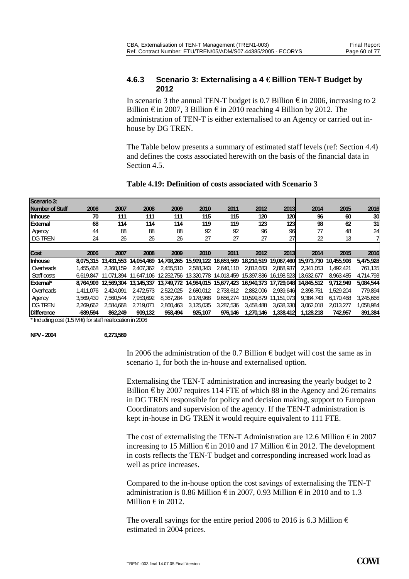#### **4.6.3 Scenario 3: Externalising a 4** € **Billion TEN-T Budget by 2012**

In scenario 3 the annual TEN-T budget is 0.7 Billion  $\epsilon$  in 2006, increasing to 2 Billion  $\epsilon$  in 2007, 3 Billion  $\epsilon$  in 2010 reaching 4 Billion by 2012. The administration of TEN-T is either externalised to an Agency or carried out inhouse by DG TREN.

The Table below presents a summary of estimated staff levels (ref: Section 4.4) and defines the costs associated herewith on the basis of the financial data in Section 4.5.

#### **Table 4.19: Definition of costs associated with Scenario 3**

| Scenario 3:     |            |            |                       |            |            |                                             |            |            |            |            |           |
|-----------------|------------|------------|-----------------------|------------|------------|---------------------------------------------|------------|------------|------------|------------|-----------|
| Number of Staff | 2006       | 2007       | 2008                  | 2009       | 2010       | 2011                                        | 2012       | 2013       | 2014       | 2015       | 2016      |
| <b>Inhouse</b>  | 70         | 111        | 111                   | 111        | 115        | 115                                         | 120        | 120        | 96         | 60         | 30        |
| External        | 68         | 114        | 114                   | 114        | 119        | 119                                         | 123        | 123        | 98         | 62         | 31        |
| Agency          | 44         | 88         | 88                    | 88         | 92         | 92                                          | 96         | 96         | 77         | 48         | 24        |
| <b>DG TREN</b>  | 24         | 26         | 26                    | 26         | 27         | 27                                          | 27         | 27         | 22         | 13         |           |
|                 |            |            |                       |            |            |                                             |            |            |            |            |           |
| <b>Cost</b>     | 2006       | 2007       | 2008                  | 2009       | 2010       | 2011                                        | 2012       | 2013       | 2014       | 2015       | 2016      |
| <b>Inhouse</b>  | 8.075.315  | 13.431.553 | 14.054.469            |            |            | 14,708,265 15,909,122 16,653,569 18,210,519 |            | 19,067,460 | 15,973,730 | 10,455,906 | 5,475,928 |
| Overheads       | 1.455.468  | 2.360.159  | 2.407.362             | 2.455.510  | 2.588.343  | 2.640.110                                   | 2.812.683  | 2.868.937  | 2.341.053  | 1.492.421  | 761,135   |
| Staff costs     | 6.619.847  |            | 11.071.394 11.647.106 | 12.252.756 | 13,320,778 | 14.013.459                                  | 15,397,836 | 16.198.523 | 13,632,677 | 8.963.485  | 4,714,793 |
| External*       | 8.764.909  | 12.569.304 | 13.145.337            | 13,749,772 |            | 14.984.015 15.677.423                       | 16.940.373 | 17.729.048 | 14.845.512 | 9.712.949  | 5.084.544 |
| Overheads       | 1,411,076  | 2.424.091  | 2.472.573             | 2.522.025  | 2.680.012  | 2.733.612                                   | 2.882,006  | 2.939.646  | 2.398.751  | 1.529.204  | 779,894   |
| Agency          | 3.569.430  | 7.560.544  | 7.953.692             | 8,367,284  | 9.178.968  | 9.656.274                                   | 10.599.879 | 11.151.073 | 9.384.743  | 6.170.468  | 3,245,666 |
| <b>DG TREN</b>  | 2.269.662  | 2.584.668  | 2.719.071             | 2.860.463  | 3.125.035  | 3.287.536                                   | 3.458.488  | 3,638,330  | 3.062.018  | 2.013.277  | 1,058,984 |
| Difference      | $-689.594$ | 862.249    | 909,132               | 958,494    | 925,107    | 976.146                                     | 1,270,146  | 1,338,412  | 1,128,218  | 742.957    | 391,384   |

\* Including cost (1.5 M €) for staff reallocation in 2006

**NPV - 2004 6,273,569**

In 2006 the administration of the 0.7 Billion  $\epsilon$  budget will cost the same as in scenario 1, for both the in-house and externalised option.

Externalising the TEN-T administration and increasing the yearly budget to 2 Billion  $\epsilon$  by 2007 requires 114 FTE of which 88 in the Agency and 26 remains in DG TREN responsible for policy and decision making, support to European Coordinators and supervision of the agency. If the TEN-T administration is kept in-house in DG TREN it would require equivalent to 111 FTE.

The cost of externalising the TEN-T Administration are 12.6 Million  $\epsilon$  in 2007 increasing to 15 Million  $\epsilon$  in 2010 and 17 Million  $\epsilon$  in 2012. The development in costs reflects the TEN-T budget and corresponding increased work load as well as price increases.

Compared to the in-house option the cost savings of externalising the TEN-T administration is 0.86 Million  $\epsilon$  in 2007, 0.93 Million  $\epsilon$  in 2010 and to 1.3 Million  $\epsilon$  in 2012.

The overall savings for the entire period 2006 to 2016 is 6.3 Million  $\epsilon$ estimated in 2004 prices.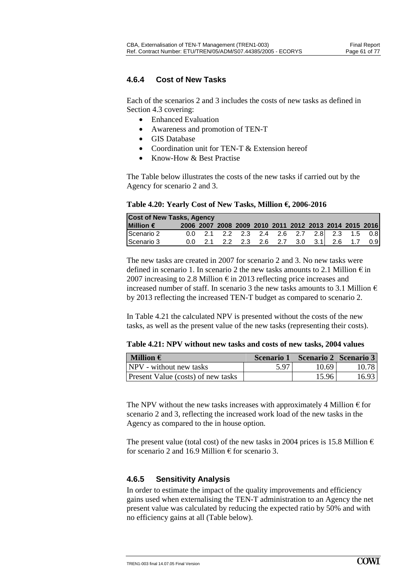#### **4.6.4 Cost of New Tasks**

Each of the scenarios 2 and 3 includes the costs of new tasks as defined in Section 4.3 covering:

- Enhanced Evaluation
- Awareness and promotion of TEN-T
- GIS Database
- Coordination unit for TEN-T & Extension hereof
- Know-How & Best Practise

The Table below illustrates the costs of the new tasks if carried out by the Agency for scenario 2 and 3.

**Table 4.20: Yearly Cost of New Tasks, Million** €**, 2006-2016** 

| <b>Cost of New Tasks, Agency</b> |                                                        |  |                                               |  |  |  |  |  |  |     |
|----------------------------------|--------------------------------------------------------|--|-----------------------------------------------|--|--|--|--|--|--|-----|
| <b>Million €</b>                 | 2006 2007 2008 2009 2010 2011 2012 2013 2014 2015 2016 |  |                                               |  |  |  |  |  |  |     |
| Scenario 2                       |                                                        |  | $0.0$ 2.1 2.2 2.3 2.4 2.6 2.7 2.8 2.3 1.5 0.8 |  |  |  |  |  |  |     |
| Scenario 3                       |                                                        |  | 0.0 2.1 2.2 2.3 2.6 2.7 3.0 3.1 2.6 1.7       |  |  |  |  |  |  | 0.9 |

The new tasks are created in 2007 for scenario 2 and 3. No new tasks were defined in scenario 1. In scenario 2 the new tasks amounts to 2.1 Million  $\epsilon$  in 2007 increasing to 2.8 Million  $\epsilon$  in 2013 reflecting price increases and increased number of staff. In scenario 3 the new tasks amounts to 3.1 Million  $\epsilon$ by 2013 reflecting the increased TEN-T budget as compared to scenario 2.

In Table 4.21 the calculated NPV is presented without the costs of the new tasks, as well as the present value of the new tasks (representing their costs).

**Table 4.21: NPV without new tasks and costs of new tasks, 2004 values** 

| <b>Million <math>\epsilon</math></b>      | <b>Scenario</b> 1 | Scenario 2 Scenario 3 |       |
|-------------------------------------------|-------------------|-----------------------|-------|
| NPV - without new tasks                   | 5.97              | 10.69                 | 10.78 |
| <b>Present Value (costs) of new tasks</b> |                   | 15.96                 | 16.93 |

The NPV without the new tasks increases with approximately 4 Million  $\epsilon$  for scenario 2 and 3, reflecting the increased work load of the new tasks in the Agency as compared to the in house option.

The present value (total cost) of the new tasks in 2004 prices is 15.8 Million  $\epsilon$ for scenario 2 and 16.9 Million  $\epsilon$  for scenario 3.

#### **4.6.5 Sensitivity Analysis**

In order to estimate the impact of the quality improvements and efficiency gains used when externalising the TEN-T administration to an Agency the net present value was calculated by reducing the expected ratio by 50% and with no efficiency gains at all (Table below).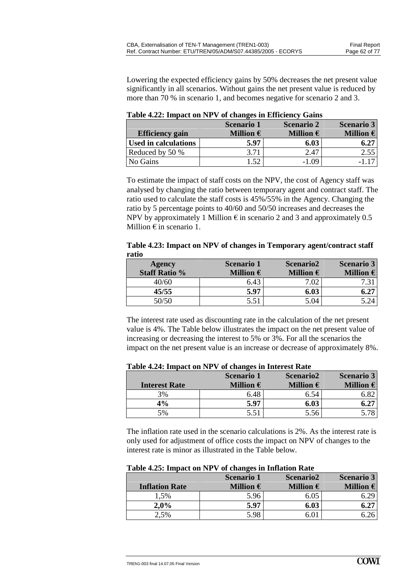Lowering the expected efficiency gains by 50% decreases the net present value significantly in all scenarios. Without gains the net present value is reduced by more than 70 % in scenario 1, and becomes negative for scenario 2 and 3.

|                             | TANIV BELI MINANG DILI I DI GIMILOD III LIIRROMO QAIND |                                      |                                      |  |  |  |  |  |  |  |  |
|-----------------------------|--------------------------------------------------------|--------------------------------------|--------------------------------------|--|--|--|--|--|--|--|--|
|                             | <b>Scenario 1</b>                                      | <b>Scenario 2</b>                    | <b>Scenario 3</b>                    |  |  |  |  |  |  |  |  |
| <b>Efficiency gain</b>      | <b>Million <math>\epsilon</math></b>                   | <b>Million <math>\epsilon</math></b> | <b>Million <math>\epsilon</math></b> |  |  |  |  |  |  |  |  |
| <b>Used in calculations</b> | 5.97                                                   | 6.03                                 | 6.27                                 |  |  |  |  |  |  |  |  |
| Reduced by 50 %             | 3.71                                                   | 2.47                                 | 2.55                                 |  |  |  |  |  |  |  |  |
| No Gains                    | .52                                                    | $-1.09$                              |                                      |  |  |  |  |  |  |  |  |

#### **Table 4.22: Impact on NPV of changes in Efficiency Gains**

To estimate the impact of staff costs on the NPV, the cost of Agency staff was analysed by changing the ratio between temporary agent and contract staff. The ratio used to calculate the staff costs is 45%/55% in the Agency. Changing the ratio by 5 percentage points to 40/60 and 50/50 increases and decreases the NPV by approximately 1 Million  $\epsilon$  in scenario 2 and 3 and approximately 0.5 Million  $\epsilon$  in scenario 1.

#### **Table 4.23: Impact on NPV of changes in Temporary agent/contract staff ratio**

| Agency               | <b>Scenario 1</b>                    | Scenario <sub>2</sub>                | Scenario 3                           |
|----------------------|--------------------------------------|--------------------------------------|--------------------------------------|
| <b>Staff Ratio %</b> | <b>Million <math>\epsilon</math></b> | <b>Million <math>\epsilon</math></b> | <b>Million <math>\epsilon</math></b> |
| 40/60                | 6.43                                 | 7.02                                 |                                      |
| 45/55                | 5.97                                 | 6.03                                 |                                      |
| 50/50                | 5.5 <sup>1</sup>                     | 5.04                                 |                                      |

The interest rate used as discounting rate in the calculation of the net present value is 4%. The Table below illustrates the impact on the net present value of increasing or decreasing the interest to 5% or 3%. For all the scenarios the impact on the net present value is an increase or decrease of approximately 8%.

|                      | <b>Scenario 1</b>                    | Scenario <sub>2</sub>                | Scenario 3                           |
|----------------------|--------------------------------------|--------------------------------------|--------------------------------------|
| <b>Interest Rate</b> | <b>Million <math>\epsilon</math></b> | <b>Million <math>\epsilon</math></b> | <b>Million <math>\epsilon</math></b> |
| 3%                   | 6.48                                 | 6.54                                 |                                      |
| 4%                   | 5.97                                 | 6.03                                 |                                      |
| 5%                   | 5.51                                 | 5.56                                 |                                      |

#### **Table 4.24: Impact on NPV of changes in Interest Rate**

The inflation rate used in the scenario calculations is 2%. As the interest rate is only used for adjustment of office costs the impact on NPV of changes to the interest rate is minor as illustrated in the Table below.

|                       | <b>Scenario 1</b>                    | Scenario <sub>2</sub>                | <b>Scenario 3</b>                    |
|-----------------------|--------------------------------------|--------------------------------------|--------------------------------------|
| <b>Inflation Rate</b> | <b>Million <math>\epsilon</math></b> | <b>Million <math>\epsilon</math></b> | <b>Million <math>\epsilon</math></b> |
| 1,5%                  | 5.96                                 | 6.05                                 |                                      |
| 2,0%                  | 5.97                                 | 6.03                                 | 0.27                                 |
| 2.5%                  | 5.98                                 |                                      |                                      |

#### **Table 4.25: Impact on NPV of changes in Inflation Rate**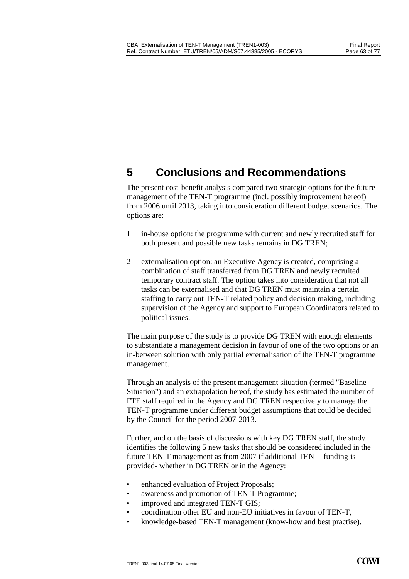# **5 Conclusions and Recommendations**

The present cost-benefit analysis compared two strategic options for the future management of the TEN-T programme (incl. possibly improvement hereof) from 2006 until 2013, taking into consideration different budget scenarios. The options are:

- 1 in-house option: the programme with current and newly recruited staff for both present and possible new tasks remains in DG TREN;
- 2 externalisation option: an Executive Agency is created, comprising a combination of staff transferred from DG TREN and newly recruited temporary contract staff. The option takes into consideration that not all tasks can be externalised and that DG TREN must maintain a certain staffing to carry out TEN-T related policy and decision making, including supervision of the Agency and support to European Coordinators related to political issues.

The main purpose of the study is to provide DG TREN with enough elements to substantiate a management decision in favour of one of the two options or an in-between solution with only partial externalisation of the TEN-T programme management.

Through an analysis of the present management situation (termed "Baseline Situation") and an extrapolation hereof, the study has estimated the number of FTE staff required in the Agency and DG TREN respectively to manage the TEN-T programme under different budget assumptions that could be decided by the Council for the period 2007-2013.

Further, and on the basis of discussions with key DG TREN staff, the study identifies the following 5 new tasks that should be considered included in the future TEN-T management as from 2007 if additional TEN-T funding is provided- whether in DG TREN or in the Agency:

- enhanced evaluation of Project Proposals;
- awareness and promotion of TEN-T Programme;
- improved and integrated TEN-T GIS;
- coordination other EU and non-EU initiatives in favour of TEN-T,
- knowledge-based TEN-T management (know-how and best practise).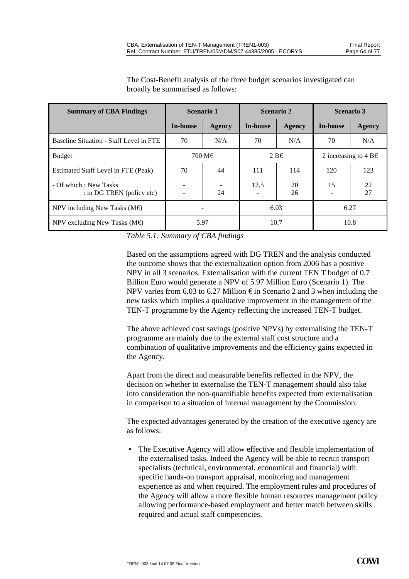| <b>Summary of CBA Findings</b>                      | <b>Scenario 1</b>      |        |                 | <b>Scenario 2</b> | <b>Scenario 3</b>              |          |  |
|-----------------------------------------------------|------------------------|--------|-----------------|-------------------|--------------------------------|----------|--|
|                                                     | <b>In-house</b>        | Agency | <b>In-house</b> | Agency            | <b>In-house</b>                | Agency   |  |
| Baseline Situation - Staff Level in FTE             | 70                     | N/A    | 70              | N/A               | 70                             | N/A      |  |
| <b>Budget</b>                                       | $2B\epsilon$<br>700 M€ |        |                 |                   | 2 increasing to 4 B $\epsilon$ |          |  |
| Estimated Staff Level in FTE (Peak)                 | 70                     | 44     | 111             | 114               | 120                            | 123      |  |
| - Of which : New Tasks<br>: in DG TREN (policy etc) |                        | 24     | 12.5            | 20<br>26          | 15                             | 22<br>27 |  |
| NPV including New Tasks ( $M\epsilon$ )             |                        |        | 6.03            |                   | 6.27                           |          |  |
| NPV excluding New Tasks ( $M\epsilon$ )             | 5.97                   |        | 10.7            |                   | 10.8                           |          |  |

The Cost-Benefit analysis of the three budget scenarios investigated can broadly be summarised as follows:

*Table 5.1: Summary of CBA findings* 

Based on the assumptions agreed with DG TREN and the analysis conducted the outcome shows that the externalization option from 2006 has a positive NPV in all 3 scenarios. Externalisation with the current TEN T budget of 0.7 Billion Euro would generate a NPV of 5.97 Million Euro (Scenario 1). The NPV varies from 6.03 to 6.27 Million  $\epsilon$  in Scenario 2 and 3 when including the new tasks which implies a qualitative improvement in the management of the TEN-T programme by the Agency reflecting the increased TEN-T budget.

The above achieved cost savings (positive NPVs) by externalising the TEN-T programme are mainly due to the external staff cost structure and a combination of qualitative improvements and the efficiency gains expected in the Agency.

Apart from the direct and measurable benefits reflected in the NPV, the decision on whether to externalise the TEN-T management should also take into consideration the non-quantifiable benefits expected from externalisation in comparison to a situation of internal management by the Commission.

The expected advantages generated by the creation of the executive agency are as follows:

• The Executive Agency will allow effective and flexible implementation of the externalised tasks. Indeed the Agency will be able to recruit transport specialists (technical, environmental, economical and financial) with specific hands-on transport appraisal, monitoring and management experience as and when required. The employment rules and procedures of the Agency will allow a more flexible human resources management policy allowing performance-based employment and better match between skills required and actual staff competencies.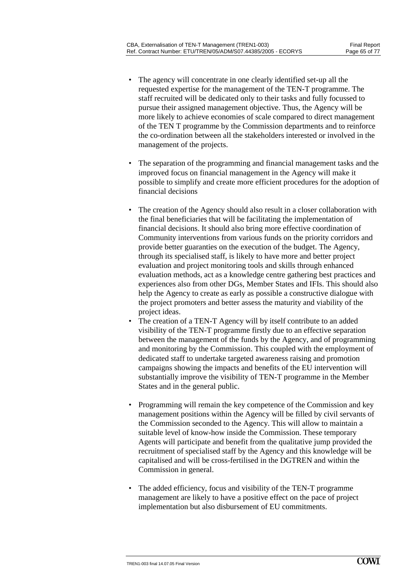- The agency will concentrate in one clearly identified set-up all the requested expertise for the management of the TEN-T programme. The staff recruited will be dedicated only to their tasks and fully focussed to pursue their assigned management objective. Thus, the Agency will be more likely to achieve economies of scale compared to direct management of the TEN T programme by the Commission departments and to reinforce the co-ordination between all the stakeholders interested or involved in the management of the projects.
- The separation of the programming and financial management tasks and the improved focus on financial management in the Agency will make it possible to simplify and create more efficient procedures for the adoption of financial decisions
- The creation of the Agency should also result in a closer collaboration with the final beneficiaries that will be facilitating the implementation of financial decisions. It should also bring more effective coordination of Community interventions from various funds on the priority corridors and provide better guaranties on the execution of the budget. The Agency, through its specialised staff, is likely to have more and better project evaluation and project monitoring tools and skills through enhanced evaluation methods, act as a knowledge centre gathering best practices and experiences also from other DGs, Member States and IFIs. This should also help the Agency to create as early as possible a constructive dialogue with the project promoters and better assess the maturity and viability of the project ideas.
- The creation of a TEN-T Agency will by itself contribute to an added visibility of the TEN-T programme firstly due to an effective separation between the management of the funds by the Agency, and of programming and monitoring by the Commission. This coupled with the employment of dedicated staff to undertake targeted awareness raising and promotion campaigns showing the impacts and benefits of the EU intervention will substantially improve the visibility of TEN-T programme in the Member States and in the general public.
- Programming will remain the key competence of the Commission and key management positions within the Agency will be filled by civil servants of the Commission seconded to the Agency. This will allow to maintain a suitable level of know-how inside the Commission. These temporary Agents will participate and benefit from the qualitative jump provided the recruitment of specialised staff by the Agency and this knowledge will be capitalised and will be cross-fertilised in the DGTREN and within the Commission in general.
- The added efficiency, focus and visibility of the TEN-T programme management are likely to have a positive effect on the pace of project implementation but also disbursement of EU commitments.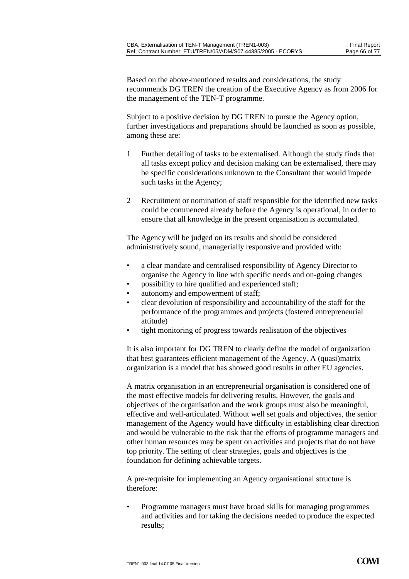Based on the above-mentioned results and considerations, the study recommends DG TREN the creation of the Executive Agency as from 2006 for the management of the TEN-T programme.

Subject to a positive decision by DG TREN to pursue the Agency option, further investigations and preparations should be launched as soon as possible, among these are:

- 1 Further detailing of tasks to be externalised. Although the study finds that all tasks except policy and decision making can be externalised, there may be specific considerations unknown to the Consultant that would impede such tasks in the Agency;
- 2 Recruitment or nomination of staff responsible for the identified new tasks could be commenced already before the Agency is operational, in order to ensure that all knowledge in the present organisation is accumulated.

The Agency will be judged on its results and should be considered administratively sound, managerially responsive and provided with:

- a clear mandate and centralised responsibility of Agency Director to organise the Agency in line with specific needs and on-going changes
- possibility to hire qualified and experienced staff;
- autonomy and empowerment of staff;
- clear devolution of responsibility and accountability of the staff for the performance of the programmes and projects (fostered entrepreneurial attitude)
- tight monitoring of progress towards realisation of the objectives

It is also important for DG TREN to clearly define the model of organization that best guarantees efficient management of the Agency. A (quasi)matrix organization is a model that has showed good results in other EU agencies.

A matrix organisation in an entrepreneurial organisation is considered one of the most effective models for delivering results. However, the goals and objectives of the organisation and the work groups must also be meaningful, effective and well-articulated. Without well set goals and objectives, the senior management of the Agency would have difficulty in establishing clear direction and would be vulnerable to the risk that the efforts of programme managers and other human resources may be spent on activities and projects that do not have top priority. The setting of clear strategies, goals and objectives is the foundation for defining achievable targets.

A pre-requisite for implementing an Agency organisational structure is therefore:

• Programme managers must have broad skills for managing programmes and activities and for taking the decisions needed to produce the expected results;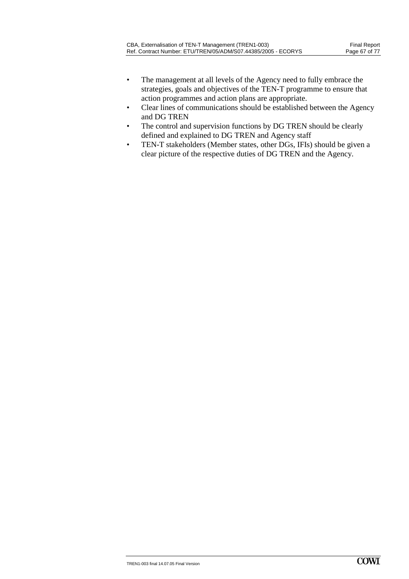- The management at all levels of the Agency need to fully embrace the strategies, goals and objectives of the TEN-T programme to ensure that action programmes and action plans are appropriate.
- Clear lines of communications should be established between the Agency and DG TREN
- The control and supervision functions by DG TREN should be clearly defined and explained to DG TREN and Agency staff
- TEN-T stakeholders (Member states, other DGs, IFIs) should be given a clear picture of the respective duties of DG TREN and the Agency.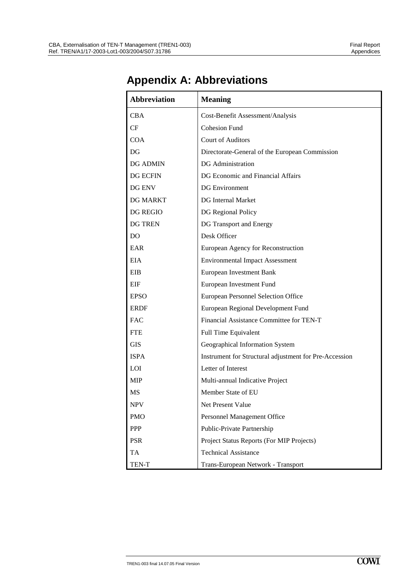| <b>Abbreviation</b> | <b>Meaning</b>                                         |
|---------------------|--------------------------------------------------------|
| <b>CBA</b>          | Cost-Benefit Assessment/Analysis                       |
| CF                  | <b>Cohesion Fund</b>                                   |
| <b>COA</b>          | <b>Court of Auditors</b>                               |
| DG                  | Directorate-General of the European Commission         |
| <b>DG ADMIN</b>     | <b>DG</b> Administration                               |
| <b>DG ECFIN</b>     | DG Economic and Financial Affairs                      |
| DG ENV              | <b>DG</b> Environment                                  |
| <b>DG MARKT</b>     | <b>DG</b> Internal Market                              |
| DG REGIO            | DG Regional Policy                                     |
| <b>DG TREN</b>      | DG Transport and Energy                                |
| D <sub>O</sub>      | Desk Officer                                           |
| EAR                 | European Agency for Reconstruction                     |
| <b>EIA</b>          | <b>Environmental Impact Assessment</b>                 |
| EIB                 | <b>European Investment Bank</b>                        |
| EIF                 | European Investment Fund                               |
| <b>EPSO</b>         | <b>European Personnel Selection Office</b>             |
| <b>ERDF</b>         | European Regional Development Fund                     |
| <b>FAC</b>          | Financial Assistance Committee for TEN-T               |
| <b>FTE</b>          | Full Time Equivalent                                   |
| <b>GIS</b>          | Geographical Information System                        |
| <b>ISPA</b>         | Instrument for Structural adjustment for Pre-Accession |
| LOI                 | Letter of Interest                                     |
| <b>MIP</b>          | Multi-annual Indicative Project                        |
| <b>MS</b>           | Member State of EU                                     |
| <b>NPV</b>          | Net Present Value                                      |
| <b>PMO</b>          | Personnel Management Office                            |
| <b>PPP</b>          | Public-Private Partnership                             |
| <b>PSR</b>          | Project Status Reports (For MIP Projects)              |
| TA                  | <b>Technical Assistance</b>                            |
| TEN-T               | Trans-European Network - Transport                     |

# **Appendix A: Abbreviations**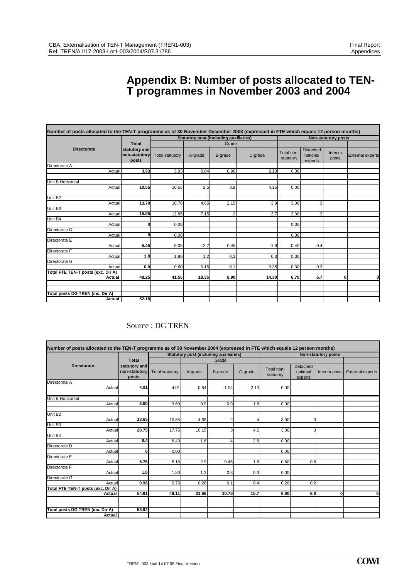# **Appendix B: Number of posts allocated to TEN-T programmes in November 2003 and 2004**

| Number of posts allocated to the TEN-T programme as of 30 November December 2003 (expressed in FTE which equals 12 person months) |                                         |                        |                                               |                |         |                         |                                 |                            |                         |
|-----------------------------------------------------------------------------------------------------------------------------------|-----------------------------------------|------------------------|-----------------------------------------------|----------------|---------|-------------------------|---------------------------------|----------------------------|-------------------------|
|                                                                                                                                   |                                         |                        | <b>Statutory post (including auxiliaries)</b> |                |         |                         |                                 | <b>Non-statutory posts</b> |                         |
|                                                                                                                                   | Total                                   |                        |                                               | Grade          |         |                         |                                 |                            |                         |
| <b>Directorate</b>                                                                                                                | statutory and<br>non-statutory<br>posts | <b>Total statutory</b> | A-grade                                       | B-grade        | C-grade | Total non-<br>statutory | Detached<br>national<br>experts | Interim<br>posts           | <b>External experts</b> |
| Directorate A                                                                                                                     |                                         |                        |                                               |                |         |                         |                                 |                            |                         |
| Actual                                                                                                                            | 3.93                                    | 3.93                   | 0.84                                          | 0.96           | 2.13    | 0.00                    |                                 |                            |                         |
| Unit B Horizontal                                                                                                                 |                                         |                        |                                               |                |         |                         |                                 |                            |                         |
| Actual                                                                                                                            | 10.55                                   | 10.55                  | 2.5                                           | 3.9            | 4.15    | 0.00                    |                                 |                            |                         |
| Unit B <sub>2</sub>                                                                                                               |                                         |                        |                                               |                |         |                         |                                 |                            |                         |
| Actual                                                                                                                            | 13.70                                   | 10.70                  | 4.65                                          | 2.15           | 3.9     | 3.00                    | 3                               |                            |                         |
| Unit B3                                                                                                                           |                                         |                        |                                               |                |         |                         |                                 |                            |                         |
| Actual                                                                                                                            | 15.85                                   | 12.85                  | 7.15                                          | $\overline{2}$ | 3.7     | 3.00                    | 3                               |                            |                         |
| Unit B4                                                                                                                           |                                         |                        |                                               |                |         |                         |                                 |                            |                         |
| Actual                                                                                                                            | $\mathbf{0}$                            | 0.00                   |                                               |                |         | 0.00                    |                                 |                            |                         |
| Directorate D                                                                                                                     |                                         |                        |                                               |                |         |                         |                                 |                            |                         |
| Actual                                                                                                                            | $\mathbf{0}$                            | 0.00                   |                                               |                |         | 0.00                    |                                 |                            |                         |
| Directorate E                                                                                                                     |                                         |                        |                                               |                |         |                         |                                 |                            |                         |
| Actual                                                                                                                            | 5.45                                    | 5.05                   | 2.7                                           | 0.45           | 1.9     | 0.40                    | 0.4                             |                            |                         |
| Directorate F                                                                                                                     |                                         |                        |                                               |                |         |                         |                                 |                            |                         |
| Actual                                                                                                                            | 1.8                                     | 1.80                   | 1.2                                           | 0.3            | 0.3     | 0.00                    |                                 |                            |                         |
| Directorate G                                                                                                                     | 0.9                                     |                        |                                               |                |         |                         |                                 |                            |                         |
| Actual<br>Total FTE TEN-T posts (exc. Dir A)                                                                                      |                                         | 0.60                   | 0.15                                          | 0.1            | 0.35    | 0.30                    | 0.3                             |                            |                         |
| Actual                                                                                                                            | 48.25                                   | 41.55                  | 18.35                                         | 8.90           | 14.30   | 6.70                    | 6.7                             | $\mathbf{0}$               | $\mathbf 0$             |
|                                                                                                                                   |                                         |                        |                                               |                |         |                         |                                 |                            |                         |
|                                                                                                                                   |                                         |                        |                                               |                |         |                         |                                 |                            |                         |
| Total posts DG TREN (inc. Dir A)                                                                                                  |                                         |                        |                                               |                |         |                         |                                 |                            |                         |
| Actual                                                                                                                            | 32.18                                   |                        |                                               |                |         |                         |                                 |                            |                         |

### Source : DG TREN

|                                    |                                         |                        | <b>Statutory post (including auxiliaries)</b> |                |         |                         |                                 | <b>Non-statutory posts</b> |                         |
|------------------------------------|-----------------------------------------|------------------------|-----------------------------------------------|----------------|---------|-------------------------|---------------------------------|----------------------------|-------------------------|
|                                    | <b>Total</b>                            |                        |                                               | Grade          |         |                         |                                 |                            |                         |
| <b>Directorate</b>                 | statutory and<br>non-statutory<br>posts | <b>Total statutory</b> | A-grade                                       | B-grade        | C-grade | Total non-<br>statutory | Detached<br>national<br>experts | Interim posts              | <b>External experts</b> |
| Directorate A                      |                                         |                        |                                               |                |         |                         |                                 |                            |                         |
| Actual                             | 4.01                                    | 4.01                   | 0.84                                          | 1.04           | 2.13    | 0.00                    |                                 |                            |                         |
| Unit B Horizontal                  |                                         |                        |                                               |                |         |                         |                                 |                            |                         |
| Actual                             | 3.60                                    | 3.60                   | 0.9                                           | 0.9            | 1.8     | 0.00                    |                                 |                            |                         |
| Unit B <sub>2</sub>                |                                         |                        |                                               |                |         |                         |                                 |                            |                         |
| Actual                             | 13.65                                   | 10.65                  | 4.65                                          | $\overline{2}$ | 4       | 3.00                    | 3                               |                            |                         |
| Unit B3                            |                                         |                        |                                               |                |         |                         |                                 |                            |                         |
| Actual                             | 20.75                                   | 17.75                  | 10.15                                         | 3              | 4.6     | 3.00                    | $\overline{3}$                  |                            |                         |
| Unit B4                            |                                         |                        |                                               |                |         |                         |                                 |                            |                         |
| Actual                             | 8.4                                     | 8.40                   | 1.6                                           | 4              | 2.8     | 0.00                    |                                 |                            |                         |
| Directorate D                      |                                         |                        |                                               |                |         |                         |                                 |                            |                         |
| Actual<br>Directorate E            | $\mathbf 0$                             | 0.00                   |                                               |                |         | 0.00                    |                                 |                            |                         |
| Actual                             | 5.75                                    | 5.15                   | 2.9                                           | 0.45           | 1.8     | 0.60                    | 0.6                             |                            |                         |
| Directorate F                      |                                         |                        |                                               |                |         |                         |                                 |                            |                         |
| Actual                             | 1.8                                     | 1.80                   | 1.2                                           | 0.3            | 0.3     | 0.00                    |                                 |                            |                         |
| Directorate G                      |                                         |                        |                                               |                |         |                         |                                 |                            |                         |
| Actual                             | 0.96                                    | 0.76                   | 0.26                                          | 0.1            | 0.4     | 0.20                    | 0.2                             |                            |                         |
| Total FTE TEN-T posts (exc. Dir A) |                                         |                        |                                               |                |         |                         |                                 |                            |                         |
| Actual                             | 54.91                                   | 48.11                  | 21.66                                         | 10.75          | 15.7    | 6.80                    | 6.8                             | $\mathbf{0}$               | $\bf{0}$                |
|                                    |                                         |                        |                                               |                |         |                         |                                 |                            |                         |
| Total posts DG TREN (inc. Dir A)   | 58.92                                   |                        |                                               |                |         |                         |                                 |                            |                         |
| Actual                             |                                         |                        |                                               |                |         |                         |                                 |                            |                         |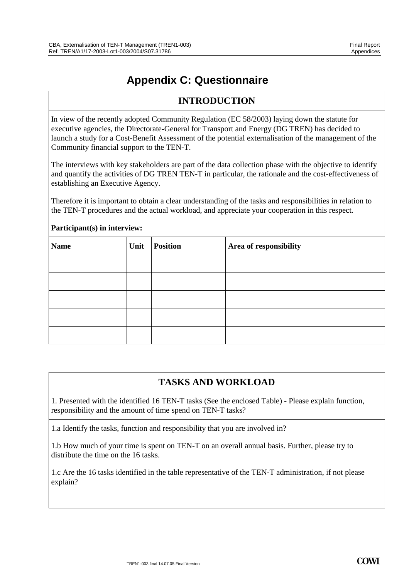# **Appendix C: Questionnaire**

## **INTRODUCTION**

In view of the recently adopted Community Regulation (EC 58/2003) laying down the statute for executive agencies, the Directorate-General for Transport and Energy (DG TREN) has decided to launch a study for a Cost-Benefit Assessment of the potential externalisation of the management of the Community financial support to the TEN-T.

The interviews with key stakeholders are part of the data collection phase with the objective to identify and quantify the activities of DG TREN TEN-T in particular, the rationale and the cost-effectiveness of establishing an Executive Agency.

Therefore it is important to obtain a clear understanding of the tasks and responsibilities in relation to the TEN-T procedures and the actual workload, and appreciate your cooperation in this respect.

# **Participant(s) in interview:**  Name  $\vert$  Unit Position  $\vert$  Area of responsibility

# **TASKS AND WORKLOAD**

1. Presented with the identified 16 TEN-T tasks (See the enclosed Table) - Please explain function, responsibility and the amount of time spend on TEN-T tasks?

1.a Identify the tasks, function and responsibility that you are involved in?

1.b How much of your time is spent on TEN-T on an overall annual basis. Further, please try to distribute the time on the 16 tasks.

1.c Are the 16 tasks identified in the table representative of the TEN-T administration, if not please explain?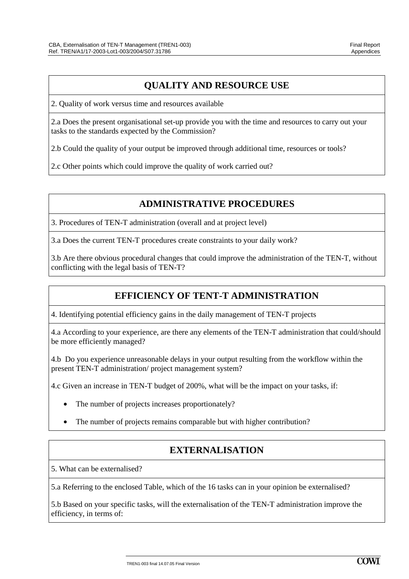## **QUALITY AND RESOURCE USE**

2. Quality of work versus time and resources available

2.a Does the present organisational set-up provide you with the time and resources to carry out your tasks to the standards expected by the Commission?

2.b Could the quality of your output be improved through additional time, resources or tools?

2.c Other points which could improve the quality of work carried out?

### **ADMINISTRATIVE PROCEDURES**

3. Procedures of TEN-T administration (overall and at project level)

3.a Does the current TEN-T procedures create constraints to your daily work?

3.b Are there obvious procedural changes that could improve the administration of the TEN-T, without conflicting with the legal basis of TEN-T?

#### **EFFICIENCY OF TENT-T ADMINISTRATION**

4. Identifying potential efficiency gains in the daily management of TEN-T projects

4.a According to your experience, are there any elements of the TEN-T administration that could/should be more efficiently managed?

4.b Do you experience unreasonable delays in your output resulting from the workflow within the present TEN-T administration/ project management system?

4.c Given an increase in TEN-T budget of 200%, what will be the impact on your tasks, if:

- The number of projects increases proportionately?
- The number of projects remains comparable but with higher contribution?

#### **EXTERNALISATION**

5. What can be externalised?

5.a Referring to the enclosed Table, which of the 16 tasks can in your opinion be externalised?

5.b Based on your specific tasks, will the externalisation of the TEN-T administration improve the efficiency, in terms of: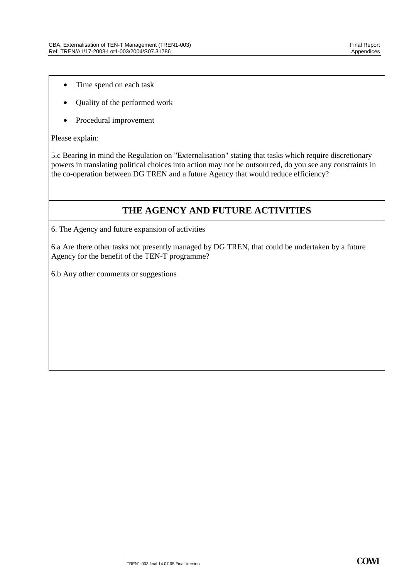- Time spend on each task
- Quality of the performed work
- Procedural improvement

Please explain:

5.c Bearing in mind the Regulation on "Externalisation" stating that tasks which require discretionary powers in translating political choices into action may not be outsourced, do you see any constraints in the co-operation between DG TREN and a future Agency that would reduce efficiency?

#### **THE AGENCY AND FUTURE ACTIVITIES**

6. The Agency and future expansion of activities

6.a Are there other tasks not presently managed by DG TREN, that could be undertaken by a future Agency for the benefit of the TEN-T programme?

6.b Any other comments or suggestions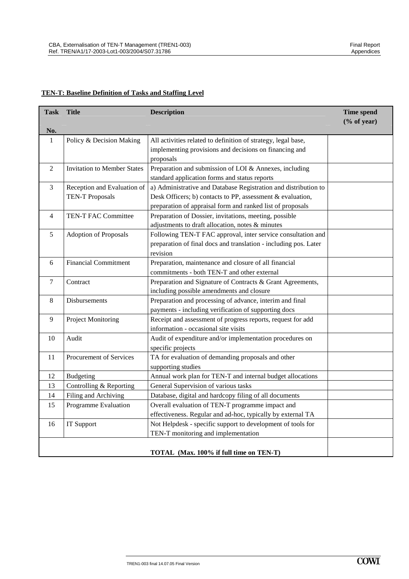#### **TEN-T: Baseline Definition of Tasks and Staffing Level**

| <b>Task</b>    | <b>Title</b>                       | <b>Description</b>                                                  | <b>Time spend</b><br>$(\%$ of year) |
|----------------|------------------------------------|---------------------------------------------------------------------|-------------------------------------|
| No.            |                                    |                                                                     |                                     |
| $\mathbf{1}$   | Policy & Decision Making           | All activities related to definition of strategy, legal base,       |                                     |
|                |                                    | implementing provisions and decisions on financing and<br>proposals |                                     |
| $\overline{2}$ | <b>Invitation to Member States</b> | Preparation and submission of LOI & Annexes, including              |                                     |
|                |                                    | standard application forms and status reports                       |                                     |
| 3              | Reception and Evaluation of        | a) Administrative and Database Registration and distribution to     |                                     |
|                | <b>TEN-T Proposals</b>             | Desk Officers; b) contacts to PP, assessment & evaluation,          |                                     |
|                |                                    | preparation of appraisal form and ranked list of proposals          |                                     |
| $\overline{4}$ | TEN-T FAC Committee                | Preparation of Dossier, invitations, meeting, possible              |                                     |
|                |                                    | adjustments to draft allocation, notes & minutes                    |                                     |
| 5              | <b>Adoption of Proposals</b>       | Following TEN-T FAC approval, inter service consultation and        |                                     |
|                |                                    | preparation of final docs and translation - including pos. Later    |                                     |
|                |                                    | revision                                                            |                                     |
| 6              | <b>Financial Commitment</b>        | Preparation, maintenance and closure of all financial               |                                     |
|                |                                    | commitments - both TEN-T and other external                         |                                     |
| $\tau$         | Contract                           | Preparation and Signature of Contracts & Grant Agreements,          |                                     |
|                |                                    | including possible amendments and closure                           |                                     |
| 8              | <b>Disbursements</b>               | Preparation and processing of advance, interim and final            |                                     |
|                |                                    | payments - including verification of supporting docs                |                                     |
| 9              | <b>Project Monitoring</b>          | Receipt and assessment of progress reports, request for add         |                                     |
|                |                                    | information - occasional site visits                                |                                     |
| 10             | Audit                              | Audit of expenditure and/or implementation procedures on            |                                     |
|                |                                    | specific projects                                                   |                                     |
| 11             | Procurement of Services            | TA for evaluation of demanding proposals and other                  |                                     |
|                |                                    | supporting studies                                                  |                                     |
| 12             | Budgeting                          | Annual work plan for TEN-T and internal budget allocations          |                                     |
| 13             | Controlling & Reporting            | General Supervision of various tasks                                |                                     |
| 14             | Filing and Archiving               | Database, digital and hardcopy filing of all documents              |                                     |
| 15             | Programme Evaluation               | Overall evaluation of TEN-T programme impact and                    |                                     |
|                |                                    | effectiveness. Regular and ad-hoc, typically by external TA         |                                     |
| 16             | <b>IT Support</b>                  | Not Helpdesk - specific support to development of tools for         |                                     |
|                |                                    | TEN-T monitoring and implementation                                 |                                     |
|                |                                    | TOTAL (Max. 100% if full time on TEN-T)                             |                                     |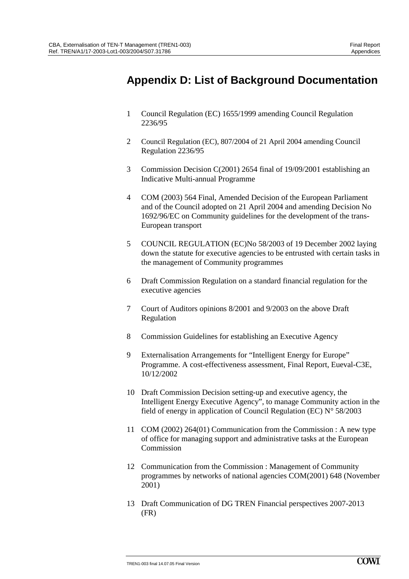# **Appendix D: List of Background Documentation**

- 1 Council Regulation (EC) 1655/1999 amending Council Regulation 2236/95
- 2 Council Regulation (EC), 807/2004 of 21 April 2004 amending Council Regulation 2236/95
- 3 Commission Decision C(2001) 2654 final of 19/09/2001 establishing an Indicative Multi-annual Programme
- 4 COM (2003) 564 Final, Amended Decision of the European Parliament and of the Council adopted on 21 April 2004 and amending Decision No 1692/96/EC on Community guidelines for the development of the trans-European transport
- 5 COUNCIL REGULATION (EC)No 58/2003 of 19 December 2002 laying down the statute for executive agencies to be entrusted with certain tasks in the management of Community programmes
- 6 Draft Commission Regulation on a standard financial regulation for the executive agencies
- 7 Court of Auditors opinions 8/2001 and 9/2003 on the above Draft Regulation
- 8 Commission Guidelines for establishing an Executive Agency
- 9 Externalisation Arrangements for "Intelligent Energy for Europe" Programme. A cost-effectiveness assessment, Final Report, Eueval-C3E, 10/12/2002
- 10 Draft Commission Decision setting-up and executive agency, the Intelligent Energy Executive Agency", to manage Community action in the field of energy in application of Council Regulation (EC)  $N^{\circ}$  58/2003
- 11 COM (2002) 264(01) Communication from the Commission : A new type of office for managing support and administrative tasks at the European Commission
- 12 Communication from the Commission : Management of Community programmes by networks of national agencies COM(2001) 648 (November 2001)
- 13 Draft Communication of DG TREN Financial perspectives 2007-2013 (FR)